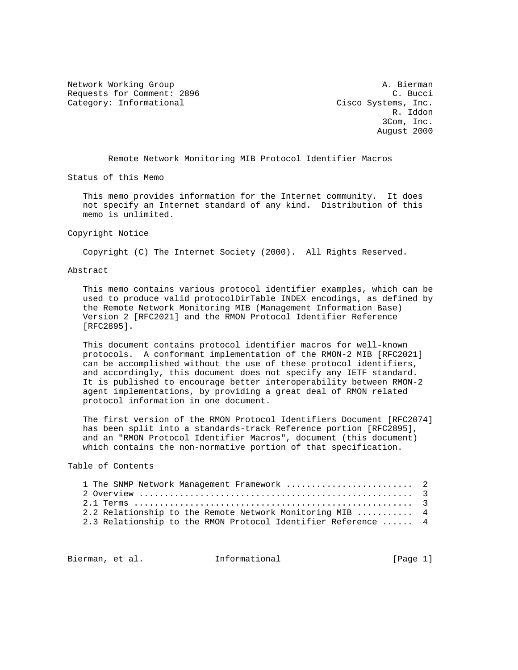Network Working Group and A. Bierman A. Bierman Requests for Comment: 2896 C. Bucci Category: Informational Cisco Systems, Inc.

 R. Iddon 3Com, Inc. August 2000

Remote Network Monitoring MIB Protocol Identifier Macros

Status of this Memo

 This memo provides information for the Internet community. It does not specify an Internet standard of any kind. Distribution of this memo is unlimited.

#### Copyright Notice

Copyright (C) The Internet Society (2000). All Rights Reserved.

### Abstract

 This memo contains various protocol identifier examples, which can be used to produce valid protocolDirTable INDEX encodings, as defined by the Remote Network Monitoring MIB (Management Information Base) Version 2 [RFC2021] and the RMON Protocol Identifier Reference [RFC2895].

 This document contains protocol identifier macros for well-known protocols. A conformant implementation of the RMON-2 MIB [RFC2021] can be accomplished without the use of these protocol identifiers, and accordingly, this document does not specify any IETF standard. It is published to encourage better interoperability between RMON-2 agent implementations, by providing a great deal of RMON related protocol information in one document.

 The first version of the RMON Protocol Identifiers Document [RFC2074] has been split into a standards-track Reference portion [RFC2895], and an "RMON Protocol Identifier Macros", document (this document) which contains the non-normative portion of that specification.

#### Table of Contents

| 1 The SNMP Network Management Framework  2                    |  |
|---------------------------------------------------------------|--|
|                                                               |  |
|                                                               |  |
| 2.2 Relationship to the Remote Network Monitoring MIB  4      |  |
| 2.3 Relationship to the RMON Protocol Identifier Reference  4 |  |

Bierman, et al. **Informational** [Page 1]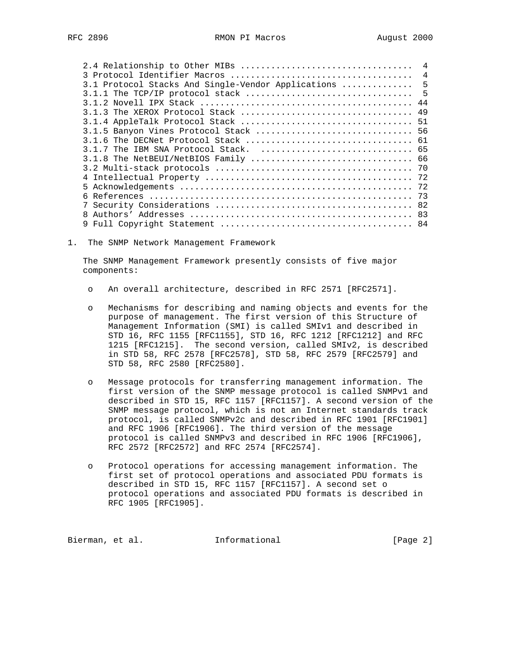|                                                    | $\overline{4}$ |
|----------------------------------------------------|----------------|
| 3.1 Protocol Stacks And Single-Vendor Applications | $-5$           |
|                                                    | $-5$           |
|                                                    |                |
|                                                    |                |
|                                                    |                |
|                                                    |                |
|                                                    |                |
|                                                    |                |
|                                                    |                |
|                                                    |                |
|                                                    |                |
|                                                    |                |
|                                                    |                |
|                                                    |                |
|                                                    |                |
|                                                    |                |

1. The SNMP Network Management Framework

 The SNMP Management Framework presently consists of five major components:

- o An overall architecture, described in RFC 2571 [RFC2571].
- o Mechanisms for describing and naming objects and events for the purpose of management. The first version of this Structure of Management Information (SMI) is called SMIv1 and described in STD 16, RFC 1155 [RFC1155], STD 16, RFC 1212 [RFC1212] and RFC 1215 [RFC1215]. The second version, called SMIv2, is described in STD 58, RFC 2578 [RFC2578], STD 58, RFC 2579 [RFC2579] and STD 58, RFC 2580 [RFC2580].
- o Message protocols for transferring management information. The first version of the SNMP message protocol is called SNMPv1 and described in STD 15, RFC 1157 [RFC1157]. A second version of the SNMP message protocol, which is not an Internet standards track protocol, is called SNMPv2c and described in RFC 1901 [RFC1901] and RFC 1906 [RFC1906]. The third version of the message protocol is called SNMPv3 and described in RFC 1906 [RFC1906], RFC 2572 [RFC2572] and RFC 2574 [RFC2574].
- o Protocol operations for accessing management information. The first set of protocol operations and associated PDU formats is described in STD 15, RFC 1157 [RFC1157]. A second set o protocol operations and associated PDU formats is described in RFC 1905 [RFC1905].

Bierman, et al. **Informational** [Page 2]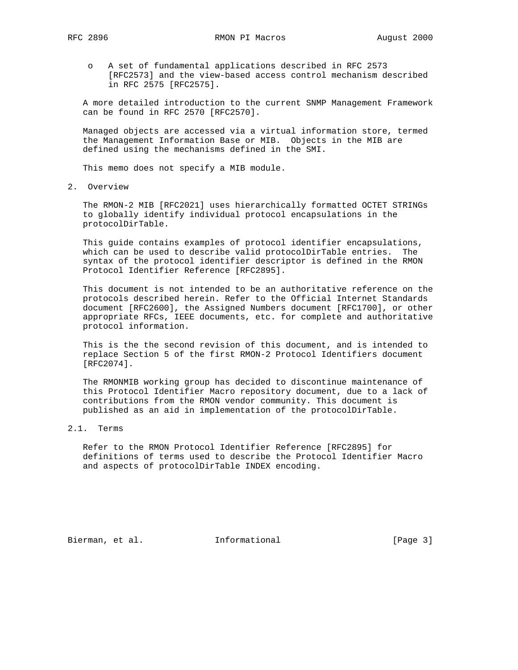o A set of fundamental applications described in RFC 2573 [RFC2573] and the view-based access control mechanism described in RFC 2575 [RFC2575].

 A more detailed introduction to the current SNMP Management Framework can be found in RFC 2570 [RFC2570].

 Managed objects are accessed via a virtual information store, termed the Management Information Base or MIB. Objects in the MIB are defined using the mechanisms defined in the SMI.

This memo does not specify a MIB module.

2. Overview

 The RMON-2 MIB [RFC2021] uses hierarchically formatted OCTET STRINGs to globally identify individual protocol encapsulations in the protocolDirTable.

 This guide contains examples of protocol identifier encapsulations, which can be used to describe valid protocolDirTable entries. The syntax of the protocol identifier descriptor is defined in the RMON Protocol Identifier Reference [RFC2895].

 This document is not intended to be an authoritative reference on the protocols described herein. Refer to the Official Internet Standards document [RFC2600], the Assigned Numbers document [RFC1700], or other appropriate RFCs, IEEE documents, etc. for complete and authoritative protocol information.

 This is the the second revision of this document, and is intended to replace Section 5 of the first RMON-2 Protocol Identifiers document [RFC2074].

 The RMONMIB working group has decided to discontinue maintenance of this Protocol Identifier Macro repository document, due to a lack of contributions from the RMON vendor community. This document is published as an aid in implementation of the protocolDirTable.

## 2.1. Terms

 Refer to the RMON Protocol Identifier Reference [RFC2895] for definitions of terms used to describe the Protocol Identifier Macro and aspects of protocolDirTable INDEX encoding.

Bierman, et al. **Informational** [Page 3]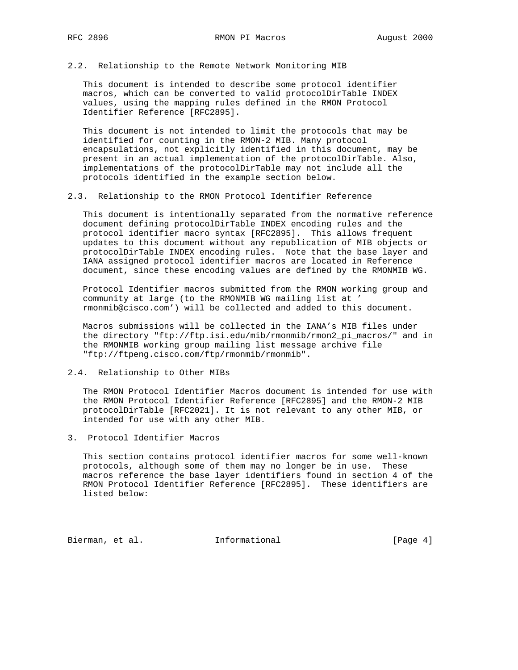2.2. Relationship to the Remote Network Monitoring MIB

 This document is intended to describe some protocol identifier macros, which can be converted to valid protocolDirTable INDEX values, using the mapping rules defined in the RMON Protocol Identifier Reference [RFC2895].

 This document is not intended to limit the protocols that may be identified for counting in the RMON-2 MIB. Many protocol encapsulations, not explicitly identified in this document, may be present in an actual implementation of the protocolDirTable. Also, implementations of the protocolDirTable may not include all the protocols identified in the example section below.

### 2.3. Relationship to the RMON Protocol Identifier Reference

 This document is intentionally separated from the normative reference document defining protocolDirTable INDEX encoding rules and the protocol identifier macro syntax [RFC2895]. This allows frequent updates to this document without any republication of MIB objects or protocolDirTable INDEX encoding rules. Note that the base layer and IANA assigned protocol identifier macros are located in Reference document, since these encoding values are defined by the RMONMIB WG.

 Protocol Identifier macros submitted from the RMON working group and community at large (to the RMONMIB WG mailing list at ' rmonmib@cisco.com') will be collected and added to this document.

 Macros submissions will be collected in the IANA's MIB files under the directory "ftp://ftp.isi.edu/mib/rmonmib/rmon2\_pi\_macros/" and in the RMONMIB working group mailing list message archive file "ftp://ftpeng.cisco.com/ftp/rmonmib/rmonmib".

## 2.4. Relationship to Other MIBs

 The RMON Protocol Identifier Macros document is intended for use with the RMON Protocol Identifier Reference [RFC2895] and the RMON-2 MIB protocolDirTable [RFC2021]. It is not relevant to any other MIB, or intended for use with any other MIB.

3. Protocol Identifier Macros

 This section contains protocol identifier macros for some well-known protocols, although some of them may no longer be in use. These macros reference the base layer identifiers found in section 4 of the RMON Protocol Identifier Reference [RFC2895]. These identifiers are listed below:

Bierman, et al. **Informational** [Page 4]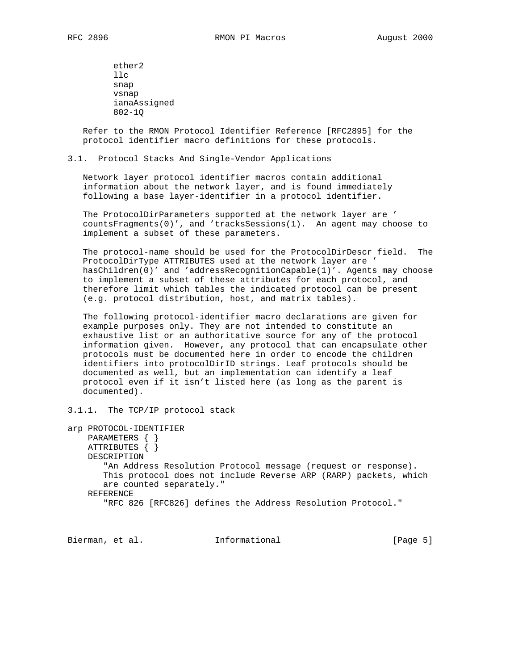ether2 llc snap vsnap ianaAssigned 802-1Q

 Refer to the RMON Protocol Identifier Reference [RFC2895] for the protocol identifier macro definitions for these protocols.

3.1. Protocol Stacks And Single-Vendor Applications

 Network layer protocol identifier macros contain additional information about the network layer, and is found immediately following a base layer-identifier in a protocol identifier.

 The ProtocolDirParameters supported at the network layer are ' countsFragments(0)', and 'tracksSessions(1). An agent may choose to implement a subset of these parameters.

 The protocol-name should be used for the ProtocolDirDescr field. The ProtocolDirType ATTRIBUTES used at the network layer are ' hasChildren(0)' and 'addressRecognitionCapable(1)'. Agents may choose to implement a subset of these attributes for each protocol, and therefore limit which tables the indicated protocol can be present (e.g. protocol distribution, host, and matrix tables).

 The following protocol-identifier macro declarations are given for example purposes only. They are not intended to constitute an exhaustive list or an authoritative source for any of the protocol information given. However, any protocol that can encapsulate other protocols must be documented here in order to encode the children identifiers into protocolDirID strings. Leaf protocols should be documented as well, but an implementation can identify a leaf protocol even if it isn't listed here (as long as the parent is documented).

3.1.1. The TCP/IP protocol stack

```
arp PROTOCOL-IDENTIFIER
    PARAMETERS { }
    ATTRIBUTES { }
     DESCRIPTION
        "An Address Resolution Protocol message (request or response).
        This protocol does not include Reverse ARP (RARP) packets, which
        are counted separately."
     REFERENCE
        "RFC 826 [RFC826] defines the Address Resolution Protocol."
```
Bierman, et al. 1nformational (Page 5)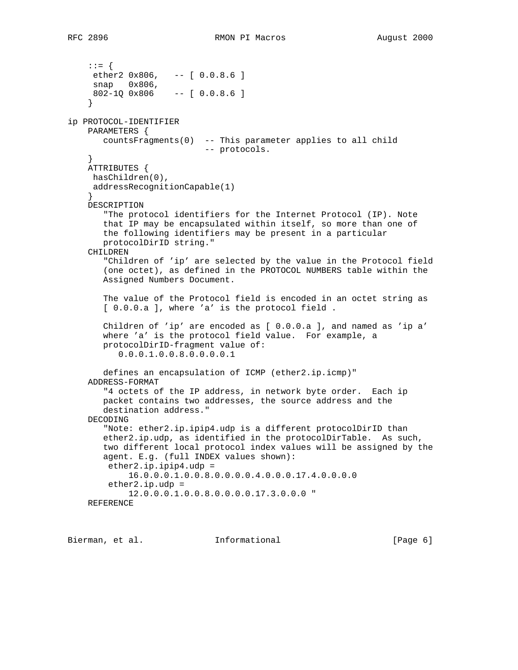::= { ether2 0x806, -- [ 0.0.8.6 ] snap 0x806, 802-1Q 0x806 -- [ 0.0.8.6 ] } ip PROTOCOL-IDENTIFIER PARAMETERS { countsFragments(0) -- This parameter applies to all child -- protocols. } ATTRIBUTES { hasChildren(0), addressRecognitionCapable(1) } DESCRIPTION "The protocol identifiers for the Internet Protocol (IP). Note that IP may be encapsulated within itself, so more than one of the following identifiers may be present in a particular protocolDirID string." CHILDREN "Children of 'ip' are selected by the value in the Protocol field (one octet), as defined in the PROTOCOL NUMBERS table within the Assigned Numbers Document. The value of the Protocol field is encoded in an octet string as [  $0.0.0.a$  ], where 'a' is the protocol field. Children of 'ip' are encoded as [ 0.0.0.a ], and named as 'ip a' where 'a' is the protocol field value. For example, a protocolDirID-fragment value of: 0.0.0.1.0.0.8.0.0.0.0.1 defines an encapsulation of ICMP (ether2.ip.icmp)" ADDRESS-FORMAT "4 octets of the IP address, in network byte order. Each ip packet contains two addresses, the source address and the destination address." DECODING "Note: ether2.ip.ipip4.udp is a different protocolDirID than ether2.ip.udp, as identified in the protocolDirTable. As such, two different local protocol index values will be assigned by the agent. E.g. (full INDEX values shown): ether2.ip.ipip4.udp = 16.0.0.0.1.0.0.8.0.0.0.0.4.0.0.0.17.4.0.0.0.0 ether2.ip.udp = 12.0.0.0.1.0.0.8.0.0.0.0.17.3.0.0.0 " REFERENCE

Bierman, et al. **Informational** [Page 6]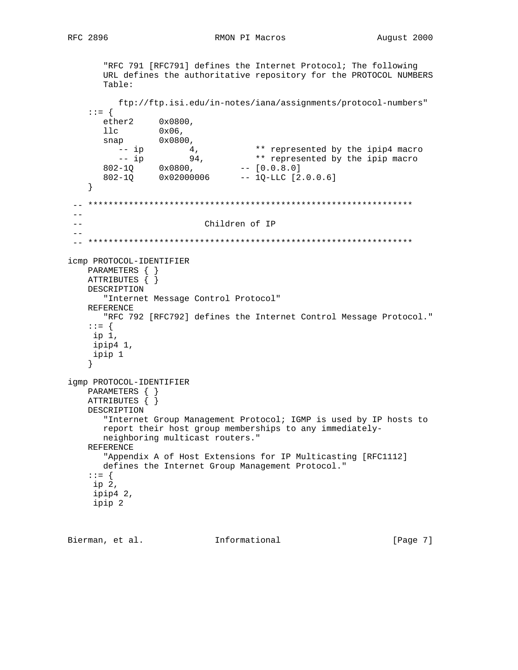```
 "RFC 791 [RFC791] defines the Internet Protocol; The following
       URL defines the authoritative repository for the PROTOCOL NUMBERS
       Table:
         ftp://ftp.isi.edu/in-notes/iana/assignments/protocol-numbers"
    ::= {
       ether2 0x0800,
11c 0x06,
snap 0x0800,
-- ip 4, 4 * represented by the ipip4 macro
 -- ip 94, ** represented by the ipip macro
802-1Q 0x0800, - [0.0.8.0] 802-1Q 0x02000006 -- 1Q-LLC [2.0.0.6]
    }
  -- ****************************************************************
- - -- Children of IP
- - -- ****************************************************************
icmp PROTOCOL-IDENTIFIER
    PARAMETERS { }
    ATTRIBUTES { }
    DESCRIPTION
       "Internet Message Control Protocol"
    REFERENCE
       "RFC 792 [RFC792] defines the Internet Control Message Protocol."
    ::= {
    ip 1,
     ipip4 1,
     ipip 1
    }
igmp PROTOCOL-IDENTIFIER
    PARAMETERS { }
    ATTRIBUTES { }
    DESCRIPTION
       "Internet Group Management Protocol; IGMP is used by IP hosts to
       report their host group memberships to any immediately-
       neighboring multicast routers."
    REFERENCE
       "Appendix A of Host Extensions for IP Multicasting [RFC1112]
       defines the Internet Group Management Protocol."
    ::= {
     ip 2,
     ipip4 2,
     ipip 2
```
Bierman, et al. **Informational** [Page 7]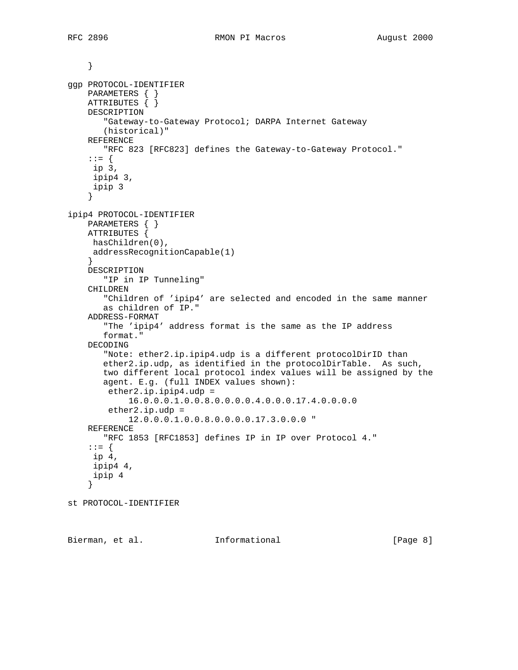```
 }
ggp PROTOCOL-IDENTIFIER
    PARAMETERS { }
     ATTRIBUTES { }
     DESCRIPTION
        "Gateway-to-Gateway Protocol; DARPA Internet Gateway
        (historical)"
     REFERENCE
        "RFC 823 [RFC823] defines the Gateway-to-Gateway Protocol."
     ::= {
     ip 3,
      ipip4 3,
      ipip 3
     }
ipip4 PROTOCOL-IDENTIFIER
     PARAMETERS { }
     ATTRIBUTES {
     hasChildren(0),
      addressRecognitionCapable(1)
     }
     DESCRIPTION
        "IP in IP Tunneling"
     CHILDREN
        "Children of 'ipip4' are selected and encoded in the same manner
        as children of IP."
     ADDRESS-FORMAT
        "The 'ipip4' address format is the same as the IP address
        format."
     DECODING
        "Note: ether2.ip.ipip4.udp is a different protocolDirID than
        ether2.ip.udp, as identified in the protocolDirTable. As such,
        two different local protocol index values will be assigned by the
        agent. E.g. (full INDEX values shown):
         ether2.ip.ipip4.udp =
             16.0.0.0.1.0.0.8.0.0.0.0.4.0.0.0.17.4.0.0.0.0
        ether2.ip.udp = 12.0.0.0.1.0.0.8.0.0.0.0.17.3.0.0.0 "
     REFERENCE
        "RFC 1853 [RFC1853] defines IP in IP over Protocol 4."
     ::= {
     ip 4,
      ipip4 4,
      ipip 4
     }
st PROTOCOL-IDENTIFIER
```
Bierman, et al. **Informational** [Page 8]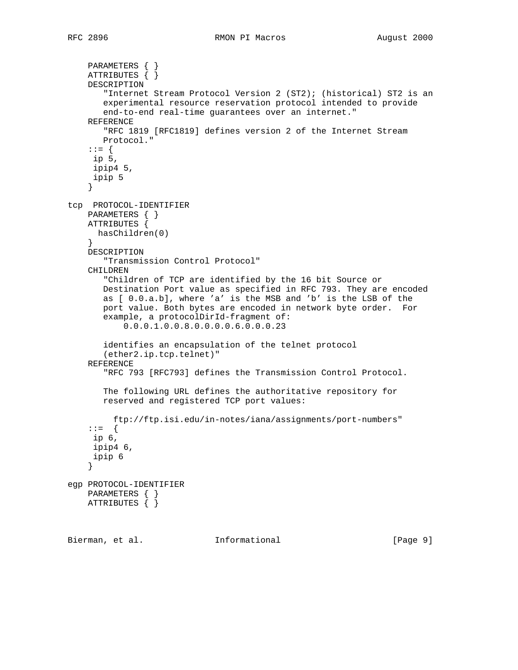```
 PARAMETERS { }
     ATTRIBUTES { }
     DESCRIPTION
        "Internet Stream Protocol Version 2 (ST2); (historical) ST2 is an
        experimental resource reservation protocol intended to provide
        end-to-end real-time guarantees over an internet."
     REFERENCE
        "RFC 1819 [RFC1819] defines version 2 of the Internet Stream
       Protocol."
     ::= {
     ip 5,
     ipip4 5,
      ipip 5
     }
tcp PROTOCOL-IDENTIFIER
    PARAMETERS { }
    ATTRIBUTES {
      hasChildren(0)
 }
     DESCRIPTION
        "Transmission Control Protocol"
     CHILDREN
        "Children of TCP are identified by the 16 bit Source or
        Destination Port value as specified in RFC 793. They are encoded
        as [ 0.0.a.b], where 'a' is the MSB and 'b' is the LSB of the
        port value. Both bytes are encoded in network byte order. For
        example, a protocolDirId-fragment of:
            0.0.0.1.0.0.8.0.0.0.0.6.0.0.0.23
        identifies an encapsulation of the telnet protocol
        (ether2.ip.tcp.telnet)"
     REFERENCE
        "RFC 793 [RFC793] defines the Transmission Control Protocol.
        The following URL defines the authoritative repository for
        reserved and registered TCP port values:
          ftp://ftp.isi.edu/in-notes/iana/assignments/port-numbers"
     ::= {
     ip 6,
     ipip4 6,
     ipip 6
     }
egp PROTOCOL-IDENTIFIER
    PARAMETERS { }
   ATTRIBUTES \{\}
```
Bierman, et al. Informational [Page 9]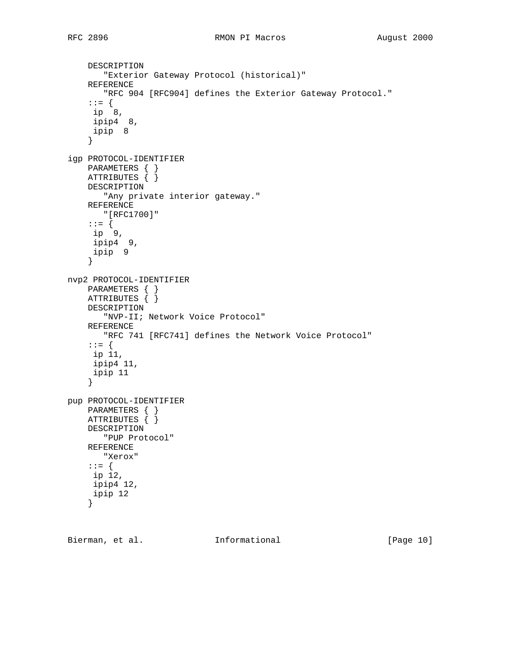```
 DESCRIPTION
        "Exterior Gateway Protocol (historical)"
     REFERENCE
        "RFC 904 [RFC904] defines the Exterior Gateway Protocol."
     ::= {
     ip 8,
     ipip4 8,
     ipip 8
     }
igp PROTOCOL-IDENTIFIER
    PARAMETERS { }
    ATTRIBUTES \{\} DESCRIPTION
       "Any private interior gateway."
     REFERENCE
       "[RFC1700]"
     ::= {
     ip 9,
     ipip4 9,
     ipip 9
     }
nvp2 PROTOCOL-IDENTIFIER
    PARAMETERS { }
     ATTRIBUTES { }
     DESCRIPTION
        "NVP-II; Network Voice Protocol"
     REFERENCE
       "RFC 741 [RFC741] defines the Network Voice Protocol"
     ::= {
     ip 11,
     ipip4 11,
     ipip 11
     }
pup PROTOCOL-IDENTIFIER
    PARAMETERS { }
     ATTRIBUTES { }
     DESCRIPTION
       "PUP Protocol"
     REFERENCE
       "Xerox"
     ::= {
     ip 12,
     ipip4 12,
      ipip 12
     }
```
Bierman, et al. 1nformational [Page 10]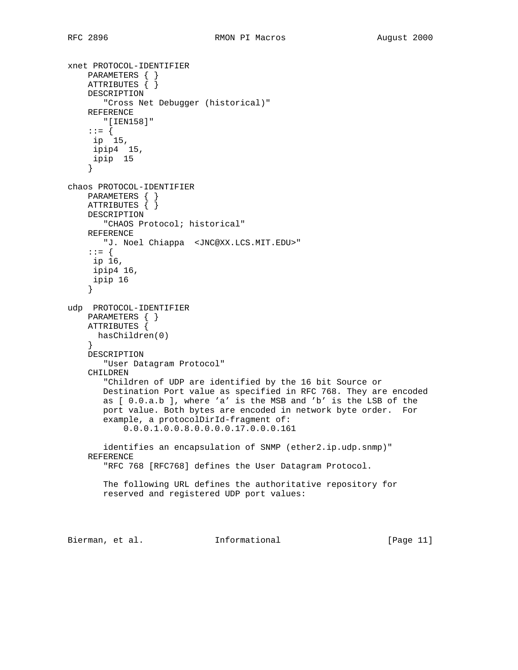```
xnet PROTOCOL-IDENTIFIER
    PARAMETERS { }
     ATTRIBUTES { }
     DESCRIPTION
        "Cross Net Debugger (historical)"
     REFERENCE
       "[IEN158]"
     ::= {
     ip 15,
     ipip4 15,
      ipip 15
     }
chaos PROTOCOL-IDENTIFIER
     PARAMETERS { }
     ATTRIBUTES { }
     DESCRIPTION
       "CHAOS Protocol; historical"
     REFERENCE
       "J. Noel Chiappa <JNC@XX.LCS.MIT.EDU>"
     ::= {
     ip 16,
     ipip4 16,
     ipip 16
     }
udp PROTOCOL-IDENTIFIER
     PARAMETERS { }
     ATTRIBUTES {
     hasChildren(0)
     }
     DESCRIPTION
        "User Datagram Protocol"
     CHILDREN
        "Children of UDP are identified by the 16 bit Source or
        Destination Port value as specified in RFC 768. They are encoded
        as [ 0.0.a.b ], where 'a' is the MSB and 'b' is the LSB of the
        port value. Both bytes are encoded in network byte order. For
        example, a protocolDirId-fragment of:
            0.0.0.1.0.0.8.0.0.0.0.17.0.0.0.161
        identifies an encapsulation of SNMP (ether2.ip.udp.snmp)"
     REFERENCE
        "RFC 768 [RFC768] defines the User Datagram Protocol.
        The following URL defines the authoritative repository for
        reserved and registered UDP port values:
Bierman, et al.             Informational             [Page 11]
```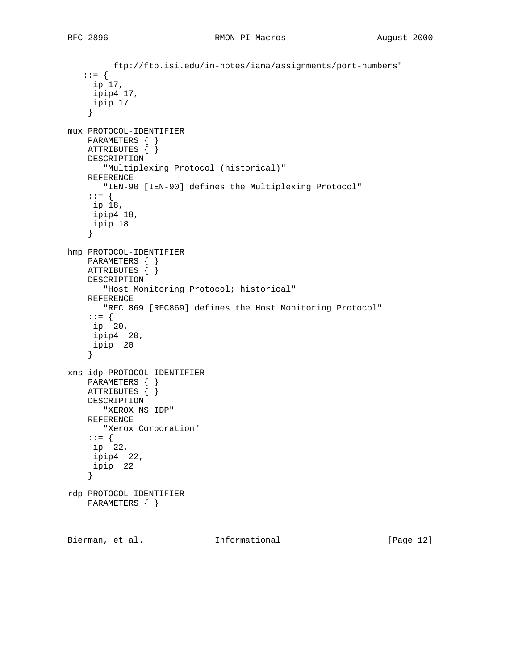```
 ftp://ftp.isi.edu/in-notes/iana/assignments/port-numbers"
    ::= {
     ip 17,
     ipip4 17,
     ipip 17
     }
mux PROTOCOL-IDENTIFIER
    PARAMETERS { }
    ATTRIBUTES { }
    DESCRIPTION
       "Multiplexing Protocol (historical)"
     REFERENCE
       "IEN-90 [IEN-90] defines the Multiplexing Protocol"
     ::= {
     ip 18,
     ipip4 18,
     ipip 18
     }
hmp PROTOCOL-IDENTIFIER
    PARAMETERS { }
    ATTRIBUTES { }
    DESCRIPTION
        "Host Monitoring Protocol; historical"
     REFERENCE
       "RFC 869 [RFC869] defines the Host Monitoring Protocol"
: := \{ ip 20,
     ipip4 20,
     ipip 20
     }
xns-idp PROTOCOL-IDENTIFIER
    PARAMETERS { }
   ATTRIBUTES \{\} DESCRIPTION
       "XEROX NS IDP"
    REFERENCE
       "Xerox Corporation"
     ::= {
     ip 22,
     ipip4 22,
     ipip 22
     }
rdp PROTOCOL-IDENTIFIER
    PARAMETERS { }
Bierman, et al. Informational [Page 12]
```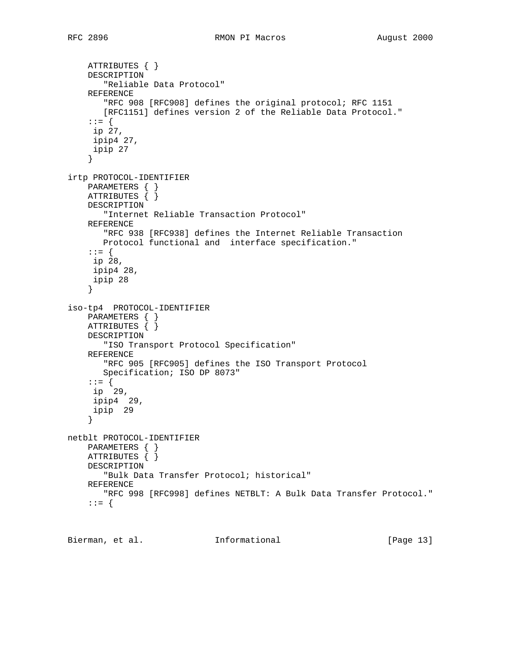```
 ATTRIBUTES { }
     DESCRIPTION
        "Reliable Data Protocol"
     REFERENCE
        "RFC 908 [RFC908] defines the original protocol; RFC 1151
        [RFC1151] defines version 2 of the Reliable Data Protocol."
     ::= {
     ip 27,
     ipip4 27,
     ipip 27
     }
irtp PROTOCOL-IDENTIFIER
     PARAMETERS { }
     ATTRIBUTES { }
     DESCRIPTION
        "Internet Reliable Transaction Protocol"
     REFERENCE
        "RFC 938 [RFC938] defines the Internet Reliable Transaction
       Protocol functional and interface specification."
     ::= {
     ip 28,
     ipip4 28,
      ipip 28
     }
iso-tp4 PROTOCOL-IDENTIFIER
     PARAMETERS { }
     ATTRIBUTES { }
     DESCRIPTION
        "ISO Transport Protocol Specification"
     REFERENCE
        "RFC 905 [RFC905] defines the ISO Transport Protocol
        Specification; ISO DP 8073"
     ::= {
      ip 29,
      ipip4 29,
      ipip 29
     }
netblt PROTOCOL-IDENTIFIER
    PARAMETERS { }
     ATTRIBUTES { }
     DESCRIPTION
        "Bulk Data Transfer Protocol; historical"
     REFERENCE
        "RFC 998 [RFC998] defines NETBLT: A Bulk Data Transfer Protocol."
     ::= {
```
Bierman, et al. **Informational** [Page 13]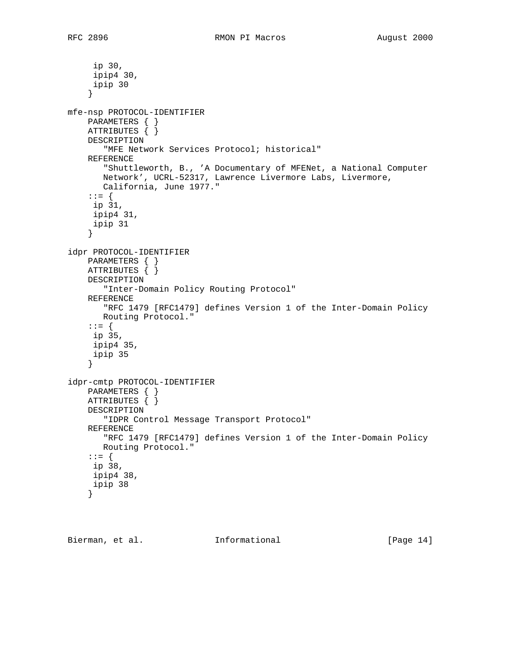ip 30, ipip4 30, ipip 30 } mfe-nsp PROTOCOL-IDENTIFIER PARAMETERS { } ATTRIBUTES { } DESCRIPTION "MFE Network Services Protocol; historical" REFERENCE "Shuttleworth, B., 'A Documentary of MFENet, a National Computer Network', UCRL-52317, Lawrence Livermore Labs, Livermore, California, June 1977." ::= { ip 31, ipip4 31, ipip 31 } idpr PROTOCOL-IDENTIFIER PARAMETERS { } ATTRIBUTES { } DESCRIPTION "Inter-Domain Policy Routing Protocol" REFERENCE "RFC 1479 [RFC1479] defines Version 1 of the Inter-Domain Policy Routing Protocol." ::= { ip 35, ipip4 35, ipip 35 } idpr-cmtp PROTOCOL-IDENTIFIER PARAMETERS { } ATTRIBUTES { } DESCRIPTION "IDPR Control Message Transport Protocol" REFERENCE "RFC 1479 [RFC1479] defines Version 1 of the Inter-Domain Policy Routing Protocol." ::= { ip 38, ipip4 38, ipip 38 }

Bierman, et al. **Informational** [Page 14]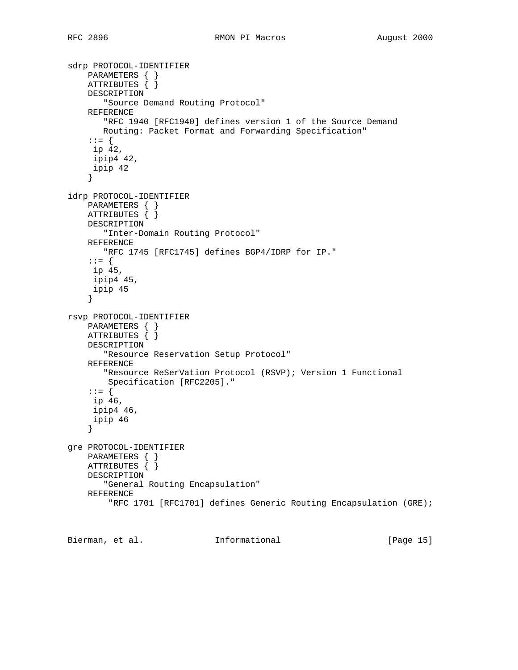```
sdrp PROTOCOL-IDENTIFIER
 PARAMETERS { }
 ATTRIBUTES { }
     DESCRIPTION
        "Source Demand Routing Protocol"
     REFERENCE
        "RFC 1940 [RFC1940] defines version 1 of the Source Demand
       Routing: Packet Format and Forwarding Specification"
     ::= {
     ip 42,
      ipip4 42,
      ipip 42
     }
idrp PROTOCOL-IDENTIFIER
     PARAMETERS { }
     ATTRIBUTES { }
     DESCRIPTION
        "Inter-Domain Routing Protocol"
     REFERENCE
        "RFC 1745 [RFC1745] defines BGP4/IDRP for IP."
     ::= {
      ip 45,
      ipip4 45,
      ipip 45
     }
rsvp PROTOCOL-IDENTIFIER
     PARAMETERS { }
     ATTRIBUTES { }
     DESCRIPTION
        "Resource Reservation Setup Protocol"
     REFERENCE
        "Resource ReSerVation Protocol (RSVP); Version 1 Functional
         Specification [RFC2205]."
     ::= {
     ip 46,
      ipip4 46,
      ipip 46
     }
gre PROTOCOL-IDENTIFIER
    PARAMETERS { }
     ATTRIBUTES { }
     DESCRIPTION
        "General Routing Encapsulation"
     REFERENCE
         "RFC 1701 [RFC1701] defines Generic Routing Encapsulation (GRE);
```
Bierman, et al. Informational [Page 15]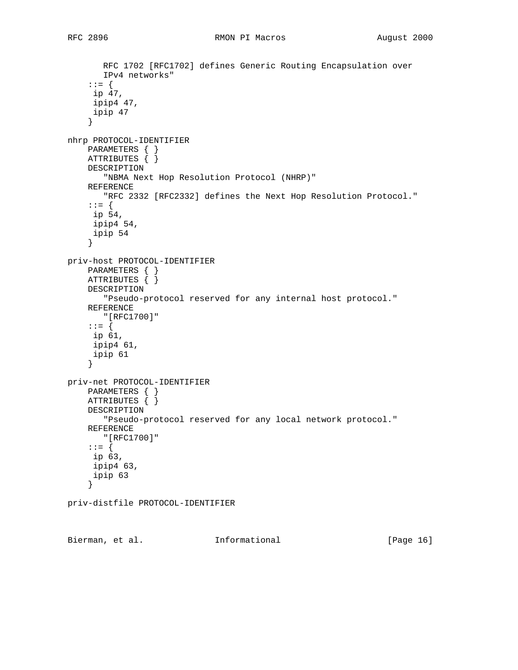```
 RFC 1702 [RFC1702] defines Generic Routing Encapsulation over
        IPv4 networks"
     ::= {
      ip 47,
      ipip4 47,
      ipip 47
     }
nhrp PROTOCOL-IDENTIFIER
    PARAMETERS { }
     ATTRIBUTES { }
     DESCRIPTION
        "NBMA Next Hop Resolution Protocol (NHRP)"
     REFERENCE
        "RFC 2332 [RFC2332] defines the Next Hop Resolution Protocol."
     ::= {
     ip 54,
     ipip4 54,
     ipip 54
     }
priv-host PROTOCOL-IDENTIFIER
     PARAMETERS { }
    ATTRIBUTES \{ \} DESCRIPTION
        "Pseudo-protocol reserved for any internal host protocol."
     REFERENCE
        "[RFC1700]"
     ::= {
     ip 61,
     ipip4 61,
     ipip 61
     }
priv-net PROTOCOL-IDENTIFIER
    PARAMETERS { }
     ATTRIBUTES { }
     DESCRIPTION
        "Pseudo-protocol reserved for any local network protocol."
     REFERENCE
        "[RFC1700]"
     ::= {
     ip 63,
     ipip4 63,
     ipip 63
     }
priv-distfile PROTOCOL-IDENTIFIER
```
Bierman, et al. **Informational** [Page 16]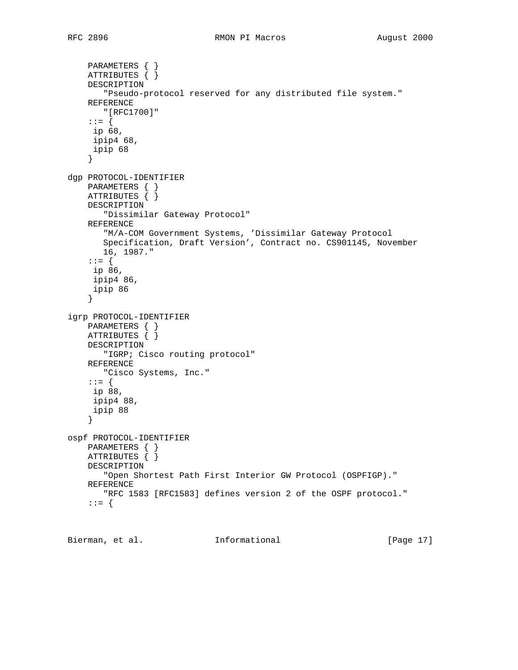```
 PARAMETERS { }
     ATTRIBUTES { }
     DESCRIPTION
        "Pseudo-protocol reserved for any distributed file system."
     REFERENCE
        "[RFC1700]"
     ::= {
     ip 68,
     ipip4 68,
     ipip 68
     }
dgp PROTOCOL-IDENTIFIER
     PARAMETERS { }
     ATTRIBUTES { }
     DESCRIPTION
        "Dissimilar Gateway Protocol"
     REFERENCE
        "M/A-COM Government Systems, 'Dissimilar Gateway Protocol
        Specification, Draft Version', Contract no. CS901145, November
       16, 1987."
     ::= {
      ip 86,
      ipip4 86,
      ipip 86
     }
igrp PROTOCOL-IDENTIFIER
     PARAMETERS { }
     ATTRIBUTES { }
     DESCRIPTION
        "IGRP; Cisco routing protocol"
     REFERENCE
        "Cisco Systems, Inc."
     ::= {
     ip 88,
      ipip4 88,
      ipip 88
     }
ospf PROTOCOL-IDENTIFIER
    PARAMETERS { }
     ATTRIBUTES { }
     DESCRIPTION
        "Open Shortest Path First Interior GW Protocol (OSPFIGP)."
     REFERENCE
        "RFC 1583 [RFC1583] defines version 2 of the OSPF protocol."
     ::= {
```
Bierman, et al. **Informational** [Page 17]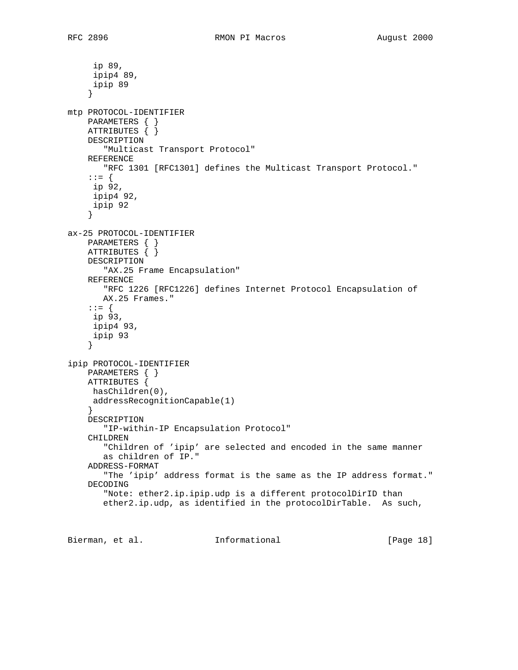ip 89, ipip4 89, ipip 89 } mtp PROTOCOL-IDENTIFIER PARAMETERS { } ATTRIBUTES { } DESCRIPTION "Multicast Transport Protocol" REFERENCE "RFC 1301 [RFC1301] defines the Multicast Transport Protocol." ::= { ip 92, ipip4 92, ipip 92 } ax-25 PROTOCOL-IDENTIFIER PARAMETERS { } ATTRIBUTES { } DESCRIPTION "AX.25 Frame Encapsulation" REFERENCE "RFC 1226 [RFC1226] defines Internet Protocol Encapsulation of AX.25 Frames." ::= { ip 93, ipip4 93, ipip 93 } ipip PROTOCOL-IDENTIFIER PARAMETERS { } ATTRIBUTES { hasChildren(0), addressRecognitionCapable(1) } DESCRIPTION "IP-within-IP Encapsulation Protocol" CHILDREN "Children of 'ipip' are selected and encoded in the same manner as children of IP." ADDRESS-FORMAT "The 'ipip' address format is the same as the IP address format." DECODING "Note: ether2.ip.ipip.udp is a different protocolDirID than ether2.ip.udp, as identified in the protocolDirTable. As such,

Bierman, et al. Informational [Page 18]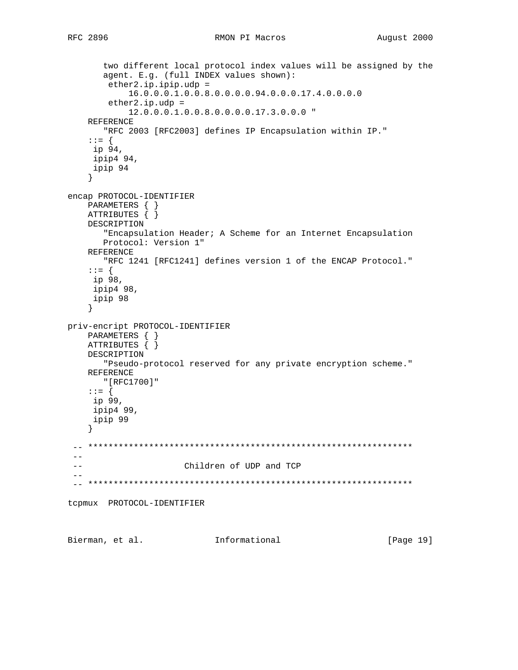```
 two different local protocol index values will be assigned by the
        agent. E.g. (full INDEX values shown):
         ether2.ip.ipip.udp =
             16.0.0.0.1.0.0.8.0.0.0.0.94.0.0.0.17.4.0.0.0.0
         ether2.ip.udp =
             12.0.0.0.1.0.0.8.0.0.0.0.17.3.0.0.0 "
     REFERENCE
        "RFC 2003 [RFC2003] defines IP Encapsulation within IP."
     ::= {
     ip 94,
     ipip4 94,
     ipip 94
     }
encap PROTOCOL-IDENTIFIER
     PARAMETERS { }
     ATTRIBUTES { }
     DESCRIPTION
        "Encapsulation Header; A Scheme for an Internet Encapsulation
        Protocol: Version 1"
     REFERENCE
        "RFC 1241 [RFC1241] defines version 1 of the ENCAP Protocol."
     ::= {
     ip 98,
     ipip4 98,
      ipip 98
     }
priv-encript PROTOCOL-IDENTIFIER
     PARAMETERS { }
     ATTRIBUTES { }
     DESCRIPTION
        "Pseudo-protocol reserved for any private encryption scheme."
     REFERENCE
       "[RFC1700]"
     ::= {
     ip 99,
     ipip4 99,
     ipip 99
     }
  -- ****************************************************************
 - - -- Children of UDP and TCP
 - - -- ****************************************************************
tcpmux PROTOCOL-IDENTIFIER
```
Bierman, et al. Informational [Page 19]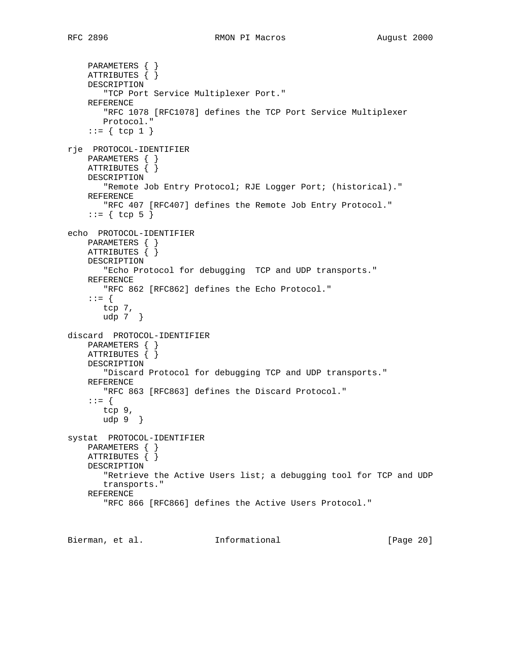PARAMETERS { } ATTRIBUTES { } DESCRIPTION "TCP Port Service Multiplexer Port." REFERENCE "RFC 1078 [RFC1078] defines the TCP Port Service Multiplexer Protocol."  $::= \{ \text{top } 1 \}$ rje PROTOCOL-IDENTIFIER PARAMETERS { } ATTRIBUTES { } DESCRIPTION "Remote Job Entry Protocol; RJE Logger Port; (historical)." REFERENCE "RFC 407 [RFC407] defines the Remote Job Entry Protocol."  $::= \{ \text{top } 5 \}$ echo PROTOCOL-IDENTIFIER PARAMETERS { } ATTRIBUTES { } DESCRIPTION "Echo Protocol for debugging TCP and UDP transports." REFERENCE "RFC 862 [RFC862] defines the Echo Protocol." ::= { tcp 7, udp 7 } discard PROTOCOL-IDENTIFIER PARAMETERS { } ATTRIBUTES { } DESCRIPTION "Discard Protocol for debugging TCP and UDP transports." REFERENCE "RFC 863 [RFC863] defines the Discard Protocol." ::= { tcp 9, udp 9 } systat PROTOCOL-IDENTIFIER PARAMETERS { } ATTRIBUTES { } DESCRIPTION "Retrieve the Active Users list; a debugging tool for TCP and UDP transports." REFERENCE "RFC 866 [RFC866] defines the Active Users Protocol."

Bierman, et al. **Informational** [Page 20]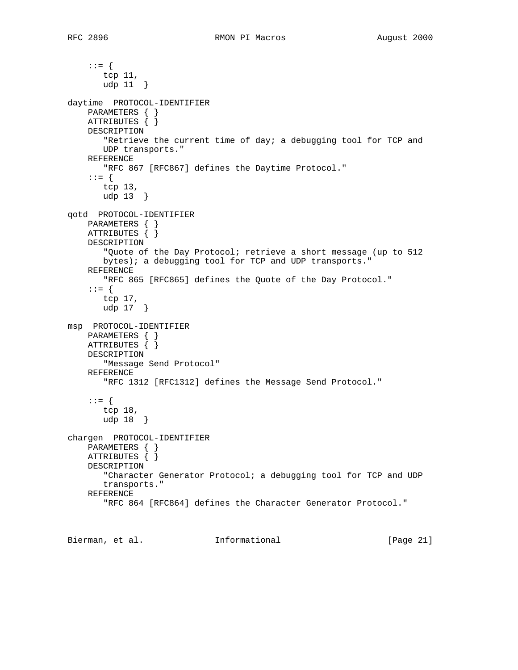```
 ::= {
        tcp 11,
        udp 11 }
daytime PROTOCOL-IDENTIFIER
     PARAMETERS { }
     ATTRIBUTES { }
     DESCRIPTION
        "Retrieve the current time of day; a debugging tool for TCP and
       UDP transports."
     REFERENCE
        "RFC 867 [RFC867] defines the Daytime Protocol."
     ::= {
        tcp 13,
        udp 13 }
qotd PROTOCOL-IDENTIFIER
    PARAMETERS { }
    ATTRIBUTES { }
     DESCRIPTION
        "Quote of the Day Protocol; retrieve a short message (up to 512
        bytes); a debugging tool for TCP and UDP transports."
     REFERENCE
        "RFC 865 [RFC865] defines the Quote of the Day Protocol."
     ::= {
        tcp 17,
       udp 17 }
msp PROTOCOL-IDENTIFIER
     PARAMETERS { }
     ATTRIBUTES { }
     DESCRIPTION
        "Message Send Protocol"
     REFERENCE
        "RFC 1312 [RFC1312] defines the Message Send Protocol."
     ::= {
        tcp 18,
        udp 18 }
chargen PROTOCOL-IDENTIFIER
    PARAMETERS { }
     ATTRIBUTES { }
     DESCRIPTION
        "Character Generator Protocol; a debugging tool for TCP and UDP
        transports."
     REFERENCE
        "RFC 864 [RFC864] defines the Character Generator Protocol."
```
Bierman, et al. Informational [Page 21]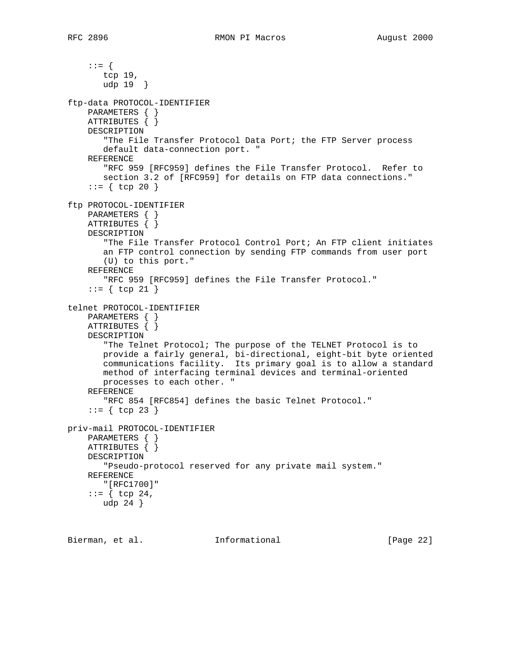::= { tcp 19, udp 19 } ftp-data PROTOCOL-IDENTIFIER PARAMETERS { } ATTRIBUTES { } DESCRIPTION "The File Transfer Protocol Data Port; the FTP Server process default data-connection port. " REFERENCE "RFC 959 [RFC959] defines the File Transfer Protocol. Refer to section 3.2 of [RFC959] for details on FTP data connections."  $::=$  { tcp 20 } ftp PROTOCOL-IDENTIFIER PARAMETERS { } ATTRIBUTES { } DESCRIPTION "The File Transfer Protocol Control Port; An FTP client initiates an FTP control connection by sending FTP commands from user port (U) to this port." REFERENCE "RFC 959 [RFC959] defines the File Transfer Protocol."  $::= \{ \text{top } 21 \}$ telnet PROTOCOL-IDENTIFIER PARAMETERS { } ATTRIBUTES { } DESCRIPTION "The Telnet Protocol; The purpose of the TELNET Protocol is to provide a fairly general, bi-directional, eight-bit byte oriented communications facility. Its primary goal is to allow a standard method of interfacing terminal devices and terminal-oriented processes to each other. " REFERENCE "RFC 854 [RFC854] defines the basic Telnet Protocol."  $::=$  { tcp 23 } priv-mail PROTOCOL-IDENTIFIER PARAMETERS { } ATTRIBUTES { } DESCRIPTION "Pseudo-protocol reserved for any private mail system." REFERENCE "[RFC1700]" ::=  $\{ \text{tcp } 24,$ udp 24 }

Bierman, et al. **Informational** [Page 22]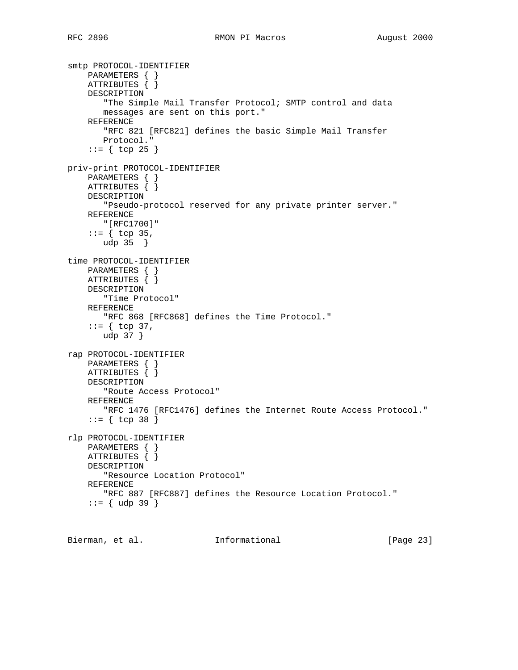```
smtp PROTOCOL-IDENTIFIER
 PARAMETERS { }
 ATTRIBUTES { }
     DESCRIPTION
        "The Simple Mail Transfer Protocol; SMTP control and data
        messages are sent on this port."
     REFERENCE
        "RFC 821 [RFC821] defines the basic Simple Mail Transfer
        Protocol."
    ::= { tcp 25 }
priv-print PROTOCOL-IDENTIFIER
     PARAMETERS { }
     ATTRIBUTES { }
     DESCRIPTION
        "Pseudo-protocol reserved for any private printer server."
     REFERENCE
        "[RFC1700]"
    ::= \{ \text{top } 35, \text{ } \} udp 35 }
time PROTOCOL-IDENTIFIER
     PARAMETERS { }
     ATTRIBUTES { }
     DESCRIPTION
        "Time Protocol"
     REFERENCE
        "RFC 868 [RFC868] defines the Time Protocol."
    ::= \{ \text{tcp } 37, \} udp 37 }
rap PROTOCOL-IDENTIFIER
    PARAMETERS { }
     ATTRIBUTES { }
     DESCRIPTION
        "Route Access Protocol"
     REFERENCE
        "RFC 1476 [RFC1476] defines the Internet Route Access Protocol."
     ::= { tcp 38 }
rlp PROTOCOL-IDENTIFIER
     PARAMETERS { }
     ATTRIBUTES { }
     DESCRIPTION
        "Resource Location Protocol"
     REFERENCE
        "RFC 887 [RFC887] defines the Resource Location Protocol."
    ::= { udp 39 }
```
Bierman, et al. **Informational** [Page 23]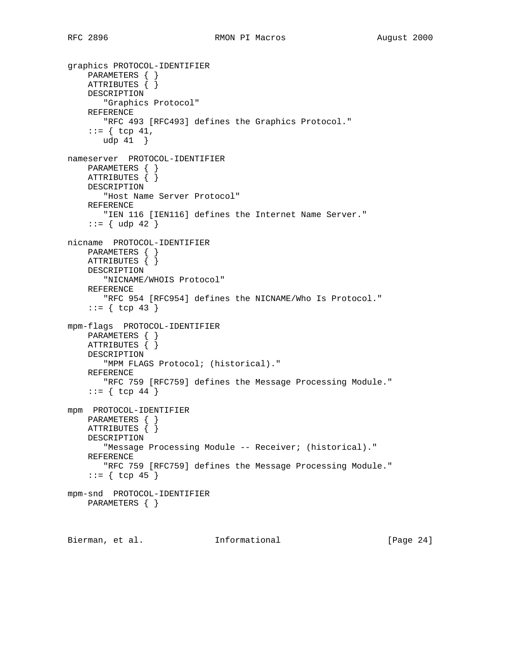```
graphics PROTOCOL-IDENTIFIER
 PARAMETERS { }
 ATTRIBUTES { }
     DESCRIPTION
        "Graphics Protocol"
     REFERENCE
        "RFC 493 [RFC493] defines the Graphics Protocol."
    ::= \{ \text{top } 41, \} udp 41 }
nameserver PROTOCOL-IDENTIFIER
    PARAMETERS { }
     ATTRIBUTES { }
     DESCRIPTION
        "Host Name Server Protocol"
     REFERENCE
       "IEN 116 [IEN116] defines the Internet Name Server."
    ::= \{ udp 42 \}nicname PROTOCOL-IDENTIFIER
    PARAMETERS { }
     ATTRIBUTES { }
     DESCRIPTION
        "NICNAME/WHOIS Protocol"
     REFERENCE
        "RFC 954 [RFC954] defines the NICNAME/Who Is Protocol."
    ::= { tcp 43 }
mpm-flags PROTOCOL-IDENTIFIER
     PARAMETERS { }
    ATTRIBUTES { }
     DESCRIPTION
        "MPM FLAGS Protocol; (historical)."
     REFERENCE
        "RFC 759 [RFC759] defines the Message Processing Module."
    ::= { tcp 44 }
mpm PROTOCOL-IDENTIFIER
    PARAMETERS { }
     ATTRIBUTES { }
     DESCRIPTION
        "Message Processing Module -- Receiver; (historical)."
     REFERENCE
       "RFC 759 [RFC759] defines the Message Processing Module."
    ::= { tcp 45 }
mpm-snd PROTOCOL-IDENTIFIER
    PARAMETERS { }
```
Bierman, et al. **Informational** [Page 24]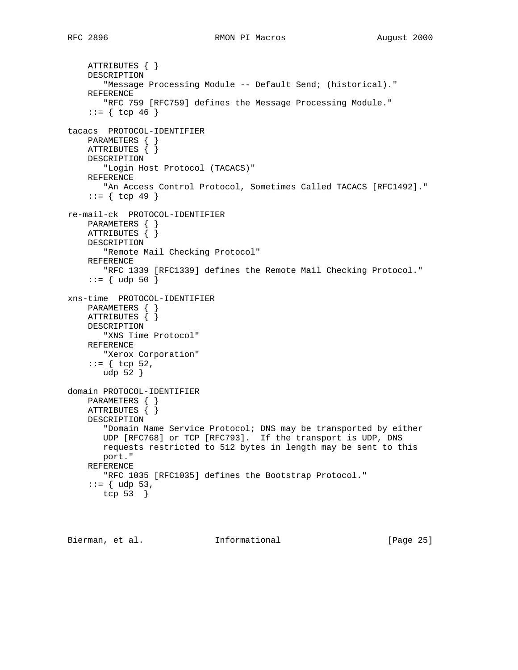# RFC 2896 **RMON PI Macros August 2000**

```
 ATTRIBUTES { }
     DESCRIPTION
        "Message Processing Module -- Default Send; (historical)."
     REFERENCE
        "RFC 759 [RFC759] defines the Message Processing Module."
    ::= { tcp 46 }
tacacs PROTOCOL-IDENTIFIER
     PARAMETERS { }
     ATTRIBUTES { }
     DESCRIPTION
       "Login Host Protocol (TACACS)"
     REFERENCE
       "An Access Control Protocol, Sometimes Called TACACS [RFC1492]."
    ::= { tcp 49 }
re-mail-ck PROTOCOL-IDENTIFIER
     PARAMETERS { }
     ATTRIBUTES { }
     DESCRIPTION
        "Remote Mail Checking Protocol"
     REFERENCE
       "RFC 1339 [RFC1339] defines the Remote Mail Checking Protocol."
    ::= { udp 50 }
xns-time PROTOCOL-IDENTIFIER
     PARAMETERS { }
     ATTRIBUTES { }
     DESCRIPTION
        "XNS Time Protocol"
     REFERENCE
       "Xerox Corporation"
    ::= \{ \text{top } 52, \} udp 52 }
domain PROTOCOL-IDENTIFIER
     PARAMETERS { }
     ATTRIBUTES { }
     DESCRIPTION
        "Domain Name Service Protocol; DNS may be transported by either
        UDP [RFC768] or TCP [RFC793]. If the transport is UDP, DNS
        requests restricted to 512 bytes in length may be sent to this
        port."
     REFERENCE
        "RFC 1035 [RFC1035] defines the Bootstrap Protocol."
    ::= \{ udp 53, tcp 53 }
```
Bierman, et al. **Informational** [Page 25]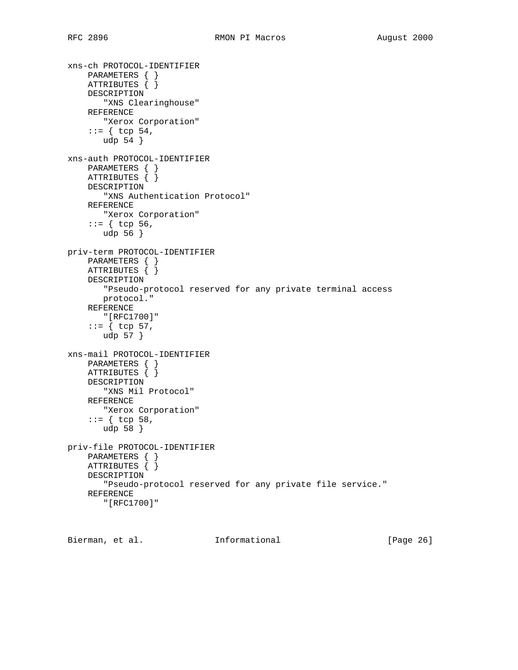```
xns-ch PROTOCOL-IDENTIFIER
 PARAMETERS { }
 ATTRIBUTES { }
     DESCRIPTION
        "XNS Clearinghouse"
     REFERENCE
       "Xerox Corporation"
    ::= \{ \text{top } 54, \} udp 54 }
xns-auth PROTOCOL-IDENTIFIER
    PARAMETERS { }
     ATTRIBUTES { }
     DESCRIPTION
        "XNS Authentication Protocol"
     REFERENCE
       "Xerox Corporation"
    ::= { tcp 56,
       udp 56 }
priv-term PROTOCOL-IDENTIFIER
    PARAMETERS { }
     ATTRIBUTES { }
     DESCRIPTION
        "Pseudo-protocol reserved for any private terminal access
        protocol."
     REFERENCE
        "[RFC1700]"
     ::= { tcp 57,
       udp 57 }
xns-mail PROTOCOL-IDENTIFIER
    PARAMETERS { }
     ATTRIBUTES { }
     DESCRIPTION
        "XNS Mil Protocol"
     REFERENCE
       "Xerox Corporation"
     ::= { tcp 58,
        udp 58 }
priv-file PROTOCOL-IDENTIFIER
     PARAMETERS { }
     ATTRIBUTES { }
     DESCRIPTION
        "Pseudo-protocol reserved for any private file service."
     REFERENCE
        "[RFC1700]"
```
Bierman, et al. **Informational** [Page 26]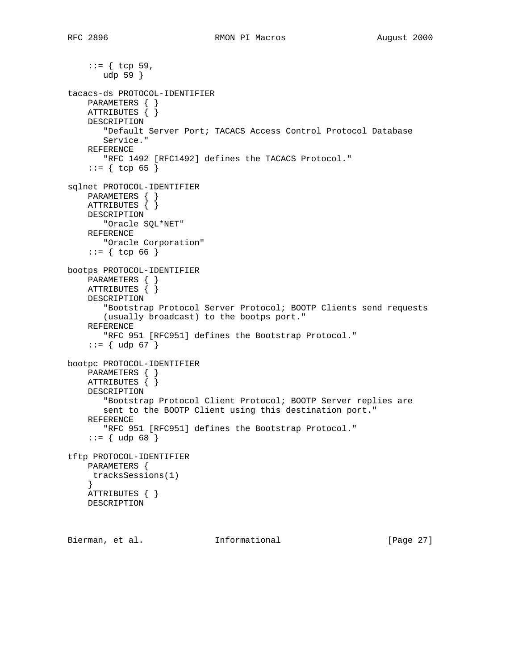```
 ::= { tcp 59,
        udp 59 }
tacacs-ds PROTOCOL-IDENTIFIER
     PARAMETERS { }
     ATTRIBUTES { }
     DESCRIPTION
        "Default Server Port; TACACS Access Control Protocol Database
        Service."
     REFERENCE
        "RFC 1492 [RFC1492] defines the TACACS Protocol."
    ::= { tcp 65 }
sqlnet PROTOCOL-IDENTIFIER
     PARAMETERS { }
     ATTRIBUTES { }
     DESCRIPTION
       "Oracle SQL*NET"
     REFERENCE
       "Oracle Corporation"
    ::= { tcp 66 }
bootps PROTOCOL-IDENTIFIER
     PARAMETERS { }
    ATTRIBUTES \{\} DESCRIPTION
        "Bootstrap Protocol Server Protocol; BOOTP Clients send requests
        (usually broadcast) to the bootps port."
     REFERENCE
        "RFC 951 [RFC951] defines the Bootstrap Protocol."
     ::= { udp 67 }
bootpc PROTOCOL-IDENTIFIER
    PARAMETERS { }
    ATTRIBUTES { }
     DESCRIPTION
        "Bootstrap Protocol Client Protocol; BOOTP Server replies are
        sent to the BOOTP Client using this destination port."
     REFERENCE
        "RFC 951 [RFC951] defines the Bootstrap Protocol."
    ::= \{ udp 68 \}tftp PROTOCOL-IDENTIFIER
    PARAMETERS {
     tracksSessions(1)
     }
    ATTRIBUTES { }
    DESCRIPTION
```
Bierman, et al. **Informational** [Page 27]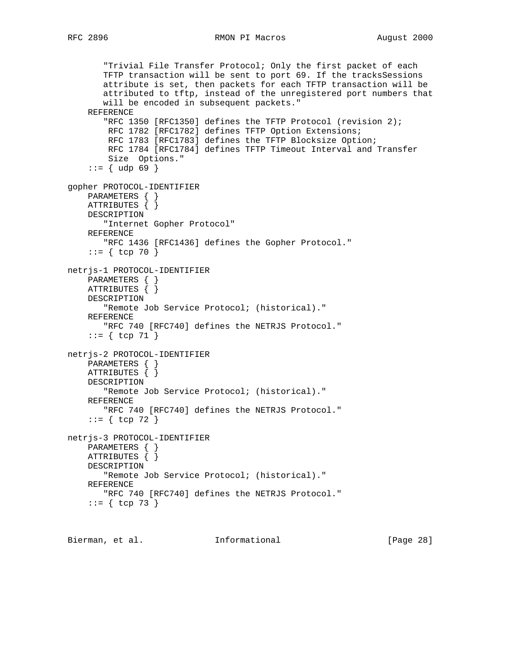```
 "Trivial File Transfer Protocol; Only the first packet of each
        TFTP transaction will be sent to port 69. If the tracksSessions
        attribute is set, then packets for each TFTP transaction will be
        attributed to tftp, instead of the unregistered port numbers that
        will be encoded in subsequent packets."
     REFERENCE
        "RFC 1350 [RFC1350] defines the TFTP Protocol (revision 2);
        RFC 1782 [RFC1782] defines TFTP Option Extensions;
         RFC 1783 [RFC1783] defines the TFTP Blocksize Option;
         RFC 1784 [RFC1784] defines TFTP Timeout Interval and Transfer
         Size Options."
    ::= { udp 69 }
gopher PROTOCOL-IDENTIFIER
     PARAMETERS { }
     ATTRIBUTES { }
     DESCRIPTION
        "Internet Gopher Protocol"
     REFERENCE
       "RFC 1436 [RFC1436] defines the Gopher Protocol."
    ::= { tcp 70 }
netrjs-1 PROTOCOL-IDENTIFIER
     PARAMETERS { }
    ATTRIBUTES \{\} DESCRIPTION
        "Remote Job Service Protocol; (historical)."
     REFERENCE
        "RFC 740 [RFC740] defines the NETRJS Protocol."
    ::= { tcp 71 }
netrjs-2 PROTOCOL-IDENTIFIER
     PARAMETERS { }
     ATTRIBUTES { }
     DESCRIPTION
        "Remote Job Service Protocol; (historical)."
     REFERENCE
       "RFC 740 [RFC740] defines the NETRJS Protocol."
    ::= { tcp 72 }
netrjs-3 PROTOCOL-IDENTIFIER
    PARAMETERS { }
     ATTRIBUTES { }
     DESCRIPTION
        "Remote Job Service Protocol; (historical)."
     REFERENCE
        "RFC 740 [RFC740] defines the NETRJS Protocol."
    ::= { tcp 73 }
```
Bierman, et al. **Informational** [Page 28]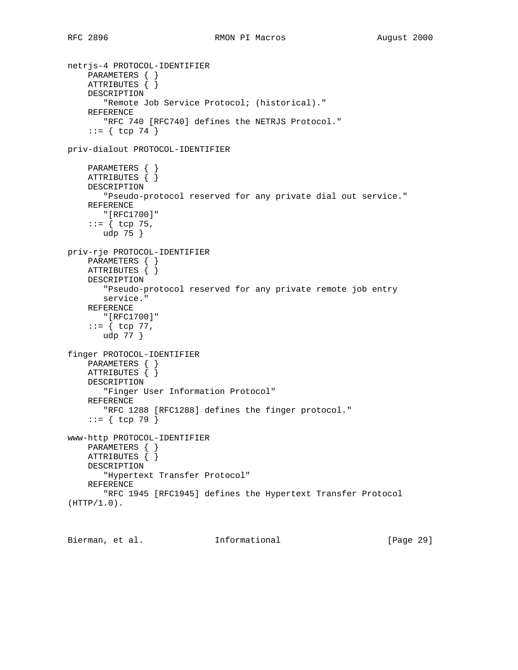```
netrjs-4 PROTOCOL-IDENTIFIER
 PARAMETERS { }
 ATTRIBUTES { }
     DESCRIPTION
        "Remote Job Service Protocol; (historical)."
     REFERENCE
        "RFC 740 [RFC740] defines the NETRJS Protocol."
    ::= { tcp 74 }
priv-dialout PROTOCOL-IDENTIFIER
     PARAMETERS { }
     ATTRIBUTES { }
     DESCRIPTION
        "Pseudo-protocol reserved for any private dial out service."
     REFERENCE
        "[RFC1700]"
    ::= \{ \text{top } 75, udp 75 }
priv-rje PROTOCOL-IDENTIFIER
     PARAMETERS { }
     ATTRIBUTES { }
     DESCRIPTION
        "Pseudo-protocol reserved for any private remote job entry
        service."
     REFERENCE
        "[RFC1700]"
    ::= \{ \text{top } 77, udp 77 }
finger PROTOCOL-IDENTIFIER
    PARAMETERS { }
     ATTRIBUTES { }
     DESCRIPTION
        "Finger User Information Protocol"
     REFERENCE
       "RFC 1288 [RFC1288] defines the finger protocol."
     ::= { tcp 79 }
www-http PROTOCOL-IDENTIFIER
    PARAMETERS { }
     ATTRIBUTES { }
     DESCRIPTION
        "Hypertext Transfer Protocol"
     REFERENCE
        "RFC 1945 [RFC1945] defines the Hypertext Transfer Protocol
(HTTP/1.0).
```
Bierman, et al. **Informational** [Page 29]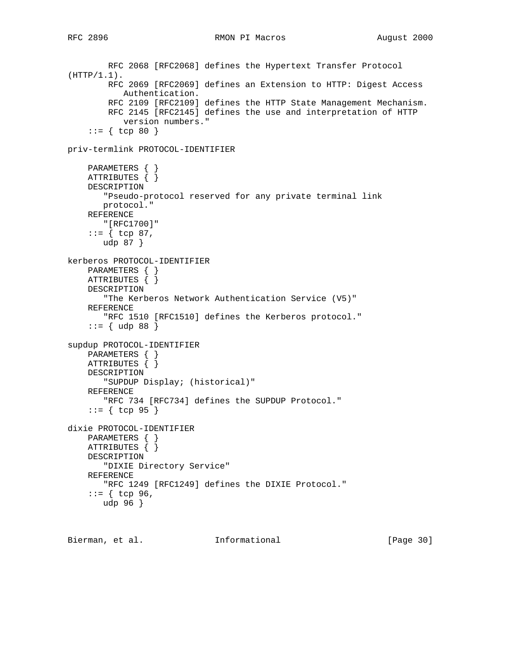RFC 2896 **RMON PI Macros August 2000** 

```
 RFC 2068 [RFC2068] defines the Hypertext Transfer Protocol
(HTTP/1.1).
         RFC 2069 [RFC2069] defines an Extension to HTTP: Digest Access
            Authentication.
         RFC 2109 [RFC2109] defines the HTTP State Management Mechanism.
         RFC 2145 [RFC2145] defines the use and interpretation of HTTP
            version numbers."
    ::= { tcp 80 }
priv-termlink PROTOCOL-IDENTIFIER
     PARAMETERS { }
     ATTRIBUTES { }
     DESCRIPTION
        "Pseudo-protocol reserved for any private terminal link
        protocol."
     REFERENCE
       "[RFC1700]"
    ::= { tcp 87,
       udp 87 }
kerberos PROTOCOL-IDENTIFIER
     PARAMETERS { }
    ATTRIBUTES \{ \} DESCRIPTION
        "The Kerberos Network Authentication Service (V5)"
     REFERENCE
        "RFC 1510 [RFC1510] defines the Kerberos protocol."
    ::= \{ udp 88 \}supdup PROTOCOL-IDENTIFIER
    PARAMETERS { }
     ATTRIBUTES { }
     DESCRIPTION
        "SUPDUP Display; (historical)"
     REFERENCE
        "RFC 734 [RFC734] defines the SUPDUP Protocol."
     ::= { tcp 95 }
dixie PROTOCOL-IDENTIFIER
     PARAMETERS { }
     ATTRIBUTES { }
     DESCRIPTION
        "DIXIE Directory Service"
     REFERENCE
        "RFC 1249 [RFC1249] defines the DIXIE Protocol."
    ::= \{ \text{top } 96, \} udp 96 }
```
Bierman, et al. 1nformational 1999 [Page 30]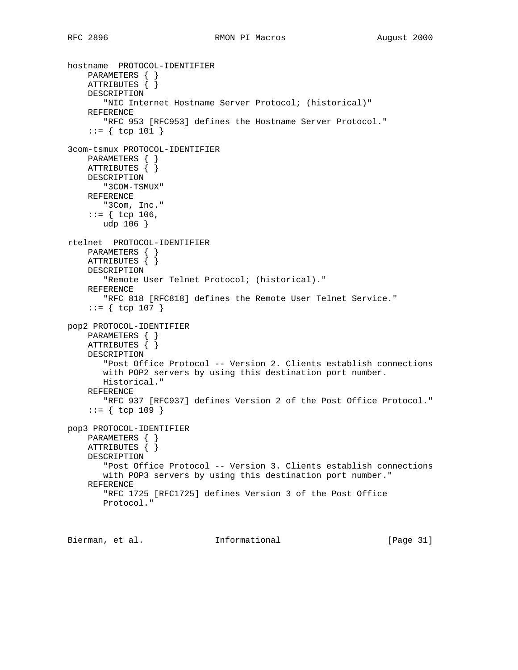```
hostname PROTOCOL-IDENTIFIER
 PARAMETERS { }
 ATTRIBUTES { }
     DESCRIPTION
        "NIC Internet Hostname Server Protocol; (historical)"
     REFERENCE
        "RFC 953 [RFC953] defines the Hostname Server Protocol."
     ::= { tcp 101 }
3com-tsmux PROTOCOL-IDENTIFIER
    PARAMETERS { }
    ATTRIBUTES { }
    DESCRIPTION
       "3COM-TSMUX"
     REFERENCE
        "3Com, Inc."
    ::= { tcp 106,
       udp 106 }
rtelnet PROTOCOL-IDENTIFIER
    PARAMETERS { }
     ATTRIBUTES { }
     DESCRIPTION
        "Remote User Telnet Protocol; (historical)."
     REFERENCE
       "RFC 818 [RFC818] defines the Remote User Telnet Service."
     ::= { tcp 107 }
pop2 PROTOCOL-IDENTIFIER
     PARAMETERS { }
    ATTRIBUTES { }
     DESCRIPTION
        "Post Office Protocol -- Version 2. Clients establish connections
       with POP2 servers by using this destination port number.
       Historical."
     REFERENCE
        "RFC 937 [RFC937] defines Version 2 of the Post Office Protocol."
     ::= { tcp 109 }
pop3 PROTOCOL-IDENTIFIER
    PARAMETERS { }
     ATTRIBUTES { }
     DESCRIPTION
        "Post Office Protocol -- Version 3. Clients establish connections
        with POP3 servers by using this destination port number."
     REFERENCE
        "RFC 1725 [RFC1725] defines Version 3 of the Post Office
        Protocol."
```
Bierman, et al. **Informational** [Page 31]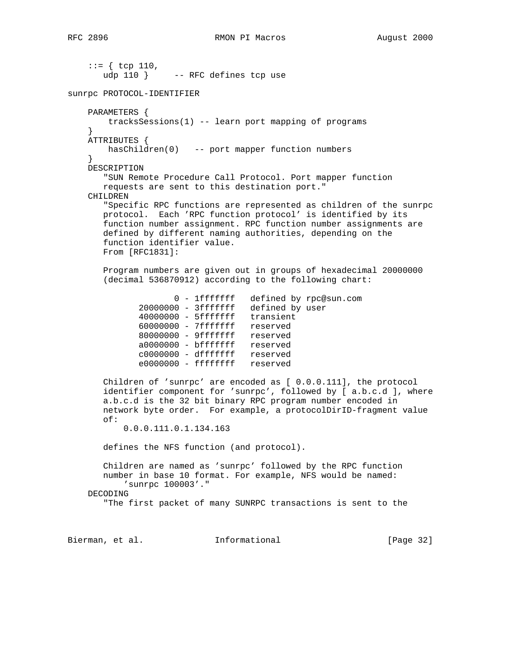```
::= { tcp 110,
      udp 110 } -- RFC defines tcp use
sunrpc PROTOCOL-IDENTIFIER
    PARAMETERS {
       tracksSessions(1) -- learn port mapping of programs
 }
    ATTRIBUTES {
       hasChildren(0) -- port mapper function numbers
 }
    DESCRIPTION
       "SUN Remote Procedure Call Protocol. Port mapper function
       requests are sent to this destination port."
    CHILDREN
       "Specific RPC functions are represented as children of the sunrpc
       protocol. Each 'RPC function protocol' is identified by its
       function number assignment. RPC function number assignments are
       defined by different naming authorities, depending on the
       function identifier value.
       From [RFC1831]:
       Program numbers are given out in groups of hexadecimal 20000000
       (decimal 536870912) according to the following chart:
0 - 1fffffff defined by rpc@sun.com
20000000 - 3fffffff defined by user
 40000000 - 5fffffff transient
 60000000 - 7fffffff reserved
 80000000 - 9fffffff reserved
              a0000000 - bfffffff reserved
              c0000000 - dfffffff reserved
             e0000000 - ffffffff reserved
       Children of 'sunrpc' are encoded as [ 0.0.0.111], the protocol
       identifier component for 'sunrpc', followed by [ a.b.c.d ], where
       a.b.c.d is the 32 bit binary RPC program number encoded in
       network byte order. For example, a protocolDirID-fragment value
       of:
           0.0.0.111.0.1.134.163
       defines the NFS function (and protocol).
       Children are named as 'sunrpc' followed by the RPC function
       number in base 10 format. For example, NFS would be named:
           'sunrpc 100003'."
    DECODING
       "The first packet of many SUNRPC transactions is sent to the
Bierman, et al. Informational [Page 32]
```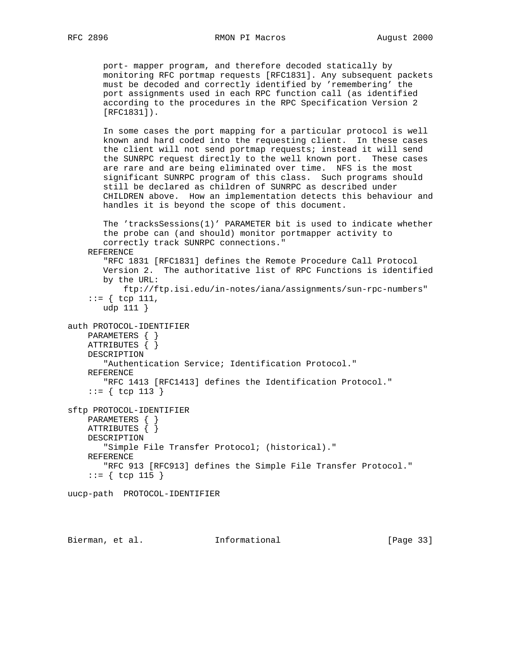port- mapper program, and therefore decoded statically by monitoring RFC portmap requests [RFC1831]. Any subsequent packets must be decoded and correctly identified by 'remembering' the port assignments used in each RPC function call (as identified according to the procedures in the RPC Specification Version 2 [RFC1831]).

 In some cases the port mapping for a particular protocol is well known and hard coded into the requesting client. In these cases the client will not send portmap requests; instead it will send the SUNRPC request directly to the well known port. These cases are rare and are being eliminated over time. NFS is the most significant SUNRPC program of this class. Such programs should still be declared as children of SUNRPC as described under CHILDREN above. How an implementation detects this behaviour and handles it is beyond the scope of this document.

```
 The 'tracksSessions(1)' PARAMETER bit is used to indicate whether
        the probe can (and should) monitor portmapper activity to
        correctly track SUNRPC connections."
     REFERENCE
        "RFC 1831 [RFC1831] defines the Remote Procedure Call Protocol
        Version 2. The authoritative list of RPC Functions is identified
        by the URL:
            ftp://ftp.isi.edu/in-notes/iana/assignments/sun-rpc-numbers"
    ::= \{ \text{top } 111, \} udp 111 }
auth PROTOCOL-IDENTIFIER
     PARAMETERS { }
     ATTRIBUTES { }
     DESCRIPTION
        "Authentication Service; Identification Protocol."
     REFERENCE
        "RFC 1413 [RFC1413] defines the Identification Protocol."
     ::= { tcp 113 }
sftp PROTOCOL-IDENTIFIER
     PARAMETERS { }
     ATTRIBUTES { }
     DESCRIPTION
        "Simple File Transfer Protocol; (historical)."
     REFERENCE
        "RFC 913 [RFC913] defines the Simple File Transfer Protocol."
     ::= { tcp 115 }
uucp-path PROTOCOL-IDENTIFIER
```
Bierman, et al. Informational [Page 33]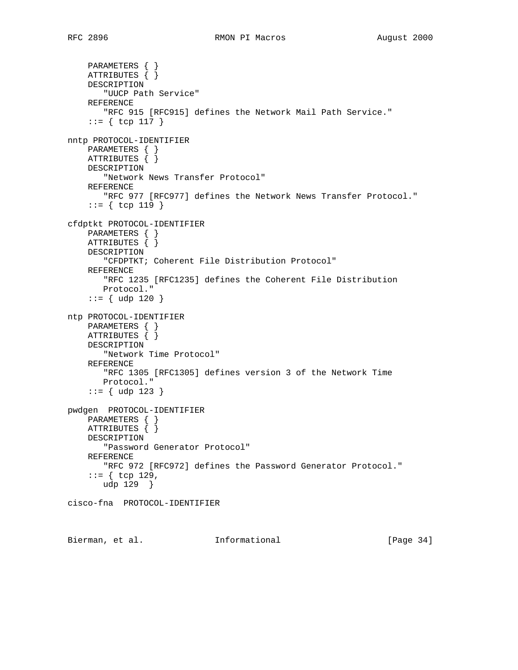```
 PARAMETERS { }
     ATTRIBUTES { }
     DESCRIPTION
        "UUCP Path Service"
     REFERENCE
        "RFC 915 [RFC915] defines the Network Mail Path Service."
     ::= { tcp 117 }
nntp PROTOCOL-IDENTIFIER
    PARAMETERS { }
     ATTRIBUTES { }
     DESCRIPTION
        "Network News Transfer Protocol"
     REFERENCE
        "RFC 977 [RFC977] defines the Network News Transfer Protocol."
     ::= { tcp 119 }
cfdptkt PROTOCOL-IDENTIFIER
    PARAMETERS { }
     ATTRIBUTES { }
     DESCRIPTION
        "CFDPTKT; Coherent File Distribution Protocol"
     REFERENCE
        "RFC 1235 [RFC1235] defines the Coherent File Distribution
        Protocol."
    ::= { udp 120 }
ntp PROTOCOL-IDENTIFIER
     PARAMETERS { }
    ATTRIBUTES \{ \} DESCRIPTION
        "Network Time Protocol"
     REFERENCE
        "RFC 1305 [RFC1305] defines version 3 of the Network Time
       Protocol."
     ::= { udp 123 }
pwdgen PROTOCOL-IDENTIFIER
     PARAMETERS { }
     ATTRIBUTES { }
     DESCRIPTION
        "Password Generator Protocol"
     REFERENCE
        "RFC 972 [RFC972] defines the Password Generator Protocol."
    ::= \{ \text{top } 129, \} udp 129 }
cisco-fna PROTOCOL-IDENTIFIER
```
Bierman, et al. **Informational** [Page 34]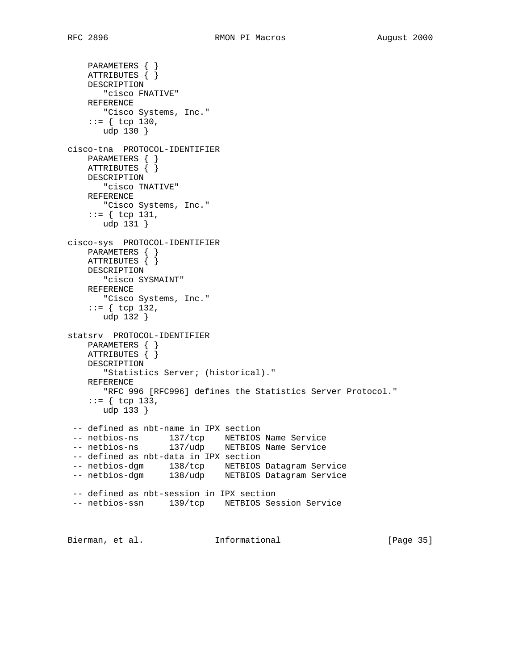```
 PARAMETERS { }
    ATTRIBUTES { }
    DESCRIPTION
        "cisco FNATIVE"
     REFERENCE
       "Cisco Systems, Inc."
    ::= { tcp 130,
       udp 130 }
cisco-tna PROTOCOL-IDENTIFIER
    PARAMETERS { }
    ATTRIBUTES { }
    DESCRIPTION
       "cisco TNATIVE"
     REFERENCE
       "Cisco Systems, Inc."
    ::= { tcp 131,
       udp 131 }
cisco-sys PROTOCOL-IDENTIFIER
    PARAMETERS { }
    ATTRIBUTES { }
    DESCRIPTION
       "cisco SYSMAINT"
     REFERENCE
       "Cisco Systems, Inc."
    ::= { tcp 132,
       udp 132 }
statsrv PROTOCOL-IDENTIFIER
    PARAMETERS { }
    ATTRIBUTES { }
    DESCRIPTION
        "Statistics Server; (historical)."
    REFERENCE
       "RFC 996 [RFC996] defines the Statistics Server Protocol."
    ::= { tcp 133,
       udp 133 }
  -- defined as nbt-name in IPX section
 -- netbios-ns 137/tcp NETBIOS Name Service
 -- netbios-ns 137/udp NETBIOS Name Service
  -- defined as nbt-data in IPX section
 -- netbios-dgm 138/tcp NETBIOS Datagram Service
 -- netbios-dgm 138/udp NETBIOS Datagram Service
  -- defined as nbt-session in IPX section
  -- netbios-ssn 139/tcp NETBIOS Session Service
Bierman, et al.             Informational             [Page 35]
```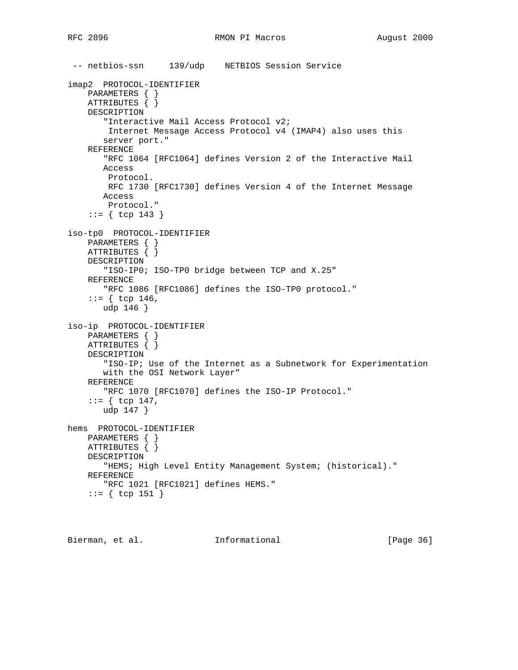```
 -- netbios-ssn 139/udp NETBIOS Session Service
imap2 PROTOCOL-IDENTIFIER
    PARAMETERS { }
    ATTRIBUTES { }
    DESCRIPTION
        "Interactive Mail Access Protocol v2;
        Internet Message Access Protocol v4 (IMAP4) also uses this
        server port."
     REFERENCE
        "RFC 1064 [RFC1064] defines Version 2 of the Interactive Mail
       Access
        Protocol.
        RFC 1730 [RFC1730] defines Version 4 of the Internet Message
       Access
         Protocol."
     ::= { tcp 143 }
iso-tp0 PROTOCOL-IDENTIFIER
     PARAMETERS { }
     ATTRIBUTES { }
     DESCRIPTION
        "ISO-IP0; ISO-TP0 bridge between TCP and X.25"
     REFERENCE
        "RFC 1086 [RFC1086] defines the ISO-TP0 protocol."
    ::= { tcp 146,
        udp 146 }
iso-ip PROTOCOL-IDENTIFIER
     PARAMETERS { }
     ATTRIBUTES { }
     DESCRIPTION
        "ISO-IP; Use of the Internet as a Subnetwork for Experimentation
        with the OSI Network Layer"
     REFERENCE
        "RFC 1070 [RFC1070] defines the ISO-IP Protocol."
     ::= { tcp 147,
        udp 147 }
hems PROTOCOL-IDENTIFIER
    PARAMETERS { }
    ATTRIBUTES { }
     DESCRIPTION
        "HEMS; High Level Entity Management System; (historical)."
     REFERENCE
        "RFC 1021 [RFC1021] defines HEMS."
     ::= { tcp 151 }
```

```
Bierman, et al. Informational [Page 36]
```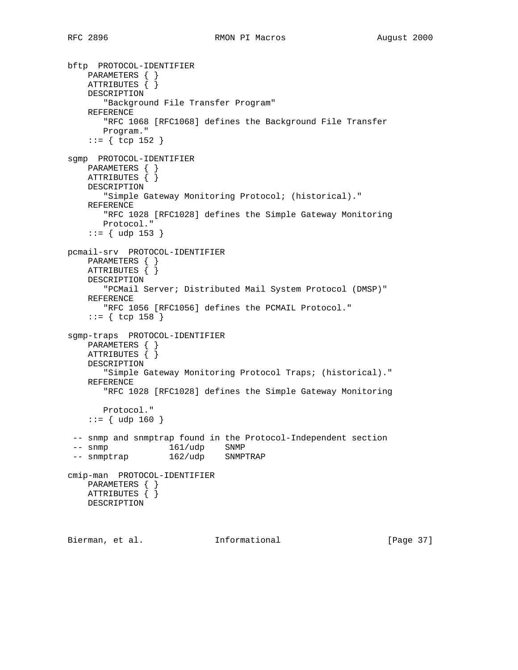```
bftp PROTOCOL-IDENTIFIER
 PARAMETERS { }
 ATTRIBUTES { }
    DESCRIPTION
        "Background File Transfer Program"
    REFERENCE
       "RFC 1068 [RFC1068] defines the Background File Transfer
       Program."
     ::= { tcp 152 }
sgmp PROTOCOL-IDENTIFIER
    PARAMETERS { }
   ATTRIBUTES \{\} DESCRIPTION
       "Simple Gateway Monitoring Protocol; (historical)."
    REFERENCE
       "RFC 1028 [RFC1028] defines the Simple Gateway Monitoring
       Protocol."
     ::= { udp 153 }
pcmail-srv PROTOCOL-IDENTIFIER
    PARAMETERS { }
    ATTRIBUTES { }
    DESCRIPTION
        "PCMail Server; Distributed Mail System Protocol (DMSP)"
    REFERENCE
        "RFC 1056 [RFC1056] defines the PCMAIL Protocol."
     ::= { tcp 158 }
sgmp-traps PROTOCOL-IDENTIFIER
    PARAMETERS { }
    ATTRIBUTES { }
    DESCRIPTION
        "Simple Gateway Monitoring Protocol Traps; (historical)."
    REFERENCE
       "RFC 1028 [RFC1028] defines the Simple Gateway Monitoring
       Protocol."
    ::= { udp 160 }
 -- snmp and snmptrap found in the Protocol-Independent section
-- snmp<br>-- snmptrap 162/udp SNMPTRAP
-- snmptrap 162/udp
cmip-man PROTOCOL-IDENTIFIER
   PARAMETERS { }
    ATTRIBUTES { }
    DESCRIPTION
Bierman, et al. Informational [Page 37]
```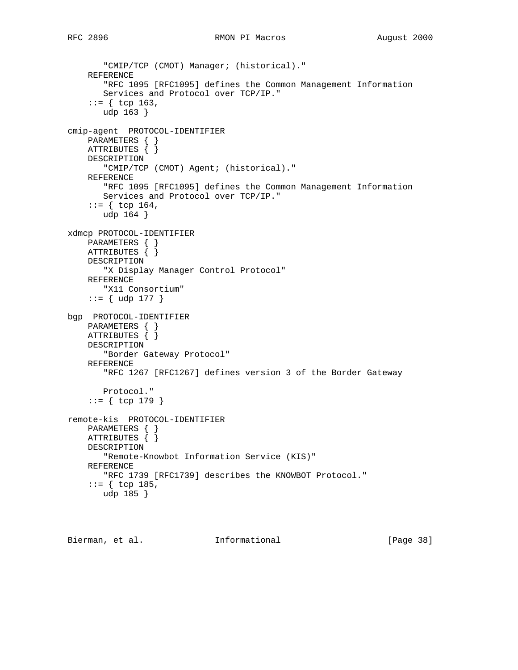```
 "CMIP/TCP (CMOT) Manager; (historical)."
     REFERENCE
        "RFC 1095 [RFC1095] defines the Common Management Information
        Services and Protocol over TCP/IP."
    ::= { tcp 163,
        udp 163 }
cmip-agent PROTOCOL-IDENTIFIER
     PARAMETERS { }
     ATTRIBUTES { }
     DESCRIPTION
        "CMIP/TCP (CMOT) Agent; (historical)."
     REFERENCE
        "RFC 1095 [RFC1095] defines the Common Management Information
        Services and Protocol over TCP/IP."
     ::= { tcp 164,
        udp 164 }
xdmcp PROTOCOL-IDENTIFIER
    PARAMETERS { }
    ATTRIBUTES { }
     DESCRIPTION
        "X Display Manager Control Protocol"
     REFERENCE
        "X11 Consortium"
    ::= { udp 177 }
bgp PROTOCOL-IDENTIFIER
    PARAMETERS { }
    ATTRIBUTES { }
     DESCRIPTION
        "Border Gateway Protocol"
     REFERENCE
        "RFC 1267 [RFC1267] defines version 3 of the Border Gateway
        Protocol."
     ::= { tcp 179 }
remote-kis PROTOCOL-IDENTIFIER
     PARAMETERS { }
     ATTRIBUTES { }
     DESCRIPTION
        "Remote-Knowbot Information Service (KIS)"
     REFERENCE
        "RFC 1739 [RFC1739] describes the KNOWBOT Protocol."
    ::= { tcp 185,
        udp 185 }
```
Bierman, et al. **Informational** [Page 38]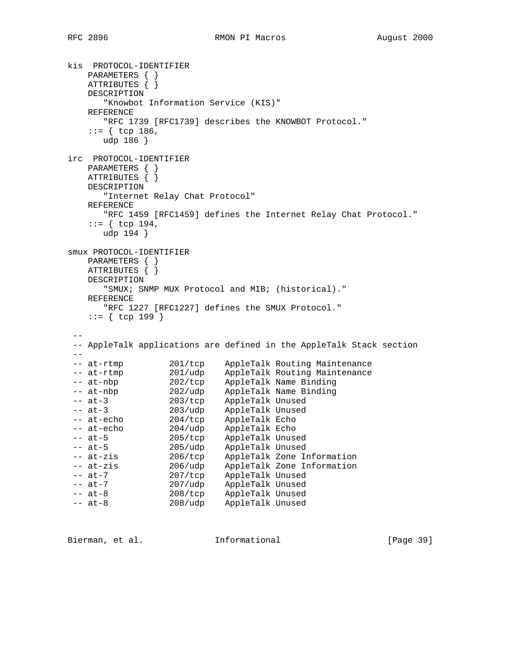```
kis PROTOCOL-IDENTIFIER
    PARAMETERS { }
    ATTRIBUTES { }
    DESCRIPTION
       "Knowbot Information Service (KIS)"
    REFERENCE
       "RFC 1739 [RFC1739] describes the KNOWBOT Protocol."
   ::= { tcp 186,
      udp 186 }
irc PROTOCOL-IDENTIFIER
    PARAMETERS { }
   ATTRIBUTES \{\} DESCRIPTION
       "Internet Relay Chat Protocol"
    REFERENCE
       "RFC 1459 [RFC1459] defines the Internet Relay Chat Protocol."
   ::= { tcp 194,
       udp 194 }
smux PROTOCOL-IDENTIFIER
    PARAMETERS { }
    ATTRIBUTES { }
    DESCRIPTION
       "SMUX; SNMP MUX Protocol and MIB; (historical)."
    REFERENCE
       "RFC 1227 [RFC1227] defines the SMUX Protocol."
    ::= { tcp 199 }
 - - -- AppleTalk applications are defined in the AppleTalk Stack section
 --
 -- at-rtmp 201/tcp AppleTalk Routing Maintenance
 -- at-rtmp 201/udp AppleTalk Routing Maintenance
 -- at-nbp 202/tcp AppleTalk Name Binding
 -- at-nbp 202/udp AppleTalk Name Binding
 -- at-3 203/tcp AppleTalk Unused
 -- at-3 203/udp AppleTalk Unused
 -- at-echo 204/tcp AppleTalk Echo
 -- at-echo 204/udp AppleTalk Echo
 -- at-5 205/tcp AppleTalk Unused
 -- at-5 205/udp AppleTalk Unused
 -- at-zis 206/tcp AppleTalk Zone Information
 -- at-zis 206/udp AppleTalk Zone Information
 -- at-7 207/tcp AppleTalk Unused
 -- at-7 207/udp AppleTalk Unused
 -- at-8 208/tcp AppleTalk Unused
 -- at-8 208/udp AppleTalk Unused
```
Bierman, et al. **Informational** [Page 39]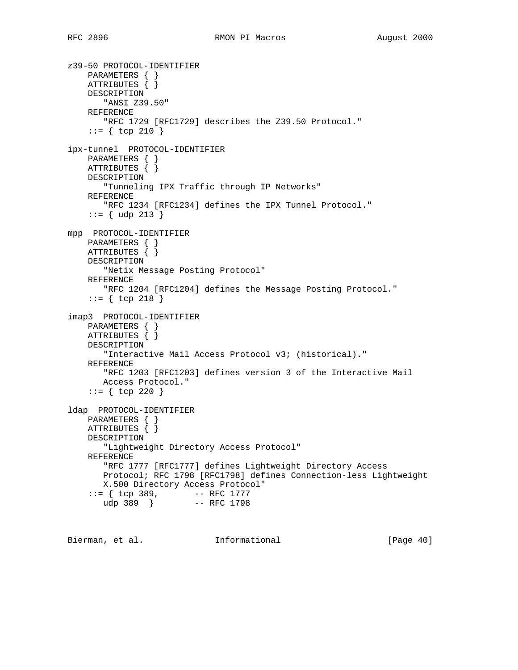```
z39-50 PROTOCOL-IDENTIFIER
 PARAMETERS { }
 ATTRIBUTES { }
     DESCRIPTION
        "ANSI Z39.50"
    REFERENCE
       "RFC 1729 [RFC1729] describes the Z39.50 Protocol."
    ::= { tcp 210 }
ipx-tunnel PROTOCOL-IDENTIFIER
     PARAMETERS { }
    ATTRIBUTES { }
    DESCRIPTION
       "Tunneling IPX Traffic through IP Networks"
     REFERENCE
        "RFC 1234 [RFC1234] defines the IPX Tunnel Protocol."
     ::= { udp 213 }
mpp PROTOCOL-IDENTIFIER
    PARAMETERS { }
    ATTRIBUTES { }
    DESCRIPTION
        "Netix Message Posting Protocol"
    REFERENCE
       "RFC 1204 [RFC1204] defines the Message Posting Protocol."
     ::= { tcp 218 }
imap3 PROTOCOL-IDENTIFIER
    PARAMETERS { }
    ATTRIBUTES { }
    DESCRIPTION
        "Interactive Mail Access Protocol v3; (historical)."
     REFERENCE
        "RFC 1203 [RFC1203] defines version 3 of the Interactive Mail
       Access Protocol."
     ::= { tcp 220 }
ldap PROTOCOL-IDENTIFIER
    PARAMETERS { }
    ATTRIBUTES { }
    DESCRIPTION
        "Lightweight Directory Access Protocol"
     REFERENCE
        "RFC 1777 [RFC1777] defines Lightweight Directory Access
        Protocol; RFC 1798 [RFC1798] defines Connection-less Lightweight
       X.500 Directory Access Protocol"
 ::= { tcp 389, -- RFC 1777
 udp 389 } -- RFC 1798
```
Bierman, et al. **Informational** [Page 40]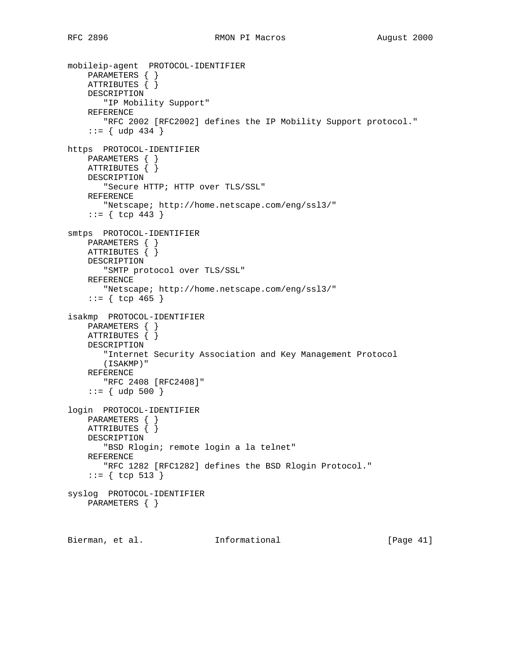```
mobileip-agent PROTOCOL-IDENTIFIER
     PARAMETERS { }
    ATTRIBUTES \{\} DESCRIPTION
        "IP Mobility Support"
     REFERENCE
       "RFC 2002 [RFC2002] defines the IP Mobility Support protocol."
    ::= { udp 434 }
https PROTOCOL-IDENTIFIER
     PARAMETERS { }
     ATTRIBUTES { }
     DESCRIPTION
        "Secure HTTP; HTTP over TLS/SSL"
     REFERENCE
        "Netscape; http://home.netscape.com/eng/ssl3/"
     ::= { tcp 443 }
smtps PROTOCOL-IDENTIFIER
    PARAMETERS { }
    ATTRIBUTES { }
     DESCRIPTION
        "SMTP protocol over TLS/SSL"
     REFERENCE
        "Netscape; http://home.netscape.com/eng/ssl3/"
    ::= { tcp 465 }
isakmp PROTOCOL-IDENTIFIER
     PARAMETERS { }
     ATTRIBUTES { }
     DESCRIPTION
        "Internet Security Association and Key Management Protocol
        (ISAKMP)"
     REFERENCE
        "RFC 2408 [RFC2408]"
    ::= { udp 500 }
login PROTOCOL-IDENTIFIER
     PARAMETERS { }
     ATTRIBUTES { }
     DESCRIPTION
        "BSD Rlogin; remote login a la telnet"
     REFERENCE
       "RFC 1282 [RFC1282] defines the BSD Rlogin Protocol."
     ::= { tcp 513 }
syslog PROTOCOL-IDENTIFIER
     PARAMETERS { }
```
Bierman, et al. **Informational** [Page 41]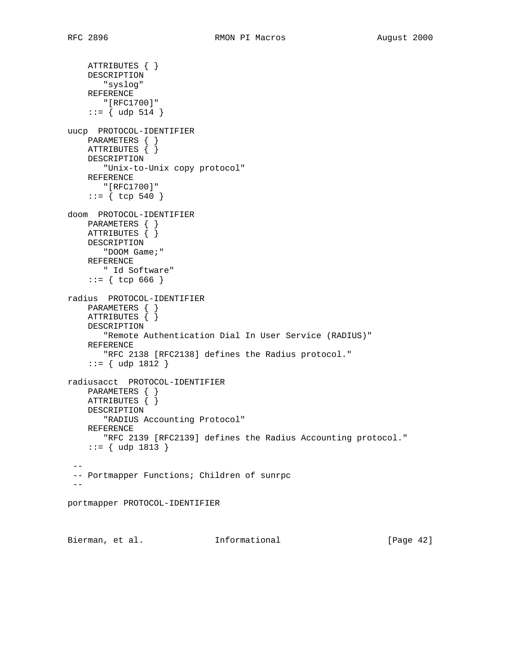```
 ATTRIBUTES { }
     DESCRIPTION
       "syslog"
     REFERENCE
       "[RFC1700]"
    ::= { udp 514 }
uucp PROTOCOL-IDENTIFIER
    PARAMETERS { }
    ATTRIBUTES { }
    DESCRIPTION
       "Unix-to-Unix copy protocol"
    REFERENCE
      "[RFC1700]"
    ::= { tcp 540 }
doom PROTOCOL-IDENTIFIER
    PARAMETERS { }
    ATTRIBUTES { }
    DESCRIPTION
       "DOOM Game;"
    REFERENCE
      " Id Software"
     ::= { tcp 666 }
radius PROTOCOL-IDENTIFIER
    PARAMETERS { }
     ATTRIBUTES { }
    DESCRIPTION
        "Remote Authentication Dial In User Service (RADIUS)"
    REFERENCE
       "RFC 2138 [RFC2138] defines the Radius protocol."
     ::= { udp 1812 }
radiusacct PROTOCOL-IDENTIFIER
    PARAMETERS { }
    ATTRIBUTES { }
    DESCRIPTION
       "RADIUS Accounting Protocol"
     REFERENCE
       "RFC 2139 [RFC2139] defines the Radius Accounting protocol."
     ::= { udp 1813 }
 --
  -- Portmapper Functions; Children of sunrpc
 -portmapper PROTOCOL-IDENTIFIER
Bierman, et al. Informational [Page 42]
```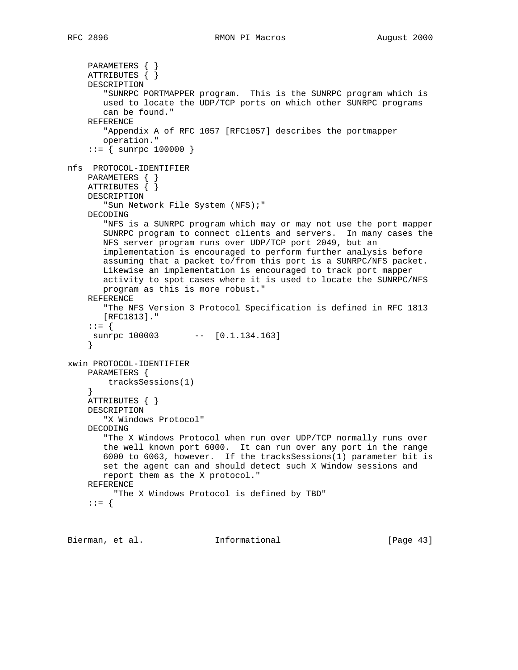```
 PARAMETERS { }
     ATTRIBUTES { }
     DESCRIPTION
        "SUNRPC PORTMAPPER program. This is the SUNRPC program which is
        used to locate the UDP/TCP ports on which other SUNRPC programs
        can be found."
     REFERENCE
        "Appendix A of RFC 1057 [RFC1057] describes the portmapper
       operation."
    ::= { sunrpc 100000 }
nfs PROTOCOL-IDENTIFIER
     PARAMETERS { }
     ATTRIBUTES { }
     DESCRIPTION
        "Sun Network File System (NFS);"
     DECODING
        "NFS is a SUNRPC program which may or may not use the port mapper
        SUNRPC program to connect clients and servers. In many cases the
        NFS server program runs over UDP/TCP port 2049, but an
        implementation is encouraged to perform further analysis before
        assuming that a packet to/from this port is a SUNRPC/NFS packet.
        Likewise an implementation is encouraged to track port mapper
        activity to spot cases where it is used to locate the SUNRPC/NFS
        program as this is more robust."
     REFERENCE
        "The NFS Version 3 Protocol Specification is defined in RFC 1813
        [RFC1813]."
     ::= {
    sunrpc 100003 -- [0.1.134.163]
     }
xwin PROTOCOL-IDENTIFIER
     PARAMETERS {
         tracksSessions(1)
     }
     ATTRIBUTES { }
     DESCRIPTION
        "X Windows Protocol"
     DECODING
        "The X Windows Protocol when run over UDP/TCP normally runs over
        the well known port 6000. It can run over any port in the range
        6000 to 6063, however. If the tracksSessions(1) parameter bit is
        set the agent can and should detect such X Window sessions and
        report them as the X protocol."
     REFERENCE
          "The X Windows Protocol is defined by TBD"
     ::= {
```
Bierman, et al. **Informational** [Page 43]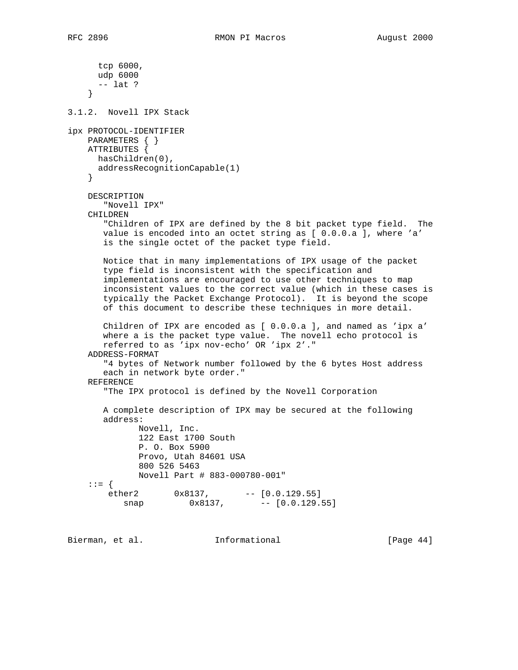tcp 6000, udp 6000 -- lat ? } 3.1.2. Novell IPX Stack ipx PROTOCOL-IDENTIFIER PARAMETERS { } ATTRIBUTES { hasChildren(0), addressRecognitionCapable(1) } DESCRIPTION "Novell IPX" CHILDREN "Children of IPX are defined by the 8 bit packet type field. The value is encoded into an octet string as [ 0.0.0.a ], where 'a' is the single octet of the packet type field. Notice that in many implementations of IPX usage of the packet type field is inconsistent with the specification and implementations are encouraged to use other techniques to map inconsistent values to the correct value (which in these cases is typically the Packet Exchange Protocol). It is beyond the scope of this document to describe these techniques in more detail. Children of IPX are encoded as [ 0.0.0.a ], and named as 'ipx a' where a is the packet type value. The novell echo protocol is referred to as 'ipx nov-echo' OR 'ipx 2'." ADDRESS-FORMAT "4 bytes of Network number followed by the 6 bytes Host address each in network byte order." REFERENCE "The IPX protocol is defined by the Novell Corporation A complete description of IPX may be secured at the following address: Novell, Inc. 122 East 1700 South P. O. Box 5900 Provo, Utah 84601 USA 800 526 5463 Novell Part # 883-000780-001"  $::= \{\begin{matrix} \text{other 2} \ \text{on} \end{matrix}$ ether2 0x8137, -- [0.0.129.55] snap 0x8137, -- [0.0.129.55]

Bierman, et al. **Informational** [Page 44]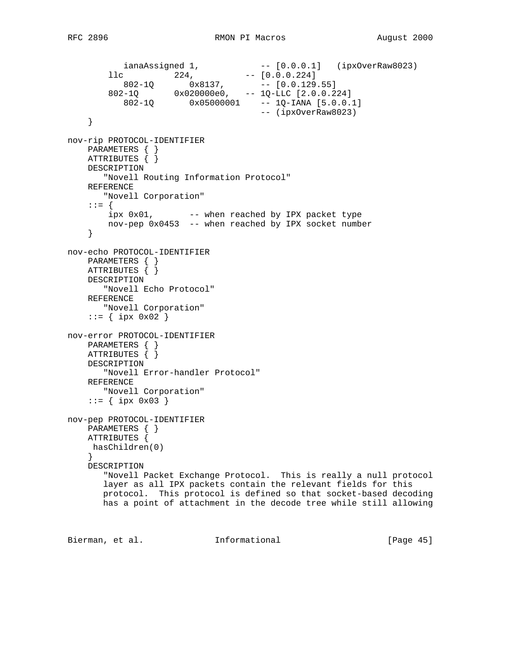```
 ianaAssigned 1, -- [0.0.0.1] (ipxOverRaw8023)
11c 224, - [0.0.0.224]
802-1Q 0x8137, - [0.0.129.55]
 802-1Q 0x020000e0, -- 1Q-LLC [2.0.0.224]
 802-1Q 0x05000001 -- 1Q-IANA [5.0.0.1]
 -- (ipxOverRaw8023)
    }
nov-rip PROTOCOL-IDENTIFIER
    PARAMETERS { }
    ATTRIBUTES { }
    DESCRIPTION
       "Novell Routing Information Protocol"
    REFERENCE
       "Novell Corporation"
    ::= {
      ipx 0x01, -- when reached by IPX packet type
       nov-pep 0x0453 -- when reached by IPX socket number
    }
nov-echo PROTOCOL-IDENTIFIER
    PARAMETERS { }
    ATTRIBUTES { }
    DESCRIPTION
       "Novell Echo Protocol"
    REFERENCE
      "Novell Corporation"
   ::= { ipx 0x02}
nov-error PROTOCOL-IDENTIFIER
    PARAMETERS { }
    ATTRIBUTES { }
    DESCRIPTION
       "Novell Error-handler Protocol"
    REFERENCE
      "Novell Corporation"
   ::= { ipx 0x03 }
nov-pep PROTOCOL-IDENTIFIER
    PARAMETERS { }
    ATTRIBUTES {
    hasChildren(0)
    }
    DESCRIPTION
       "Novell Packet Exchange Protocol. This is really a null protocol
       layer as all IPX packets contain the relevant fields for this
       protocol. This protocol is defined so that socket-based decoding
       has a point of attachment in the decode tree while still allowing
```
Bierman, et al. 1nformational 1999 [Page 45]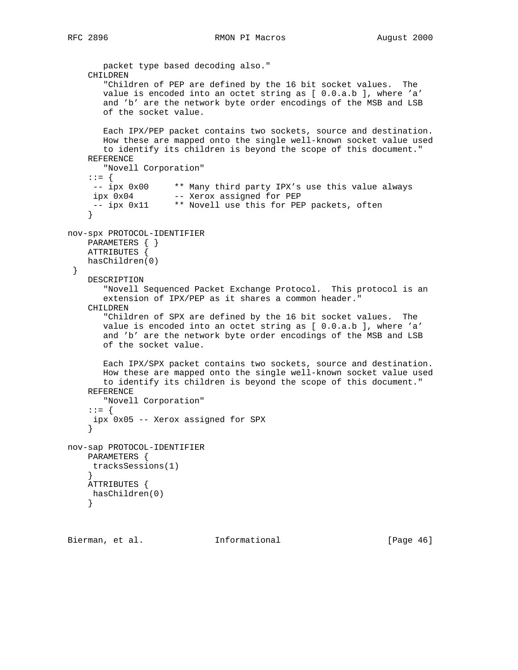```
 packet type based decoding also."
     CHILDREN
        "Children of PEP are defined by the 16 bit socket values. The
        value is encoded into an octet string as [ 0.0.a.b ], where 'a'
        and 'b' are the network byte order encodings of the MSB and LSB
        of the socket value.
        Each IPX/PEP packet contains two sockets, source and destination.
        How these are mapped onto the single well-known socket value used
        to identify its children is beyond the scope of this document."
     REFERENCE
       "Novell Corporation"
     ::= {
 -- ipx 0x00 ** Many third party IPX's use this value always
 ipx 0x04 -- Xerox assigned for PEP
      -- ipx 0x11 ** Novell use this for PEP packets, often
     }
nov-spx PROTOCOL-IDENTIFIER
    PARAMETERS { }
    ATTRIBUTES {
    hasChildren(0)
  }
    DESCRIPTION
        "Novell Sequenced Packet Exchange Protocol. This protocol is an
        extension of IPX/PEP as it shares a common header."
     CHILDREN
        "Children of SPX are defined by the 16 bit socket values. The
        value is encoded into an octet string as [ 0.0.a.b ], where 'a'
        and 'b' are the network byte order encodings of the MSB and LSB
        of the socket value.
       Each IPX/SPX packet contains two sockets, source and destination.
        How these are mapped onto the single well-known socket value used
        to identify its children is beyond the scope of this document."
     REFERENCE
       "Novell Corporation"
     ::= {
     ipx 0x05 -- Xerox assigned for SPX
     }
nov-sap PROTOCOL-IDENTIFIER
    PARAMETERS {
     tracksSessions(1)
     }
    ATTRIBUTES {
     hasChildren(0)
     }
```
Bierman, et al. **Informational** [Page 46]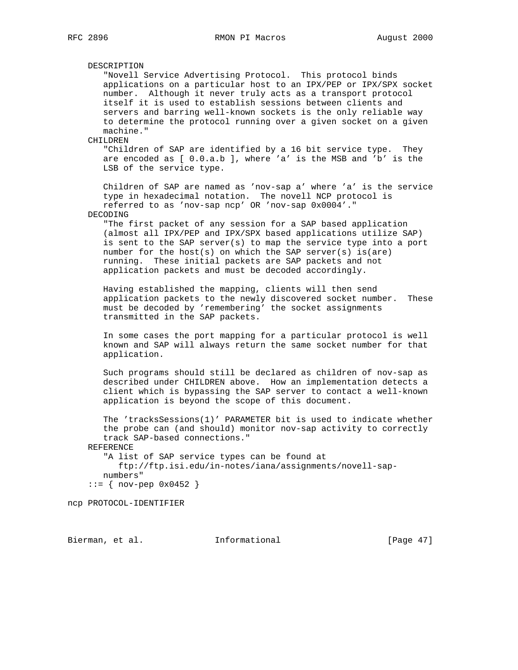DESCRIPTION "Novell Service Advertising Protocol. This protocol binds applications on a particular host to an IPX/PEP or IPX/SPX socket number. Although it never truly acts as a transport protocol itself it is used to establish sessions between clients and servers and barring well-known sockets is the only reliable way to determine the protocol running over a given socket on a given machine." CHILDREN "Children of SAP are identified by a 16 bit service type. They are encoded as [ 0.0.a.b ], where 'a' is the MSB and 'b' is the LSB of the service type. Children of SAP are named as 'nov-sap a' where 'a' is the service type in hexadecimal notation. The novell NCP protocol is referred to as 'nov-sap ncp' OR 'nov-sap 0x0004'." DECODING "The first packet of any session for a SAP based application (almost all IPX/PEP and IPX/SPX based applications utilize SAP) is sent to the SAP server(s) to map the service type into a port number for the host(s) on which the SAP server(s) is(are) running. These initial packets are SAP packets and not application packets and must be decoded accordingly. Having established the mapping, clients will then send application packets to the newly discovered socket number. These must be decoded by 'remembering' the socket assignments transmitted in the SAP packets. In some cases the port mapping for a particular protocol is well known and SAP will always return the same socket number for that application. Such programs should still be declared as children of nov-sap as described under CHILDREN above. How an implementation detects a client which is bypassing the SAP server to contact a well-known application is beyond the scope of this document. The 'tracksSessions(1)' PARAMETER bit is used to indicate whether the probe can (and should) monitor nov-sap activity to correctly track SAP-based connections." REFERENCE "A list of SAP service types can be found at ftp://ftp.isi.edu/in-notes/iana/assignments/novell-sap numbers"  $::=$  { nov-pep  $0 \times 0452$  } ncp PROTOCOL-IDENTIFIER

Bierman, et al. **Informational** [Page 47]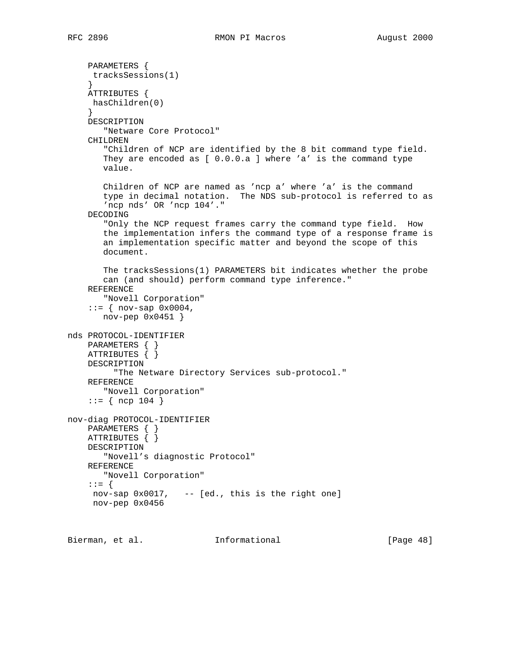PARAMETERS { tracksSessions(1) } ATTRIBUTES { hasChildren(0) } DESCRIPTION "Netware Core Protocol" CHILDREN "Children of NCP are identified by the 8 bit command type field. They are encoded as [ 0.0.0.a ] where 'a' is the command type value. Children of NCP are named as 'ncp a' where 'a' is the command type in decimal notation. The NDS sub-protocol is referred to as 'ncp nds' OR 'ncp 104'." DECODING "Only the NCP request frames carry the command type field. How the implementation infers the command type of a response frame is an implementation specific matter and beyond the scope of this document. The tracksSessions(1) PARAMETERS bit indicates whether the probe can (and should) perform command type inference." REFERENCE "Novell Corporation"  $::=$  { nov-sap  $0 \times 0004$ , nov-pep 0x0451 } nds PROTOCOL-IDENTIFIER PARAMETERS { } ATTRIBUTES { } DESCRIPTION "The Netware Directory Services sub-protocol." REFERENCE "Novell Corporation"  $::=$  { ncp 104 } nov-diag PROTOCOL-IDENTIFIER PARAMETERS { } ATTRIBUTES { } DESCRIPTION "Novell's diagnostic Protocol" REFERENCE "Novell Corporation" ::= { nov-sap 0x0017, -- [ed., this is the right one] nov-pep 0x0456

Bierman, et al. **Informational** [Page 48]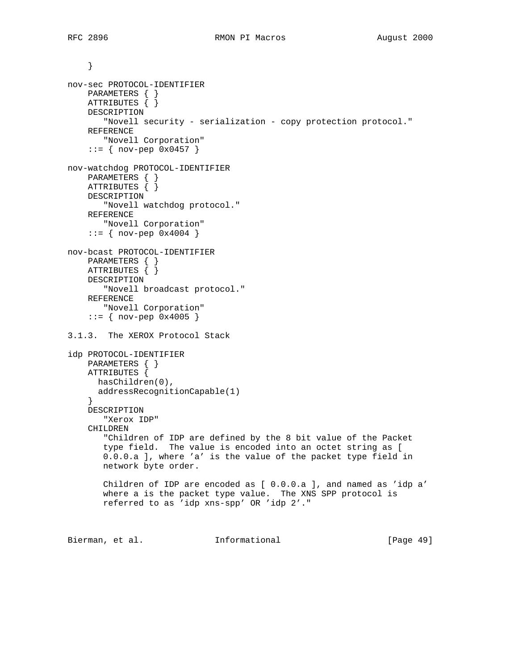```
 }
nov-sec PROTOCOL-IDENTIFIER
     PARAMETERS { }
    ATTRIBUTES { }
    DESCRIPTION
        "Novell security - serialization - copy protection protocol."
     REFERENCE
       "Novell Corporation"
    ::= { nov-pep 0x0457 }
nov-watchdog PROTOCOL-IDENTIFIER
     PARAMETERS { }
     ATTRIBUTES { }
     DESCRIPTION
        "Novell watchdog protocol."
     REFERENCE
       "Novell Corporation"
    ::= { nov-pep 0x4004 }
nov-bcast PROTOCOL-IDENTIFIER
     PARAMETERS { }
    ATTRIBUTES { }
    DESCRIPTION
        "Novell broadcast protocol."
     REFERENCE
       "Novell Corporation"
    ::= { nov-pep 0x4005 }
3.1.3. The XEROX Protocol Stack
idp PROTOCOL-IDENTIFIER
    PARAMETERS { }
    ATTRIBUTES {
      hasChildren(0),
      addressRecognitionCapable(1)
 }
     DESCRIPTION
       "Xerox IDP"
     CHILDREN
        "Children of IDP are defined by the 8 bit value of the Packet
        type field. The value is encoded into an octet string as [
        0.0.0.a ], where 'a' is the value of the packet type field in
       network byte order.
       Children of IDP are encoded as [ 0.0.0.a ], and named as 'idp a'
       where a is the packet type value. The XNS SPP protocol is
       referred to as 'idp xns-spp' OR 'idp 2'."
Bierman, et al. 1nformational [Page 49]
```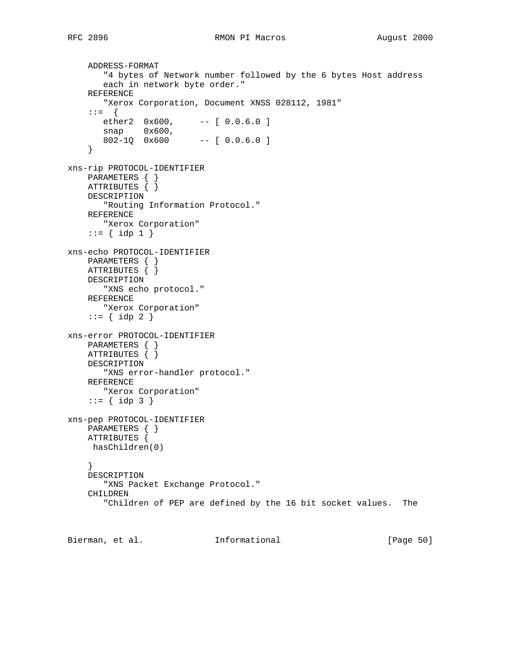```
 ADDRESS-FORMAT
        "4 bytes of Network number followed by the 6 bytes Host address
        each in network byte order."
     REFERENCE
        "Xerox Corporation, Document XNSS 028112, 1981"
     ::= {
       ether2 0x600, -- [ 0.0.6.0 ]
snap 0x600,
 802-1Q 0x600 -- [ 0.0.6.0 ]
     }
xns-rip PROTOCOL-IDENTIFIER
    PARAMETERS { }
     ATTRIBUTES { }
    DESCRIPTION
       "Routing Information Protocol."
    REFERENCE
       "Xerox Corporation"
    ::= \{ idp 1 \}xns-echo PROTOCOL-IDENTIFIER
    PARAMETERS { }
    ATTRIBUTES { }
    DESCRIPTION
        "XNS echo protocol."
    REFERENCE
       "Xerox Corporation"
    ::= \{ idp 2 \}xns-error PROTOCOL-IDENTIFIER
    PARAMETERS { }
    ATTRIBUTES { }
    DESCRIPTION
        "XNS error-handler protocol."
    REFERENCE
       "Xerox Corporation"
    ::= { \; idp \; 3 }xns-pep PROTOCOL-IDENTIFIER
    PARAMETERS { }
    ATTRIBUTES {
     hasChildren(0)
     }
    DESCRIPTION
        "XNS Packet Exchange Protocol."
     CHILDREN
        "Children of PEP are defined by the 16 bit socket values. The
```
Bierman, et al. **Informational** [Page 50]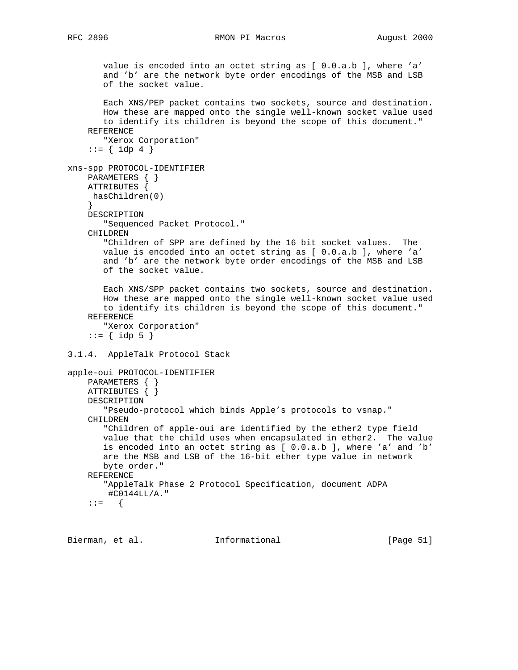## RFC 2896 RMON PI Macros RMON PI Macros August 2000

 value is encoded into an octet string as [ 0.0.a.b ], where 'a' and 'b' are the network byte order encodings of the MSB and LSB of the socket value. Each XNS/PEP packet contains two sockets, source and destination. How these are mapped onto the single well-known socket value used to identify its children is beyond the scope of this document." REFERENCE "Xerox Corporation" ::=  $\{ idp 4 \}$ xns-spp PROTOCOL-IDENTIFIER PARAMETERS { } ATTRIBUTES { hasChildren(0) } DESCRIPTION "Sequenced Packet Protocol." CHILDREN "Children of SPP are defined by the 16 bit socket values. The value is encoded into an octet string as [ 0.0.a.b ], where 'a' and 'b' are the network byte order encodings of the MSB and LSB of the socket value. Each XNS/SPP packet contains two sockets, source and destination. How these are mapped onto the single well-known socket value used to identify its children is beyond the scope of this document." REFERENCE "Xerox Corporation"  $::= {$   $idp 5 }$ 3.1.4. AppleTalk Protocol Stack apple-oui PROTOCOL-IDENTIFIER PARAMETERS { } ATTRIBUTES { } DESCRIPTION "Pseudo-protocol which binds Apple's protocols to vsnap." CHILDREN "Children of apple-oui are identified by the ether2 type field value that the child uses when encapsulated in ether2. The value is encoded into an octet string as [ 0.0.a.b ], where 'a' and 'b' are the MSB and LSB of the 16-bit ether type value in network byte order." REFERENCE "AppleTalk Phase 2 Protocol Specification, document ADPA #C0144LL/A."  $: := \{$ 

Bierman, et al. Informational [Page 51]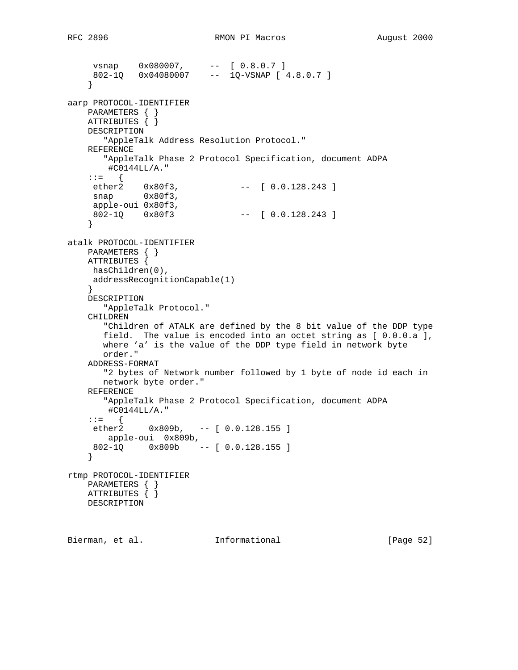```
 vsnap 0x080007, -- [ 0.8.0.7 ]
 802-1Q 0x04080007 -- 1Q-VSNAP [ 4.8.0.7 ]
     }
aarp PROTOCOL-IDENTIFIER
    PARAMETERS { }
   ATTRIBUTES \{\} DESCRIPTION
       "AppleTalk Address Resolution Protocol."
    REFERENCE
       "AppleTalk Phase 2 Protocol Specification, document ADPA
        #C0144LL/A."
    : :=ether2  0x80f3,    -- [ 0.0.128.243 ]
snap 0x80f3,
     apple-oui 0x80f3,
     802-1Q 0x80f3 -- [ 0.0.128.243 ]
     }
atalk PROTOCOL-IDENTIFIER
    PARAMETERS { }
    ATTRIBUTES {
     hasChildren(0),
     addressRecognitionCapable(1)
    }
    DESCRIPTION
       "AppleTalk Protocol."
    CHILDREN
       "Children of ATALK are defined by the 8 bit value of the DDP type
       field. The value is encoded into an octet string as [ 0.0.0.a ],
       where 'a' is the value of the DDP type field in network byte
       order."
    ADDRESS-FORMAT
       "2 bytes of Network number followed by 1 byte of node id each in
       network byte order."
    REFERENCE
       "AppleTalk Phase 2 Protocol Specification, document ADPA
        #C0144LL/A."
    ::= {
     ether2 0x809b, -- [ 0.0.128.155 ]
       apple-oui 0x809b,
     802-1Q 0x809b -- [ 0.0.128.155 ]
     }
rtmp PROTOCOL-IDENTIFIER
    PARAMETERS { }
    ATTRIBUTES { }
    DESCRIPTION
```
Bierman, et al. **Informational** [Page 52]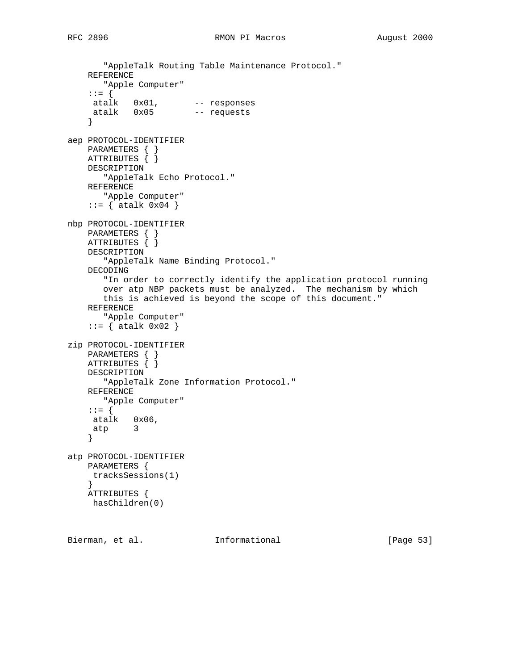```
 "AppleTalk Routing Table Maintenance Protocol."
     REFERENCE
       "Apple Computer"
     ::= {
 atalk 0x01, -- responses
 atalk 0x05 -- requests
     }
aep PROTOCOL-IDENTIFIER
   PARAMETERS { }
    ATTRIBUTES { }
    DESCRIPTION
       "AppleTalk Echo Protocol."
    REFERENCE
       "Apple Computer"
    ::= { atalk 0x04 }
nbp PROTOCOL-IDENTIFIER
    PARAMETERS { }
    ATTRIBUTES { }
    DESCRIPTION
        "AppleTalk Name Binding Protocol."
    DECODING
        "In order to correctly identify the application protocol running
        over atp NBP packets must be analyzed. The mechanism by which
        this is achieved is beyond the scope of this document."
     REFERENCE
        "Apple Computer"
    ::= { atalk 0 \times 02 }
zip PROTOCOL-IDENTIFIER
    PARAMETERS { }
    ATTRIBUTES { }
     DESCRIPTION
       "AppleTalk Zone Information Protocol."
     REFERENCE
       "Apple Computer"
     ::= {
 atalk 0x06,
 atp 3
     }
atp PROTOCOL-IDENTIFIER
    PARAMETERS {
     tracksSessions(1)
     }
    ATTRIBUTES {
     hasChildren(0)
```
Bierman, et al. Informational [Page 53]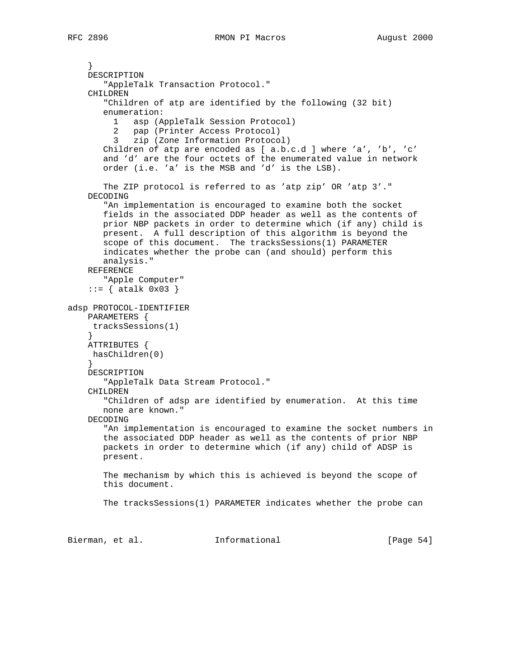```
 }
     DESCRIPTION
        "AppleTalk Transaction Protocol."
     CHILDREN
        "Children of atp are identified by the following (32 bit)
        enumeration:
          1 asp (AppleTalk Session Protocol)
          2 pap (Printer Access Protocol)
          3 zip (Zone Information Protocol)
        Children of atp are encoded as [ a.b.c.d ] where 'a', 'b', 'c'
        and 'd' are the four octets of the enumerated value in network
        order (i.e. 'a' is the MSB and 'd' is the LSB).
        The ZIP protocol is referred to as 'atp zip' OR 'atp 3'."
     DECODING
        "An implementation is encouraged to examine both the socket
        fields in the associated DDP header as well as the contents of
        prior NBP packets in order to determine which (if any) child is
        present. A full description of this algorithm is beyond the
        scope of this document. The tracksSessions(1) PARAMETER
        indicates whether the probe can (and should) perform this
        analysis."
     REFERENCE
        "Apple Computer"
    ::= { atalk 0x03 }
adsp PROTOCOL-IDENTIFIER
     PARAMETERS {
     tracksSessions(1)
     }
     ATTRIBUTES {
     hasChildren(0)
     }
     DESCRIPTION
        "AppleTalk Data Stream Protocol."
     CHILDREN
        "Children of adsp are identified by enumeration. At this time
        none are known."
     DECODING
        "An implementation is encouraged to examine the socket numbers in
        the associated DDP header as well as the contents of prior NBP
        packets in order to determine which (if any) child of ADSP is
        present.
        The mechanism by which this is achieved is beyond the scope of
        this document.
        The tracksSessions(1) PARAMETER indicates whether the probe can
```
Bierman, et al. **Informational** [Page 54]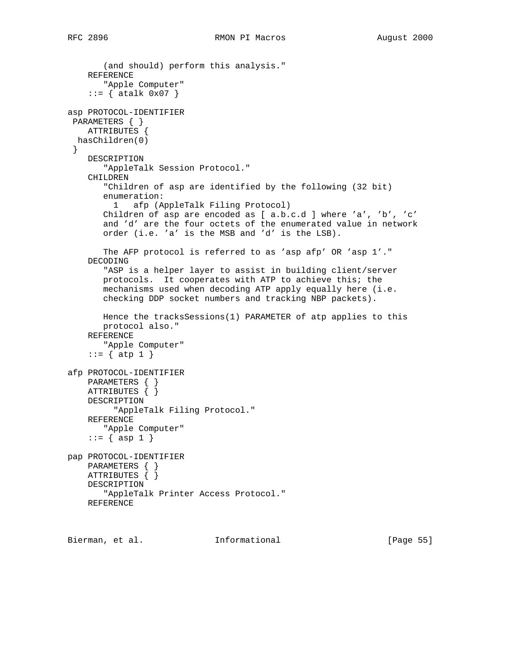```
 (and should) perform this analysis."
     REFERENCE
        "Apple Computer"
    ::= { atalk 0x07 }
asp PROTOCOL-IDENTIFIER
 PARAMETERS { }
    ATTRIBUTES {
  hasChildren(0)
  }
     DESCRIPTION
        "AppleTalk Session Protocol."
     CHILDREN
        "Children of asp are identified by the following (32 bit)
        enumeration:
          1 afp (AppleTalk Filing Protocol)
        Children of asp are encoded as [ a.b.c.d ] where 'a', 'b', 'c'
        and 'd' are the four octets of the enumerated value in network
        order (i.e. 'a' is the MSB and 'd' is the LSB).
        The AFP protocol is referred to as 'asp afp' OR 'asp 1'."
     DECODING
        "ASP is a helper layer to assist in building client/server
        protocols. It cooperates with ATP to achieve this; the
        mechanisms used when decoding ATP apply equally here (i.e.
        checking DDP socket numbers and tracking NBP packets).
        Hence the tracksSessions(1) PARAMETER of atp applies to this
        protocol also."
     REFERENCE
        "Apple Computer"
    ::= \{ atp 1 \}afp PROTOCOL-IDENTIFIER
    PARAMETERS { }
    ATTRIBUTES { }
    DESCRIPTION
          "AppleTalk Filing Protocol."
     REFERENCE
        "Apple Computer"
    ::= \{ \text{asp } 1 \}pap PROTOCOL-IDENTIFIER
    PARAMETERS { }
     ATTRIBUTES { }
     DESCRIPTION
        "AppleTalk Printer Access Protocol."
    REFERENCE
```
Bierman, et al. Informational [Page 55]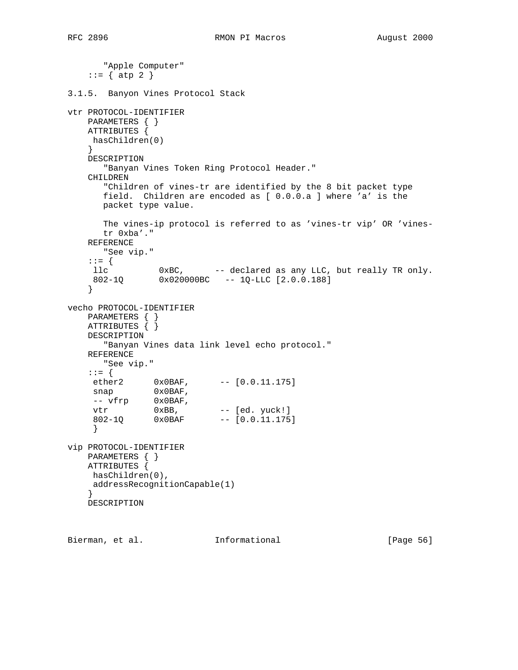```
 "Apple Computer"
    ::= \{ atp 2 \}3.1.5. Banyon Vines Protocol Stack
vtr PROTOCOL-IDENTIFIER
    PARAMETERS { }
    ATTRIBUTES {
    hasChildren(0)
     }
    DESCRIPTION
       "Banyan Vines Token Ring Protocol Header."
    CHILDREN
       "Children of vines-tr are identified by the 8 bit packet type
       field. Children are encoded as [ 0.0.0.a ] where 'a' is the
       packet type value.
       The vines-ip protocol is referred to as 'vines-tr vip' OR 'vines-
       tr 0xba'."
    REFERENCE
       "See vip."
     ::= {
                0xBC, - declared as any LLC, but really TR only.
    11c 0xBC, -- declared as any 0x020000BC -- 1Q-LLC [2.0.0.188]
     }
vecho PROTOCOL-IDENTIFIER
    PARAMETERS { }
    ATTRIBUTES { }
    DESCRIPTION
       "Banyan Vines data link level echo protocol."
    REFERENCE
       "See vip."
    ::= {
ether2 0x0BAF, -- [0.0.11.175]
snap 0x0BAF,
-- vfrp 0x0BAF,
vtr 0xBB, -- [ed. yuck!]
 802-1Q 0x0BAF -- [0.0.11.175]
     }
vip PROTOCOL-IDENTIFIER
    PARAMETERS { }
    ATTRIBUTES {
     hasChildren(0),
     addressRecognitionCapable(1)
     }
    DESCRIPTION
```
Bierman, et al. **Informational** [Page 56]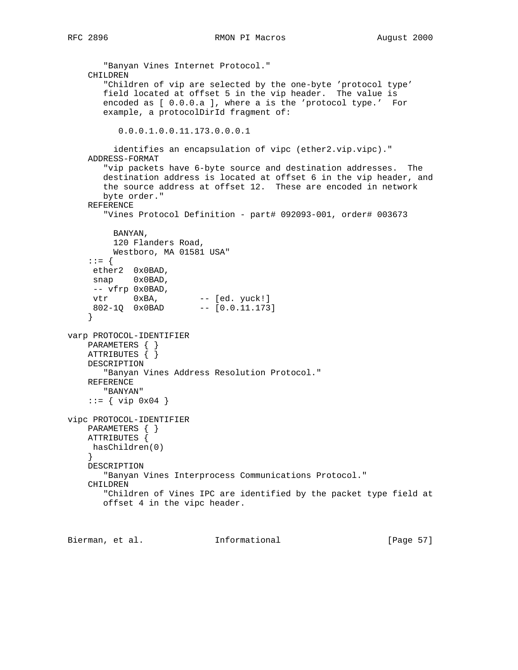RFC 2896 **RMON PI Macros RMON PI Macros August 2000** 

```
 "Banyan Vines Internet Protocol."
     CHILDREN
        "Children of vip are selected by the one-byte 'protocol type'
        field located at offset 5 in the vip header. The value is
        encoded as [ 0.0.0.a ], where a is the 'protocol type.' For
        example, a protocolDirId fragment of:
           0.0.0.1.0.0.11.173.0.0.0.1
          identifies an encapsulation of vipc (ether2.vip.vipc)."
     ADDRESS-FORMAT
        "vip packets have 6-byte source and destination addresses. The
        destination address is located at offset 6 in the vip header, and
        the source address at offset 12. These are encoded in network
        byte order."
     REFERENCE
        "Vines Protocol Definition - part# 092093-001, order# 003673
         BANYAN,
         120 Flanders Road,
         Westboro, MA 01581 USA"
     ::= {
     ether2 0x0BAD,
     snap 0x0BAD,
     -- vfrp 0x0BAD,
vtr 0xBA, -- [ed. yuck!]
 802-1Q 0x0BAD -- [0.0.11.173]
     }
varp PROTOCOL-IDENTIFIER
    PARAMETERS { }
    ATTRIBUTES { }
    DESCRIPTION
        "Banyan Vines Address Resolution Protocol."
     REFERENCE
       "BANYAN"
     ::= { vip 0x04 }
vipc PROTOCOL-IDENTIFIER
     PARAMETERS { }
    ATTRIBUTES {
     hasChildren(0)
     }
     DESCRIPTION
        "Banyan Vines Interprocess Communications Protocol."
     CHILDREN
        "Children of Vines IPC are identified by the packet type field at
        offset 4 in the vipc header.
```
Bierman, et al. **Informational** [Page 57]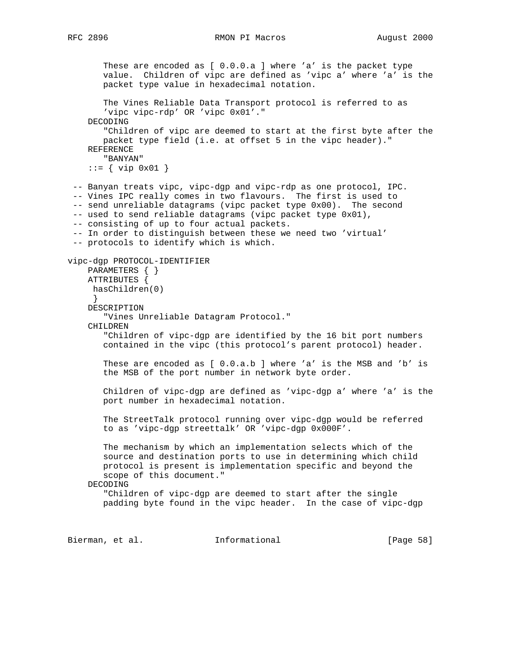These are encoded as [ 0.0.0.a ] where 'a' is the packet type value. Children of vipc are defined as 'vipc a' where 'a' is the packet type value in hexadecimal notation. The Vines Reliable Data Transport protocol is referred to as 'vipc vipc-rdp' OR 'vipc 0x01'." DECODING "Children of vipc are deemed to start at the first byte after the packet type field (i.e. at offset 5 in the vipc header)." REFERENCE "BANYAN" ::= { vip 0x01 } -- Banyan treats vipc, vipc-dgp and vipc-rdp as one protocol, IPC. -- Vines IPC really comes in two flavours. The first is used to -- send unreliable datagrams (vipc packet type 0x00). The second -- used to send reliable datagrams (vipc packet type 0x01), -- consisting of up to four actual packets. -- In order to distinguish between these we need two 'virtual' -- protocols to identify which is which. vipc-dgp PROTOCOL-IDENTIFIER PARAMETERS { } ATTRIBUTES { hasChildren(0) } DESCRIPTION "Vines Unreliable Datagram Protocol." CHILDREN "Children of vipc-dgp are identified by the 16 bit port numbers contained in the vipc (this protocol's parent protocol) header. These are encoded as [ 0.0.a.b ] where 'a' is the MSB and 'b' is the MSB of the port number in network byte order. Children of vipc-dgp are defined as 'vipc-dgp a' where 'a' is the port number in hexadecimal notation. The StreetTalk protocol running over vipc-dgp would be referred to as 'vipc-dgp streettalk' OR 'vipc-dgp 0x000F'. The mechanism by which an implementation selects which of the source and destination ports to use in determining which child protocol is present is implementation specific and beyond the scope of this document." DECODING "Children of vipc-dgp are deemed to start after the single padding byte found in the vipc header. In the case of vipc-dgp

Bierman, et al. 1nformational 1999 [Page 58]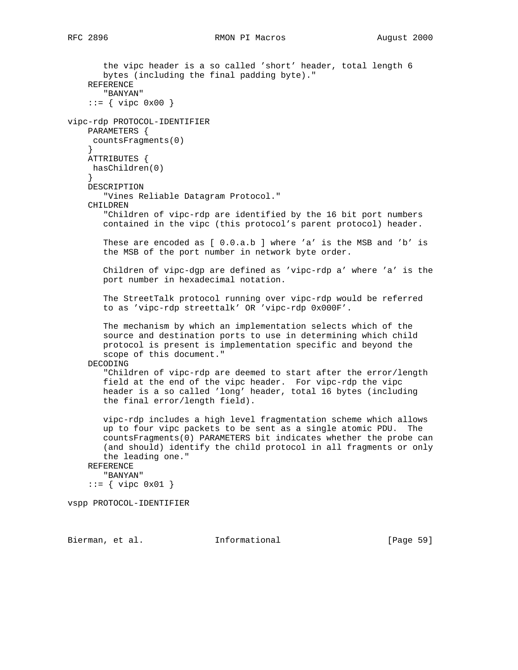the vipc header is a so called 'short' header, total length 6 bytes (including the final padding byte)." REFERENCE "BANYAN"  $::=$  { vipc 0x00 } vipc-rdp PROTOCOL-IDENTIFIER PARAMETERS { countsFragments(0) } ATTRIBUTES { hasChildren(0) } DESCRIPTION "Vines Reliable Datagram Protocol." CHILDREN "Children of vipc-rdp are identified by the 16 bit port numbers contained in the vipc (this protocol's parent protocol) header. These are encoded as [ 0.0.a.b ] where 'a' is the MSB and 'b' is the MSB of the port number in network byte order. Children of vipc-dgp are defined as 'vipc-rdp a' where 'a' is the port number in hexadecimal notation. The StreetTalk protocol running over vipc-rdp would be referred to as 'vipc-rdp streettalk' OR 'vipc-rdp 0x000F'. The mechanism by which an implementation selects which of the source and destination ports to use in determining which child protocol is present is implementation specific and beyond the scope of this document." DECODING "Children of vipc-rdp are deemed to start after the error/length field at the end of the vipc header. For vipc-rdp the vipc header is a so called 'long' header, total 16 bytes (including the final error/length field). vipc-rdp includes a high level fragmentation scheme which allows up to four vipc packets to be sent as a single atomic PDU. The countsFragments(0) PARAMETERS bit indicates whether the probe can (and should) identify the child protocol in all fragments or only the leading one." REFERENCE "BANYAN" ::= { vipc 0x01 }

vspp PROTOCOL-IDENTIFIER

Bierman, et al. Informational [Page 59]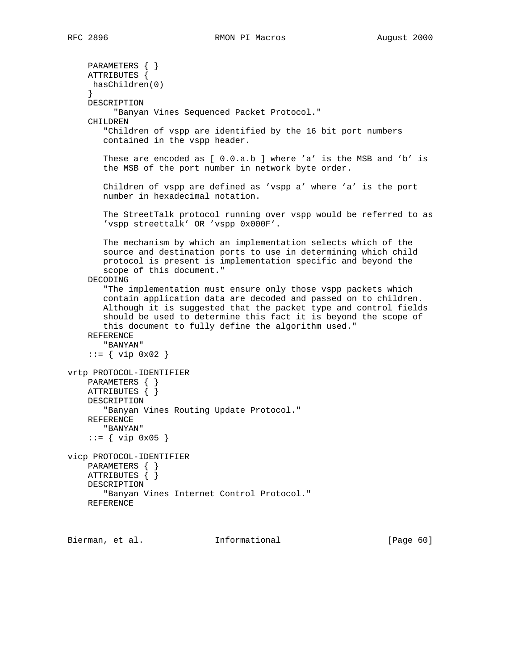```
 PARAMETERS { }
     ATTRIBUTES {
     hasChildren(0)
 }
     DESCRIPTION
          "Banyan Vines Sequenced Packet Protocol."
     CHILDREN
        "Children of vspp are identified by the 16 bit port numbers
        contained in the vspp header.
        These are encoded as [ 0.0.a.b ] where 'a' is the MSB and 'b' is
        the MSB of the port number in network byte order.
        Children of vspp are defined as 'vspp a' where 'a' is the port
        number in hexadecimal notation.
        The StreetTalk protocol running over vspp would be referred to as
        'vspp streettalk' OR 'vspp 0x000F'.
        The mechanism by which an implementation selects which of the
        source and destination ports to use in determining which child
        protocol is present is implementation specific and beyond the
        scope of this document."
     DECODING
        "The implementation must ensure only those vspp packets which
        contain application data are decoded and passed on to children.
        Although it is suggested that the packet type and control fields
        should be used to determine this fact it is beyond the scope of
        this document to fully define the algorithm used."
     REFERENCE
        "BANYAN"
     ::= { vip 0x02 }
vrtp PROTOCOL-IDENTIFIER
    PARAMETERS { }
     ATTRIBUTES { }
     DESCRIPTION
        "Banyan Vines Routing Update Protocol."
     REFERENCE
        "BANYAN"
     ::= { vip 0x05 }
vicp PROTOCOL-IDENTIFIER
    PARAMETERS { }
     ATTRIBUTES { }
     DESCRIPTION
        "Banyan Vines Internet Control Protocol."
     REFERENCE
```
Bierman, et al. Informational [Page 60]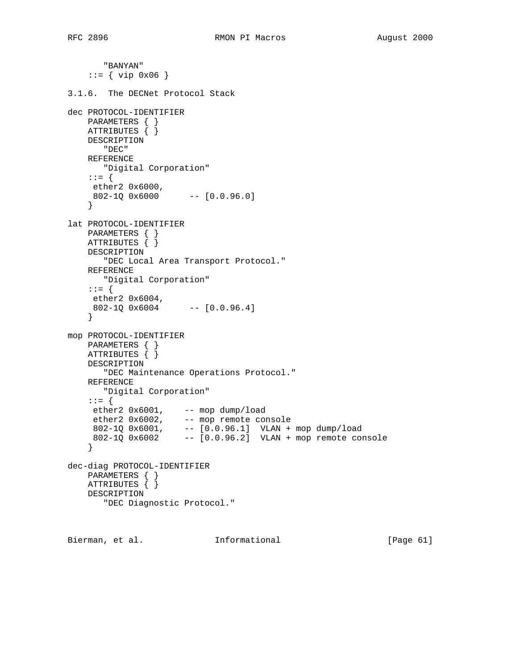```
 "BANYAN"
    ::= { vip 0x06 }
3.1.6. The DECNet Protocol Stack
dec PROTOCOL-IDENTIFIER
    PARAMETERS { }
    ATTRIBUTES { }
    DESCRIPTION
       "DEC"
    REFERENCE
       "Digital Corporation"
     ::= {
     ether2 0x6000,
     802-1Q 0x6000 -- [0.0.96.0]
     }
lat PROTOCOL-IDENTIFIER
    PARAMETERS { }
    ATTRIBUTES { }
    DESCRIPTION
       "DEC Local Area Transport Protocol."
     REFERENCE
       "Digital Corporation"
     ::= {
     ether2 0x6004,
     802-1Q 0x6004 -- [0.0.96.4]
     }
mop PROTOCOL-IDENTIFIER
    PARAMETERS { }
    ATTRIBUTES { }
    DESCRIPTION
       "DEC Maintenance Operations Protocol."
    REFERENCE
       "Digital Corporation"
     ::= {
 ether2 0x6001, -- mop dump/load
 ether2 0x6002, -- mop remote console
 802-1Q 0x6001, -- [0.0.96.1] VLAN + mop dump/load
 802-1Q 0x6002 -- [0.0.96.2] VLAN + mop remote console
     }
dec-diag PROTOCOL-IDENTIFIER
    PARAMETERS { }
    ATTRIBUTES { }
    DESCRIPTION
        "DEC Diagnostic Protocol."
```
Bierman, et al. **Informational** [Page 61]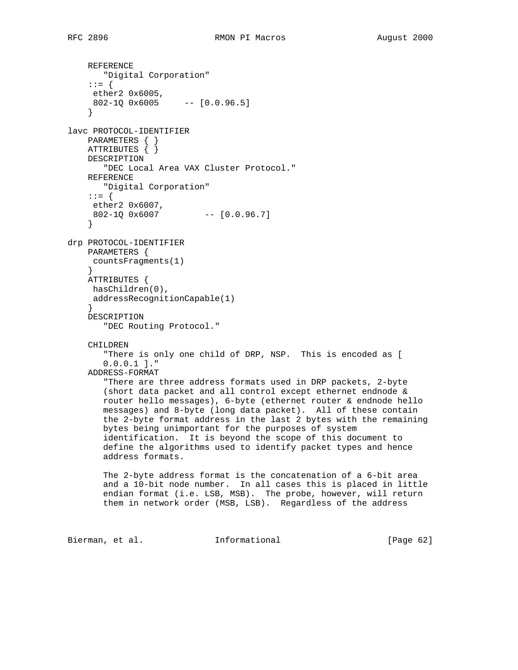REFERENCE "Digital Corporation" ::= { ether2 0x6005, 802-1Q 0x6005 -- [0.0.96.5] } lavc PROTOCOL-IDENTIFIER PARAMETERS { } ATTRIBUTES { } DESCRIPTION "DEC Local Area VAX Cluster Protocol." REFERENCE "Digital Corporation" ::= { ether2 0x6007, 802-1Q 0x6007 -- [0.0.96.7] } drp PROTOCOL-IDENTIFIER PARAMETERS { countsFragments(1) } ATTRIBUTES { hasChildren(0), addressRecognitionCapable(1) } DESCRIPTION "DEC Routing Protocol." CHILDREN "There is only one child of DRP, NSP. This is encoded as [ 0.0.0.1 ]." ADDRESS-FORMAT "There are three address formats used in DRP packets, 2-byte (short data packet and all control except ethernet endnode & router hello messages), 6-byte (ethernet router & endnode hello messages) and 8-byte (long data packet). All of these contain the 2-byte format address in the last 2 bytes with the remaining bytes being unimportant for the purposes of system identification. It is beyond the scope of this document to define the algorithms used to identify packet types and hence address formats. The 2-byte address format is the concatenation of a 6-bit area and a 10-bit node number. In all cases this is placed in little endian format (i.e. LSB, MSB). The probe, however, will return them in network order (MSB, LSB). Regardless of the address

Bierman, et al. **Informational** [Page 62]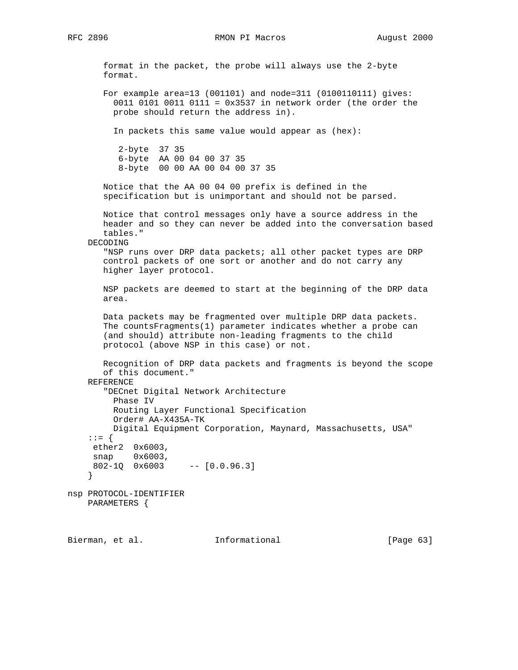RFC 2896 **RMON PI Macros** RMON PI Macros August 2000

 format in the packet, the probe will always use the 2-byte format. For example area=13 (001101) and node=311 (0100110111) gives: 0011 0101 0011 0111 = 0x3537 in network order (the order the probe should return the address in). In packets this same value would appear as (hex): 2-byte 37 35 6-byte AA 00 04 00 37 35 8-byte 00 00 AA 00 04 00 37 35 Notice that the AA 00 04 00 prefix is defined in the specification but is unimportant and should not be parsed. Notice that control messages only have a source address in the header and so they can never be added into the conversation based tables." DECODING "NSP runs over DRP data packets; all other packet types are DRP control packets of one sort or another and do not carry any higher layer protocol. NSP packets are deemed to start at the beginning of the DRP data area. Data packets may be fragmented over multiple DRP data packets. The countsFragments(1) parameter indicates whether a probe can (and should) attribute non-leading fragments to the child protocol (above NSP in this case) or not. Recognition of DRP data packets and fragments is beyond the scope of this document." REFERENCE "DECnet Digital Network Architecture Phase IV Routing Layer Functional Specification Order# AA-X435A-TK Digital Equipment Corporation, Maynard, Massachusetts, USA" ::= { ether2 0x6003, snap 0x6003, 802-1Q 0x6003 -- [0.0.96.3] } nsp PROTOCOL-IDENTIFIER PARAMETERS {

Bierman, et al. Informational [Page 63]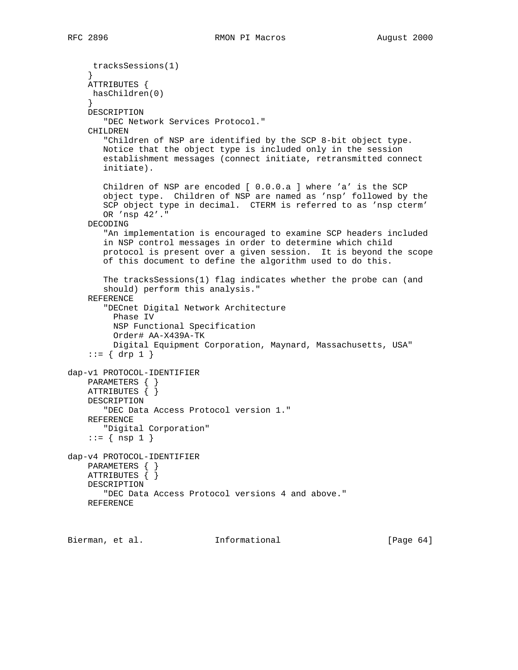```
 tracksSessions(1)
 }
     ATTRIBUTES {
     hasChildren(0)
 }
     DESCRIPTION
        "DEC Network Services Protocol."
     CHILDREN
        "Children of NSP are identified by the SCP 8-bit object type.
        Notice that the object type is included only in the session
        establishment messages (connect initiate, retransmitted connect
        initiate).
        Children of NSP are encoded [ 0.0.0.a ] where 'a' is the SCP
        object type. Children of NSP are named as 'nsp' followed by the
        SCP object type in decimal. CTERM is referred to as 'nsp cterm'
        OR 'nsp 42'."
     DECODING
        "An implementation is encouraged to examine SCP headers included
        in NSP control messages in order to determine which child
        protocol is present over a given session. It is beyond the scope
        of this document to define the algorithm used to do this.
        The tracksSessions(1) flag indicates whether the probe can (and
        should) perform this analysis."
     REFERENCE
        "DECnet Digital Network Architecture
          Phase IV
          NSP Functional Specification
          Order# AA-X439A-TK
          Digital Equipment Corporation, Maynard, Massachusetts, USA"
    ::= \{ \text{drop } 1 \}dap-v1 PROTOCOL-IDENTIFIER
     PARAMETERS { }
     ATTRIBUTES { }
    DESCRIPTION
        "DEC Data Access Protocol version 1."
     REFERENCE
        "Digital Corporation"
    ::= \{ nsp 1 \}dap-v4 PROTOCOL-IDENTIFIER
    PARAMETERS { }
    ATTRIBUTES { }
     DESCRIPTION
        "DEC Data Access Protocol versions 4 and above."
     REFERENCE
```
Bierman, et al. **Informational** [Page 64]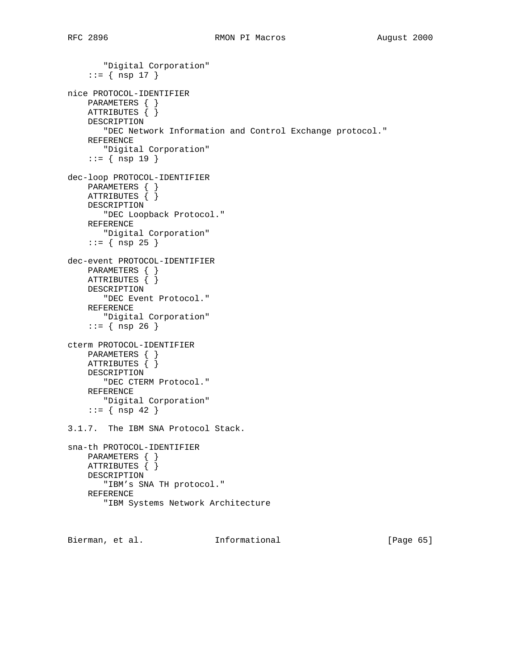```
 "Digital Corporation"
    ::= { nsp 17 }
nice PROTOCOL-IDENTIFIER
     PARAMETERS { }
     ATTRIBUTES { }
    DESCRIPTION
        "DEC Network Information and Control Exchange protocol."
     REFERENCE
        "Digital Corporation"
     ::= { nsp 19 }
dec-loop PROTOCOL-IDENTIFIER
     PARAMETERS { }
     ATTRIBUTES { }
     DESCRIPTION
        "DEC Loopback Protocol."
    REFERENCE
       "Digital Corporation"
    ::= \{ nsp 25 \}dec-event PROTOCOL-IDENTIFIER
    PARAMETERS { }
   ATTRIBUTES \{\} DESCRIPTION
        "DEC Event Protocol."
     REFERENCE
        "Digital Corporation"
    ::= { nsp 26 }
cterm PROTOCOL-IDENTIFIER
    PARAMETERS { }
    ATTRIBUTES { }
    DESCRIPTION
        "DEC CTERM Protocol."
     REFERENCE
       "Digital Corporation"
    ::= { nsp 42 }
3.1.7. The IBM SNA Protocol Stack.
sna-th PROTOCOL-IDENTIFIER
    PARAMETERS { }
    ATTRIBUTES { }
    DESCRIPTION
        "IBM's SNA TH protocol."
     REFERENCE
        "IBM Systems Network Architecture
```
Bierman, et al. **Informational** [Page 65]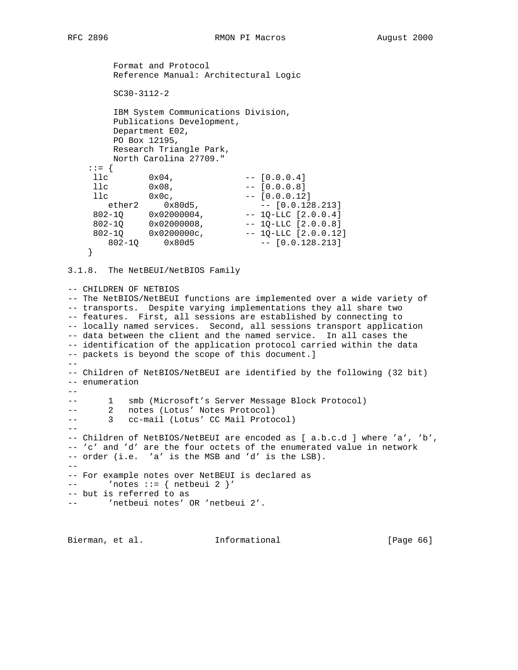Format and Protocol Reference Manual: Architectural Logic SC30-3112-2 IBM System Communications Division, Publications Development, Department E02, PO Box 12195, Research Triangle Park, North Carolina 27709."  $: := \begin{cases} \end{cases}$  $11c$   $0x04$ ,  $[0.0.0.4]$  $11c$   $0x08$ ,  $[0.0.0.8]$  $11c$   $0x0c$ ,  $[0.0.0.12]$ ether2 0x80d5, -- [0.0.128.213]  $802-1Q$   $0x02000004$ ,  $-1Q-LLC$  [2.0.0.4] 802-1Q 0x02000008, -- 1Q-LLC [2.0.0.8]  $802-1Q$   $0x0200000c$ , --  $1Q-LLC$   $[2.0.0.12]$  802-1Q 0x80d5 -- [0.0.128.213] }

3.1.8. The NetBEUI/NetBIOS Family

-- CHILDREN OF NETBIOS -- The NetBIOS/NetBEUI functions are implemented over a wide variety of -- transports. Despite varying implementations they all share two -- features. First, all sessions are established by connecting to -- locally named services. Second, all sessions transport application -- data between the client and the named service. In all cases the -- identification of the application protocol carried within the data -- packets is beyond the scope of this document.] -- -- Children of NetBIOS/NetBEUI are identified by the following (32 bit) -- enumeration  $- -$ -- 1 smb (Microsoft's Server Message Block Protocol) -- 2 notes (Lotus' Notes Protocol) -- 3 cc-mail (Lotus' CC Mail Protocol)  $-$ -- Children of NetBIOS/NetBEUI are encoded as [ a.b.c.d ] where 'a', 'b', -- 'c' and 'd' are the four octets of the enumerated value in network -- order (i.e. 'a' is the MSB and 'd' is the LSB).  $-$ -- For example notes over NetBEUI is declared as -- 'notes ::=  $\{$  netbeui 2  $\}'$ -- but is referred to as -- 'netbeui notes' OR 'netbeui 2'.

Bierman, et al. 1nformational 1999 [Page 66]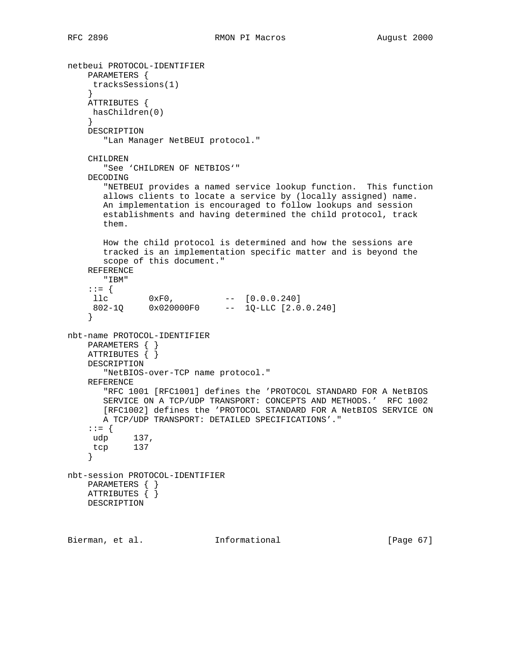```
netbeui PROTOCOL-IDENTIFIER
    PARAMETERS {
     tracksSessions(1)
     }
    ATTRIBUTES {
     hasChildren(0)
     }
    DESCRIPTION
       "Lan Manager NetBEUI protocol."
    CHILDREN
       "See 'CHILDREN OF NETBIOS'"
    DECODING
       "NETBEUI provides a named service lookup function. This function
       allows clients to locate a service by (locally assigned) name.
       An implementation is encouraged to follow lookups and session
       establishments and having determined the child protocol, track
       them.
       How the child protocol is determined and how the sessions are
       tracked is an implementation specific matter and is beyond the
       scope of this document."
    REFERENCE
       "IBM"
     ::= {
11c 0xF0, - [0.0.0.240]
 802-1Q 0x020000F0 -- 1Q-LLC [2.0.0.240]
     }
nbt-name PROTOCOL-IDENTIFIER
    PARAMETERS { }
    ATTRIBUTES { }
    DESCRIPTION
       "NetBIOS-over-TCP name protocol."
    REFERENCE
       "RFC 1001 [RFC1001] defines the 'PROTOCOL STANDARD FOR A NetBIOS
       SERVICE ON A TCP/UDP TRANSPORT: CONCEPTS AND METHODS.' RFC 1002
       [RFC1002] defines the 'PROTOCOL STANDARD FOR A NetBIOS SERVICE ON
       A TCP/UDP TRANSPORT: DETAILED SPECIFICATIONS'."
     ::= {
 udp 137,
 tcp 137
     }
nbt-session PROTOCOL-IDENTIFIER
    PARAMETERS { }
    ATTRIBUTES { }
    DESCRIPTION
Bierman, et al. Informational [Page 67]
```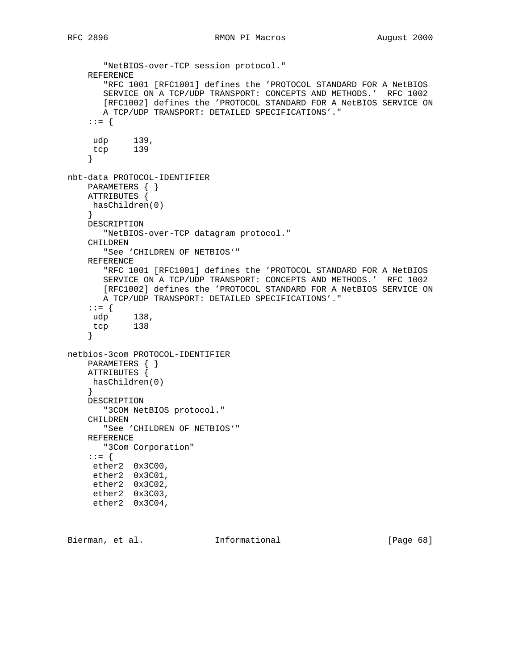```
 "NetBIOS-over-TCP session protocol."
     REFERENCE
        "RFC 1001 [RFC1001] defines the 'PROTOCOL STANDARD FOR A NetBIOS
        SERVICE ON A TCP/UDP TRANSPORT: CONCEPTS AND METHODS.' RFC 1002
       [RFC1002] defines the 'PROTOCOL STANDARD FOR A NetBIOS SERVICE ON
       A TCP/UDP TRANSPORT: DETAILED SPECIFICATIONS'."
     ::= {
     udp 139,
     tcp 139
     }
nbt-data PROTOCOL-IDENTIFIER
     PARAMETERS { }
    ATTRIBUTES {
     hasChildren(0)
 }
    DESCRIPTION
       "NetBIOS-over-TCP datagram protocol."
     CHILDREN
        "See 'CHILDREN OF NETBIOS'"
     REFERENCE
        "RFC 1001 [RFC1001] defines the 'PROTOCOL STANDARD FOR A NetBIOS
        SERVICE ON A TCP/UDP TRANSPORT: CONCEPTS AND METHODS.' RFC 1002
       [RFC1002] defines the 'PROTOCOL STANDARD FOR A NetBIOS SERVICE ON
       A TCP/UDP TRANSPORT: DETAILED SPECIFICATIONS'."
     ::= {
     udp 138,
     tcp 138
     }
netbios-3com PROTOCOL-IDENTIFIER
     PARAMETERS { }
     ATTRIBUTES {
     hasChildren(0)
     }
    DESCRIPTION
      "3COM NetBIOS protocol."
     CHILDREN
       "See 'CHILDREN OF NETBIOS'"
     REFERENCE
       "3Com Corporation"
     ::= {
     ether2 0x3C00,
     ether2 0x3C01,
     ether2 0x3C02,
     ether2 0x3C03,
     ether2 0x3C04,
```
Bierman, et al. **Informational** [Page 68]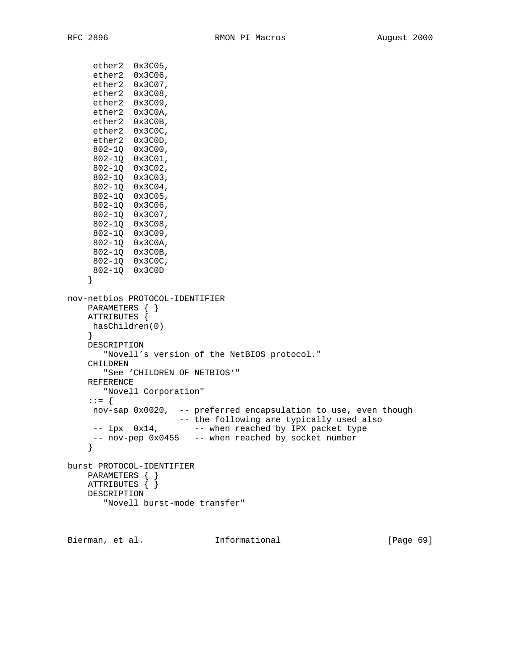ether2 0x3C05,

 ether2 0x3C06, ether2 0x3C07, ether2 0x3C08, ether2 0x3C09, ether2 0x3C0A, ether2 0x3C0B, ether2 0x3C0C, ether2 0x3C0D, 802-1Q 0x3C00, 802-1Q 0x3C01, 802-1Q 0x3C02, 802-1Q 0x3C03, 802-1Q 0x3C04, 802-1Q 0x3C05, 802-1Q 0x3C06, 802-1Q 0x3C07, 802-1Q 0x3C08, 802-1Q 0x3C09, 802-1Q 0x3C0A, 802-1Q 0x3C0B, 802-1Q 0x3C0C, 802-1Q 0x3C0D } nov-netbios PROTOCOL-IDENTIFIER PARAMETERS { } ATTRIBUTES { hasChildren(0) } DESCRIPTION "Novell's version of the NetBIOS protocol." CHILDREN "See 'CHILDREN OF NETBIOS'" REFERENCE "Novell Corporation" ::= { nov-sap 0x0020, -- preferred encapsulation to use, even though -- the following are typically used also -- ipx 0x14, -- when reached by IPX packet type -- nov-pep 0x0455 -- when reached by socket number } burst PROTOCOL-IDENTIFIER PARAMETERS { } ATTRIBUTES { } DESCRIPTION "Novell burst-mode transfer"

Bierman, et al. **Informational** [Page 69]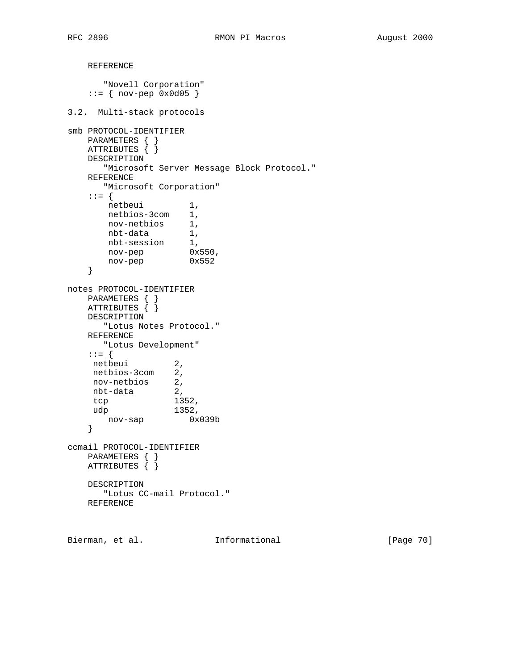```
 REFERENCE
      "Novell Corporation"
   ::= { nov-pep 0 \times 0 d05 }
3.2. Multi-stack protocols
smb PROTOCOL-IDENTIFIER
   PARAMETERS { }
   ATTRIBUTES { }
    DESCRIPTION
      "Microsoft Server Message Block Protocol."
    REFERENCE
      "Microsoft Corporation"
    ::= {
netbeui 1,
 netbios-3com 1,
 nov-netbios 1,
 nbt-data 1,
 nbt-session 1,
 nov-pep 0x550,
 nov-pep 0x552
    }
notes PROTOCOL-IDENTIFIER
 PARAMETERS { }
 ATTRIBUTES { }
    DESCRIPTION
      "Lotus Notes Protocol."
    REFERENCE
    "Lotus Development"
    ::= {
   netbeui 2,
    netbios-3com 2,
 nov-netbios 2,
 nbt-data 2,
 tcp 1352,
 udp 1352,
 nov-sap 0x039b
    }
ccmail PROTOCOL-IDENTIFIER
   PARAMETERS { }
    ATTRIBUTES { }
    DESCRIPTION
      "Lotus CC-mail Protocol."
    REFERENCE
```
Bierman, et al. 1nformational [Page 70]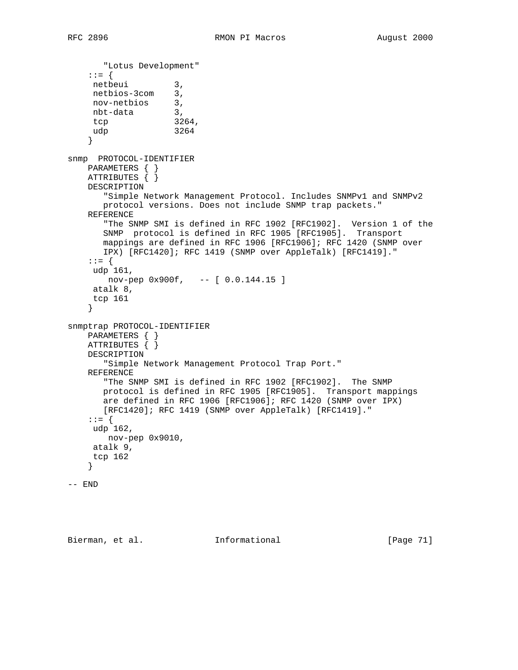```
 "Lotus Development"
     ::= {
 netbeui 3,
 netbios-3com 3,
    nov-netbios 3,<br>nbt-data 3.
    nbt-data 3,<br>tcp 3264,
    tcp 326
     udp 3264
     }
snmp PROTOCOL-IDENTIFIER
    PARAMETERS { }
   ATTRIBUTES \{\} DESCRIPTION
        "Simple Network Management Protocol. Includes SNMPv1 and SNMPv2
        protocol versions. Does not include SNMP trap packets."
     REFERENCE
        "The SNMP SMI is defined in RFC 1902 [RFC1902]. Version 1 of the
        SNMP protocol is defined in RFC 1905 [RFC1905]. Transport
        mappings are defined in RFC 1906 [RFC1906]; RFC 1420 (SNMP over
       IPX) [RFC1420]; RFC 1419 (SNMP over AppleTalk) [RFC1419]."
     ::= {
     udp 161,
       nov-pep 0x900f, -- [ 0.0.144.15 ]
     atalk 8,
     tcp 161
     }
snmptrap PROTOCOL-IDENTIFIER
    PARAMETERS { }
    ATTRIBUTES { }
    DESCRIPTION
        "Simple Network Management Protocol Trap Port."
     REFERENCE
        "The SNMP SMI is defined in RFC 1902 [RFC1902]. The SNMP
        protocol is defined in RFC 1905 [RFC1905]. Transport mappings
        are defined in RFC 1906 [RFC1906]; RFC 1420 (SNMP over IPX)
       [RFC1420]; RFC 1419 (SNMP over AppleTalk) [RFC1419]."
     ::= {
     udp 162,
       nov-pep 0x9010,
     atalk 9,
     tcp 162
     }
-- END
```
Bierman, et al. Informational [Page 71]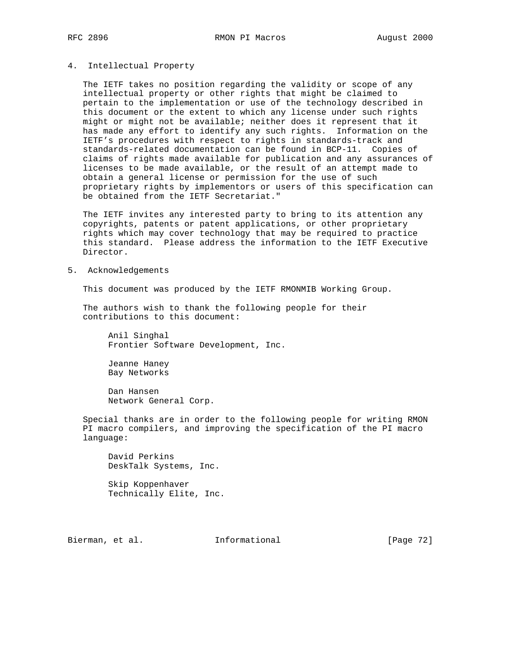## 4. Intellectual Property

 The IETF takes no position regarding the validity or scope of any intellectual property or other rights that might be claimed to pertain to the implementation or use of the technology described in this document or the extent to which any license under such rights might or might not be available; neither does it represent that it has made any effort to identify any such rights. Information on the IETF's procedures with respect to rights in standards-track and standards-related documentation can be found in BCP-11. Copies of claims of rights made available for publication and any assurances of licenses to be made available, or the result of an attempt made to obtain a general license or permission for the use of such proprietary rights by implementors or users of this specification can be obtained from the IETF Secretariat."

 The IETF invites any interested party to bring to its attention any copyrights, patents or patent applications, or other proprietary rights which may cover technology that may be required to practice this standard. Please address the information to the IETF Executive Director.

5. Acknowledgements

This document was produced by the IETF RMONMIB Working Group.

 The authors wish to thank the following people for their contributions to this document:

 Anil Singhal Frontier Software Development, Inc.

 Jeanne Haney Bay Networks

 Dan Hansen Network General Corp.

 Special thanks are in order to the following people for writing RMON PI macro compilers, and improving the specification of the PI macro language:

 David Perkins DeskTalk Systems, Inc.

 Skip Koppenhaver Technically Elite, Inc.

Bierman, et al. Informational [Page 72]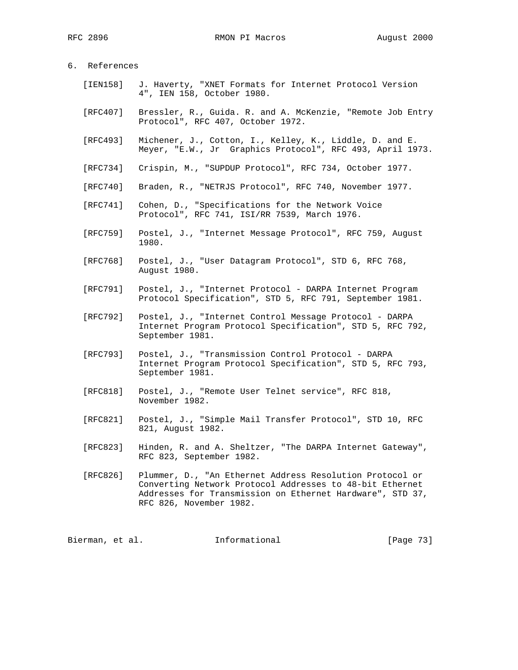RFC 2896 **RMON PI Macros August 2000** 

## 6. References

- [IEN158] J. Haverty, "XNET Formats for Internet Protocol Version 4", IEN 158, October 1980.
- [RFC407] Bressler, R., Guida. R. and A. McKenzie, "Remote Job Entry Protocol", RFC 407, October 1972.
- [RFC493] Michener, J., Cotton, I., Kelley, K., Liddle, D. and E. Meyer, "E.W., Jr Graphics Protocol", RFC 493, April 1973.
- [RFC734] Crispin, M., "SUPDUP Protocol", RFC 734, October 1977.
- [RFC740] Braden, R., "NETRJS Protocol", RFC 740, November 1977.
- [RFC741] Cohen, D., "Specifications for the Network Voice Protocol", RFC 741, ISI/RR 7539, March 1976.
- [RFC759] Postel, J., "Internet Message Protocol", RFC 759, August 1980.
- [RFC768] Postel, J., "User Datagram Protocol", STD 6, RFC 768, August 1980.
- [RFC791] Postel, J., "Internet Protocol DARPA Internet Program Protocol Specification", STD 5, RFC 791, September 1981.
- [RFC792] Postel, J., "Internet Control Message Protocol DARPA Internet Program Protocol Specification", STD 5, RFC 792, September 1981.
- [RFC793] Postel, J., "Transmission Control Protocol DARPA Internet Program Protocol Specification", STD 5, RFC 793, September 1981.
- [RFC818] Postel, J., "Remote User Telnet service", RFC 818, November 1982.
- [RFC821] Postel, J., "Simple Mail Transfer Protocol", STD 10, RFC 821, August 1982.
- [RFC823] Hinden, R. and A. Sheltzer, "The DARPA Internet Gateway", RFC 823, September 1982.
- [RFC826] Plummer, D., "An Ethernet Address Resolution Protocol or Converting Network Protocol Addresses to 48-bit Ethernet Addresses for Transmission on Ethernet Hardware", STD 37, RFC 826, November 1982.

Bierman, et al. 1nformational [Page 73]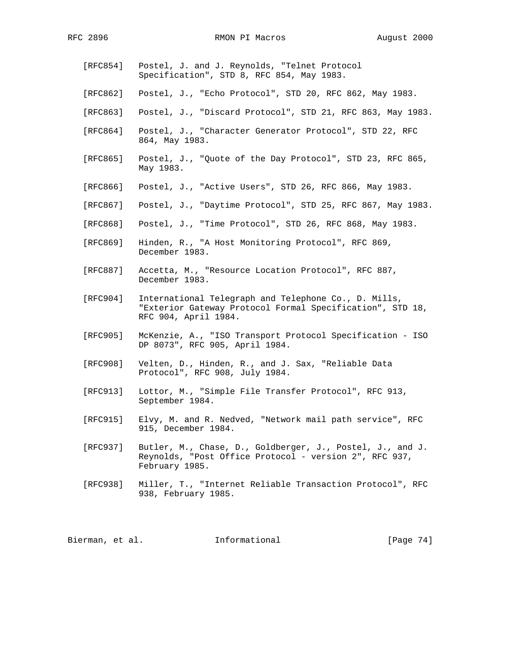RFC 2896 RMON PI Macros August 2000

- [RFC854] Postel, J. and J. Reynolds, "Telnet Protocol Specification", STD 8, RFC 854, May 1983. [RFC862] Postel, J., "Echo Protocol", STD 20, RFC 862, May 1983. [RFC863] Postel, J., "Discard Protocol", STD 21, RFC 863, May 1983. [RFC864] Postel, J., "Character Generator Protocol", STD 22, RFC 864, May 1983. [RFC865] Postel, J., "Quote of the Day Protocol", STD 23, RFC 865, May 1983. [RFC866] Postel, J., "Active Users", STD 26, RFC 866, May 1983. [RFC867] Postel, J., "Daytime Protocol", STD 25, RFC 867, May 1983. [RFC868] Postel, J., "Time Protocol", STD 26, RFC 868, May 1983. [RFC869] Hinden, R., "A Host Monitoring Protocol", RFC 869, December 1983. [RFC887] Accetta, M., "Resource Location Protocol", RFC 887, December 1983. [RFC904] International Telegraph and Telephone Co., D. Mills, "Exterior Gateway Protocol Formal Specification", STD 18, RFC 904, April 1984. [RFC905] McKenzie, A., "ISO Transport Protocol Specification - ISO DP 8073", RFC 905, April 1984. [RFC908] Velten, D., Hinden, R., and J. Sax, "Reliable Data Protocol", RFC 908, July 1984. [RFC913] Lottor, M., "Simple File Transfer Protocol", RFC 913, September 1984. [RFC915] Elvy, M. and R. Nedved, "Network mail path service", RFC 915, December 1984. [RFC937] Butler, M., Chase, D., Goldberger, J., Postel, J., and J. Reynolds, "Post Office Protocol - version 2", RFC 937, February 1985.
- [RFC938] Miller, T., "Internet Reliable Transaction Protocol", RFC 938, February 1985.

Bierman, et al. 1nformational 1999 [Page 74]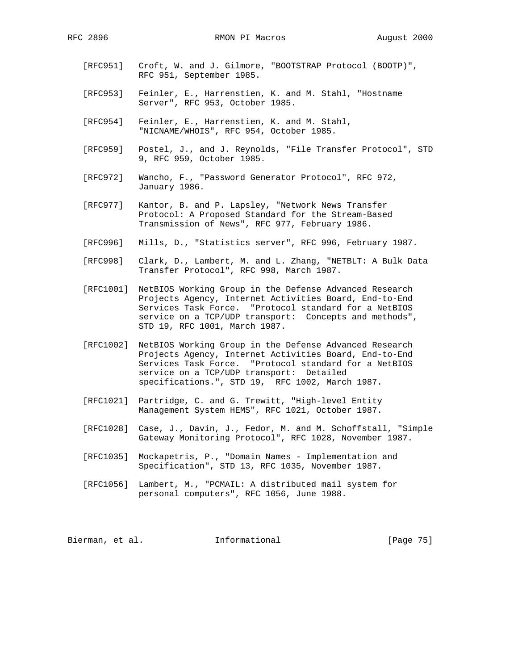- [RFC951] Croft, W. and J. Gilmore, "BOOTSTRAP Protocol (BOOTP)", RFC 951, September 1985.
- [RFC953] Feinler, E., Harrenstien, K. and M. Stahl, "Hostname Server", RFC 953, October 1985.
- [RFC954] Feinler, E., Harrenstien, K. and M. Stahl, "NICNAME/WHOIS", RFC 954, October 1985.
- [RFC959] Postel, J., and J. Reynolds, "File Transfer Protocol", STD 9, RFC 959, October 1985.
- [RFC972] Wancho, F., "Password Generator Protocol", RFC 972, January 1986.
- [RFC977] Kantor, B. and P. Lapsley, "Network News Transfer Protocol: A Proposed Standard for the Stream-Based Transmission of News", RFC 977, February 1986.
- [RFC996] Mills, D., "Statistics server", RFC 996, February 1987.
- [RFC998] Clark, D., Lambert, M. and L. Zhang, "NETBLT: A Bulk Data Transfer Protocol", RFC 998, March 1987.
- [RFC1001] NetBIOS Working Group in the Defense Advanced Research Projects Agency, Internet Activities Board, End-to-End Services Task Force. "Protocol standard for a NetBIOS service on a TCP/UDP transport: Concepts and methods", STD 19, RFC 1001, March 1987.
- [RFC1002] NetBIOS Working Group in the Defense Advanced Research Projects Agency, Internet Activities Board, End-to-End Services Task Force. "Protocol standard for a NetBIOS service on a TCP/UDP transport: Detailed specifications.", STD 19, RFC 1002, March 1987.
- [RFC1021] Partridge, C. and G. Trewitt, "High-level Entity Management System HEMS", RFC 1021, October 1987.
- [RFC1028] Case, J., Davin, J., Fedor, M. and M. Schoffstall, "Simple Gateway Monitoring Protocol", RFC 1028, November 1987.
- [RFC1035] Mockapetris, P., "Domain Names Implementation and Specification", STD 13, RFC 1035, November 1987.
- [RFC1056] Lambert, M., "PCMAIL: A distributed mail system for personal computers", RFC 1056, June 1988.

Bierman, et al. Informational [Page 75]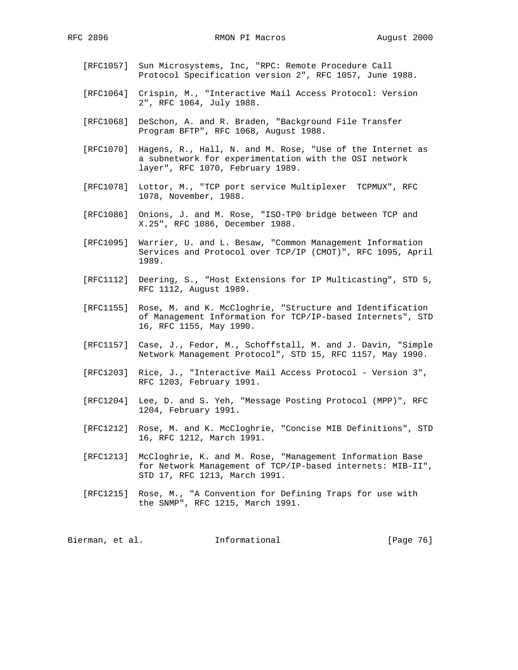- [RFC1057] Sun Microsystems, Inc, "RPC: Remote Procedure Call Protocol Specification version 2", RFC 1057, June 1988.
- [RFC1064] Crispin, M., "Interactive Mail Access Protocol: Version 2", RFC 1064, July 1988.
- [RFC1068] DeSchon, A. and R. Braden, "Background File Transfer Program BFTP", RFC 1068, August 1988.
- [RFC1070] Hagens, R., Hall, N. and M. Rose, "Use of the Internet as a subnetwork for experimentation with the OSI network layer", RFC 1070, February 1989.
- [RFC1078] Lottor, M., "TCP port service Multiplexer TCPMUX", RFC 1078, November, 1988.
- [RFC1086] Onions, J. and M. Rose, "ISO-TP0 bridge between TCP and X.25", RFC 1086, December 1988.
- [RFC1095] Warrier, U. and L. Besaw, "Common Management Information Services and Protocol over TCP/IP (CMOT)", RFC 1095, April 1989.
- [RFC1112] Deering, S., "Host Extensions for IP Multicasting", STD 5, RFC 1112, August 1989.
- [RFC1155] Rose, M. and K. McCloghrie, "Structure and Identification of Management Information for TCP/IP-based Internets", STD 16, RFC 1155, May 1990.
- [RFC1157] Case, J., Fedor, M., Schoffstall, M. and J. Davin, "Simple Network Management Protocol", STD 15, RFC 1157, May 1990.
- [RFC1203] Rice, J., "Interactive Mail Access Protocol Version 3", RFC 1203, February 1991.
- [RFC1204] Lee, D. and S. Yeh, "Message Posting Protocol (MPP)", RFC 1204, February 1991.
- [RFC1212] Rose, M. and K. McCloghrie, "Concise MIB Definitions", STD 16, RFC 1212, March 1991.
- [RFC1213] McCloghrie, K. and M. Rose, "Management Information Base for Network Management of TCP/IP-based internets: MIB-II", STD 17, RFC 1213, March 1991.
- [RFC1215] Rose, M., "A Convention for Defining Traps for use with the SNMP", RFC 1215, March 1991.

Bierman, et al. 1nformational 1999 [Page 76]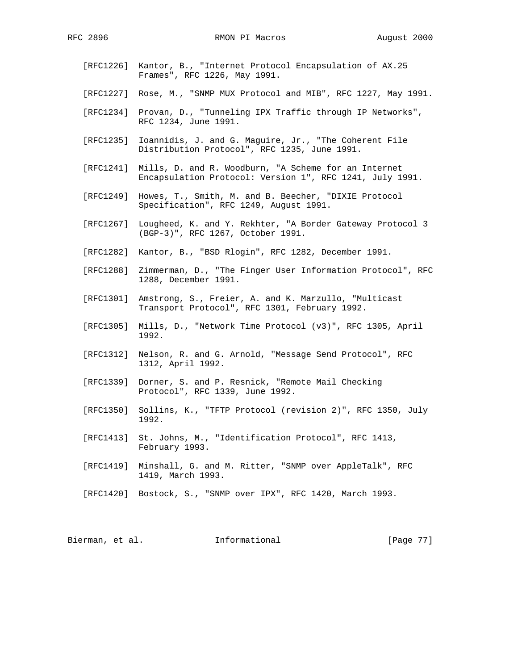- [RFC1226] Kantor, B., "Internet Protocol Encapsulation of AX.25 Frames", RFC 1226, May 1991.
- [RFC1227] Rose, M., "SNMP MUX Protocol and MIB", RFC 1227, May 1991.
- [RFC1234] Provan, D., "Tunneling IPX Traffic through IP Networks", RFC 1234, June 1991.
- [RFC1235] Ioannidis, J. and G. Maguire, Jr., "The Coherent File Distribution Protocol", RFC 1235, June 1991.
- [RFC1241] Mills, D. and R. Woodburn, "A Scheme for an Internet Encapsulation Protocol: Version 1", RFC 1241, July 1991.
- [RFC1249] Howes, T., Smith, M. and B. Beecher, "DIXIE Protocol Specification", RFC 1249, August 1991.
- [RFC1267] Lougheed, K. and Y. Rekhter, "A Border Gateway Protocol 3 (BGP-3)", RFC 1267, October 1991.
- [RFC1282] Kantor, B., "BSD Rlogin", RFC 1282, December 1991.
- [RFC1288] Zimmerman, D., "The Finger User Information Protocol", RFC 1288, December 1991.
- [RFC1301] Amstrong, S., Freier, A. and K. Marzullo, "Multicast Transport Protocol", RFC 1301, February 1992.
- [RFC1305] Mills, D., "Network Time Protocol (v3)", RFC 1305, April 1992.
- [RFC1312] Nelson, R. and G. Arnold, "Message Send Protocol", RFC 1312, April 1992.
- [RFC1339] Dorner, S. and P. Resnick, "Remote Mail Checking Protocol", RFC 1339, June 1992.
- [RFC1350] Sollins, K., "TFTP Protocol (revision 2)", RFC 1350, July 1992.
- [RFC1413] St. Johns, M., "Identification Protocol", RFC 1413, February 1993.
- [RFC1419] Minshall, G. and M. Ritter, "SNMP over AppleTalk", RFC 1419, March 1993.
- [RFC1420] Bostock, S., "SNMP over IPX", RFC 1420, March 1993.

Bierman, et al. 1nformational 1999 [Page 77]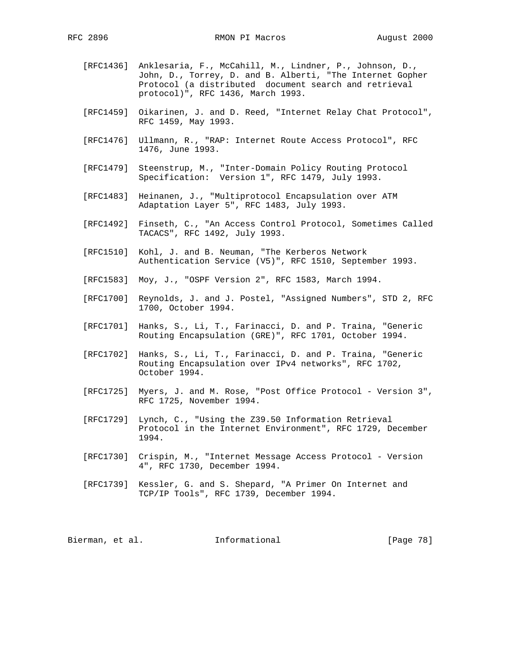- [RFC1436] Anklesaria, F., McCahill, M., Lindner, P., Johnson, D., John, D., Torrey, D. and B. Alberti, "The Internet Gopher Protocol (a distributed document search and retrieval protocol)", RFC 1436, March 1993.
- [RFC1459] Oikarinen, J. and D. Reed, "Internet Relay Chat Protocol", RFC 1459, May 1993.
- [RFC1476] Ullmann, R., "RAP: Internet Route Access Protocol", RFC 1476, June 1993.
- [RFC1479] Steenstrup, M., "Inter-Domain Policy Routing Protocol Specification: Version 1", RFC 1479, July 1993.
- [RFC1483] Heinanen, J., "Multiprotocol Encapsulation over ATM Adaptation Layer 5", RFC 1483, July 1993.
- [RFC1492] Finseth, C., "An Access Control Protocol, Sometimes Called TACACS", RFC 1492, July 1993.
- [RFC1510] Kohl, J. and B. Neuman, "The Kerberos Network Authentication Service (V5)", RFC 1510, September 1993.
- [RFC1583] Moy, J., "OSPF Version 2", RFC 1583, March 1994.
- [RFC1700] Reynolds, J. and J. Postel, "Assigned Numbers", STD 2, RFC 1700, October 1994.
- [RFC1701] Hanks, S., Li, T., Farinacci, D. and P. Traina, "Generic Routing Encapsulation (GRE)", RFC 1701, October 1994.
- [RFC1702] Hanks, S., Li, T., Farinacci, D. and P. Traina, "Generic Routing Encapsulation over IPv4 networks", RFC 1702, October 1994.
- [RFC1725] Myers, J. and M. Rose, "Post Office Protocol Version 3", RFC 1725, November 1994.
- [RFC1729] Lynch, C., "Using the Z39.50 Information Retrieval Protocol in the Internet Environment", RFC 1729, December 1994.
- [RFC1730] Crispin, M., "Internet Message Access Protocol Version 4", RFC 1730, December 1994.
- [RFC1739] Kessler, G. and S. Shepard, "A Primer On Internet and TCP/IP Tools", RFC 1739, December 1994.

Bierman, et al. 1nformational 1999 [Page 78]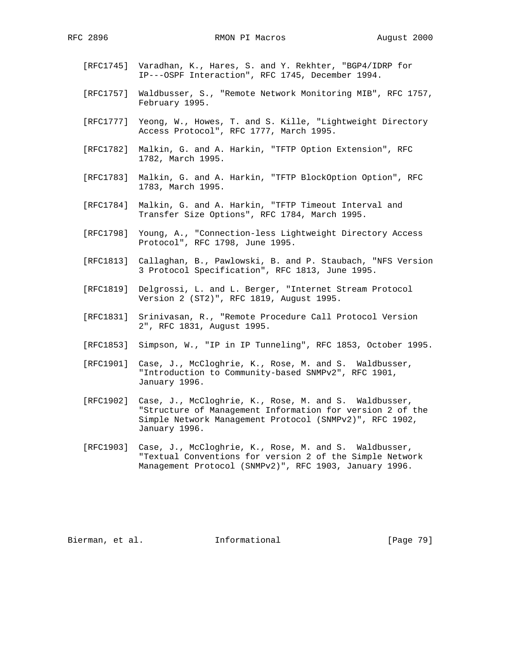- [RFC1745] Varadhan, K., Hares, S. and Y. Rekhter, "BGP4/IDRP for IP---OSPF Interaction", RFC 1745, December 1994.
- [RFC1757] Waldbusser, S., "Remote Network Monitoring MIB", RFC 1757, February 1995.
- [RFC1777] Yeong, W., Howes, T. and S. Kille, "Lightweight Directory Access Protocol", RFC 1777, March 1995.
- [RFC1782] Malkin, G. and A. Harkin, "TFTP Option Extension", RFC 1782, March 1995.
- [RFC1783] Malkin, G. and A. Harkin, "TFTP BlockOption Option", RFC 1783, March 1995.
- [RFC1784] Malkin, G. and A. Harkin, "TFTP Timeout Interval and Transfer Size Options", RFC 1784, March 1995.
- [RFC1798] Young, A., "Connection-less Lightweight Directory Access Protocol", RFC 1798, June 1995.
- [RFC1813] Callaghan, B., Pawlowski, B. and P. Staubach, "NFS Version 3 Protocol Specification", RFC 1813, June 1995.
- [RFC1819] Delgrossi, L. and L. Berger, "Internet Stream Protocol Version 2 (ST2)", RFC 1819, August 1995.
- [RFC1831] Srinivasan, R., "Remote Procedure Call Protocol Version 2", RFC 1831, August 1995.
- [RFC1853] Simpson, W., "IP in IP Tunneling", RFC 1853, October 1995.
- [RFC1901] Case, J., McCloghrie, K., Rose, M. and S. Waldbusser, "Introduction to Community-based SNMPv2", RFC 1901, January 1996.
- [RFC1902] Case, J., McCloghrie, K., Rose, M. and S. Waldbusser, "Structure of Management Information for version 2 of the Simple Network Management Protocol (SNMPv2)", RFC 1902, January 1996.
- [RFC1903] Case, J., McCloghrie, K., Rose, M. and S. Waldbusser, "Textual Conventions for version 2 of the Simple Network Management Protocol (SNMPv2)", RFC 1903, January 1996.

Bierman, et al. 1nformational 1999 [Page 79]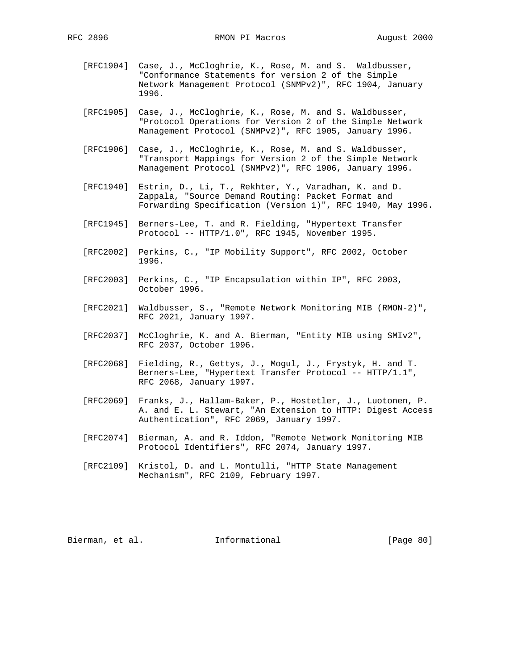- [RFC1904] Case, J., McCloghrie, K., Rose, M. and S. Waldbusser, "Conformance Statements for version 2 of the Simple Network Management Protocol (SNMPv2)", RFC 1904, January 1996.
- [RFC1905] Case, J., McCloghrie, K., Rose, M. and S. Waldbusser, "Protocol Operations for Version 2 of the Simple Network Management Protocol (SNMPv2)", RFC 1905, January 1996.
- [RFC1906] Case, J., McCloghrie, K., Rose, M. and S. Waldbusser, "Transport Mappings for Version 2 of the Simple Network Management Protocol (SNMPv2)", RFC 1906, January 1996.
- [RFC1940] Estrin, D., Li, T., Rekhter, Y., Varadhan, K. and D. Zappala, "Source Demand Routing: Packet Format and Forwarding Specification (Version 1)", RFC 1940, May 1996.
- [RFC1945] Berners-Lee, T. and R. Fielding, "Hypertext Transfer Protocol -- HTTP/1.0", RFC 1945, November 1995.
- [RFC2002] Perkins, C., "IP Mobility Support", RFC 2002, October 1996.
- [RFC2003] Perkins, C., "IP Encapsulation within IP", RFC 2003, October 1996.
- [RFC2021] Waldbusser, S., "Remote Network Monitoring MIB (RMON-2)", RFC 2021, January 1997.
- [RFC2037] McCloghrie, K. and A. Bierman, "Entity MIB using SMIv2", RFC 2037, October 1996.
- [RFC2068] Fielding, R., Gettys, J., Mogul, J., Frystyk, H. and T. Berners-Lee, "Hypertext Transfer Protocol -- HTTP/1.1", RFC 2068, January 1997.
- [RFC2069] Franks, J., Hallam-Baker, P., Hostetler, J., Luotonen, P. A. and E. L. Stewart, "An Extension to HTTP: Digest Access Authentication", RFC 2069, January 1997.
- [RFC2074] Bierman, A. and R. Iddon, "Remote Network Monitoring MIB Protocol Identifiers", RFC 2074, January 1997.
- [RFC2109] Kristol, D. and L. Montulli, "HTTP State Management Mechanism", RFC 2109, February 1997.

Bierman, et al. Informational [Page 80]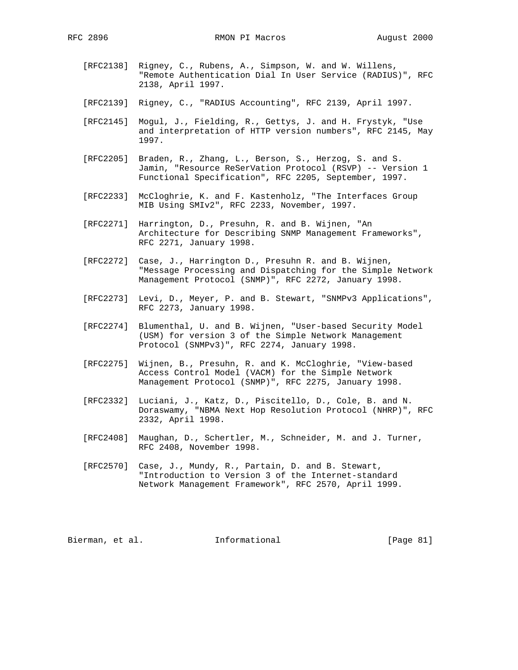- [RFC2138] Rigney, C., Rubens, A., Simpson, W. and W. Willens, "Remote Authentication Dial In User Service (RADIUS)", RFC 2138, April 1997.
- [RFC2139] Rigney, C., "RADIUS Accounting", RFC 2139, April 1997.
- [RFC2145] Mogul, J., Fielding, R., Gettys, J. and H. Frystyk, "Use and interpretation of HTTP version numbers", RFC 2145, May 1997.
- [RFC2205] Braden, R., Zhang, L., Berson, S., Herzog, S. and S. Jamin, "Resource ReSerVation Protocol (RSVP) -- Version 1 Functional Specification", RFC 2205, September, 1997.
- [RFC2233] McCloghrie, K. and F. Kastenholz, "The Interfaces Group MIB Using SMIv2", RFC 2233, November, 1997.
- [RFC2271] Harrington, D., Presuhn, R. and B. Wijnen, "An Architecture for Describing SNMP Management Frameworks", RFC 2271, January 1998.
- [RFC2272] Case, J., Harrington D., Presuhn R. and B. Wijnen, "Message Processing and Dispatching for the Simple Network Management Protocol (SNMP)", RFC 2272, January 1998.
- [RFC2273] Levi, D., Meyer, P. and B. Stewart, "SNMPv3 Applications", RFC 2273, January 1998.
- [RFC2274] Blumenthal, U. and B. Wijnen, "User-based Security Model (USM) for version 3 of the Simple Network Management Protocol (SNMPv3)", RFC 2274, January 1998.
- [RFC2275] Wijnen, B., Presuhn, R. and K. McCloghrie, "View-based Access Control Model (VACM) for the Simple Network Management Protocol (SNMP)", RFC 2275, January 1998.
- [RFC2332] Luciani, J., Katz, D., Piscitello, D., Cole, B. and N. Doraswamy, "NBMA Next Hop Resolution Protocol (NHRP)", RFC 2332, April 1998.
- [RFC2408] Maughan, D., Schertler, M., Schneider, M. and J. Turner, RFC 2408, November 1998.
- [RFC2570] Case, J., Mundy, R., Partain, D. and B. Stewart, "Introduction to Version 3 of the Internet-standard Network Management Framework", RFC 2570, April 1999.

Bierman, et al. 1nformational 1999 [Page 81]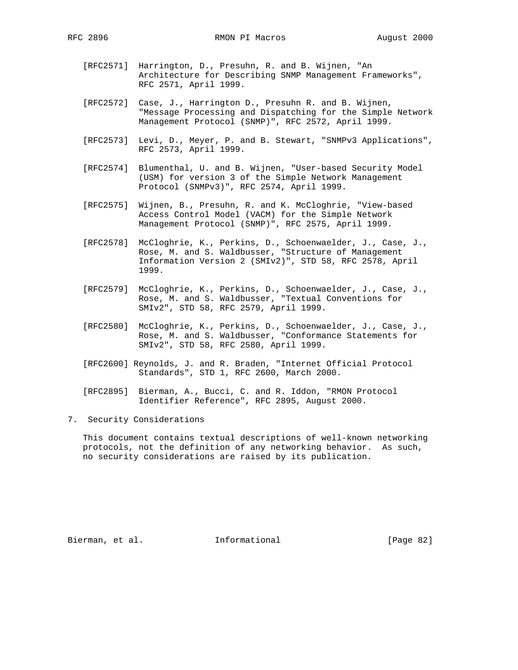- [RFC2571] Harrington, D., Presuhn, R. and B. Wijnen, "An Architecture for Describing SNMP Management Frameworks", RFC 2571, April 1999.
- [RFC2572] Case, J., Harrington D., Presuhn R. and B. Wijnen, "Message Processing and Dispatching for the Simple Network Management Protocol (SNMP)", RFC 2572, April 1999.
- [RFC2573] Levi, D., Meyer, P. and B. Stewart, "SNMPv3 Applications", RFC 2573, April 1999.
- [RFC2574] Blumenthal, U. and B. Wijnen, "User-based Security Model (USM) for version 3 of the Simple Network Management Protocol (SNMPv3)", RFC 2574, April 1999.
- [RFC2575] Wijnen, B., Presuhn, R. and K. McCloghrie, "View-based Access Control Model (VACM) for the Simple Network Management Protocol (SNMP)", RFC 2575, April 1999.
- [RFC2578] McCloghrie, K., Perkins, D., Schoenwaelder, J., Case, J., Rose, M. and S. Waldbusser, "Structure of Management Information Version 2 (SMIv2)", STD 58, RFC 2578, April 1999.
- [RFC2579] McCloghrie, K., Perkins, D., Schoenwaelder, J., Case, J., Rose, M. and S. Waldbusser, "Textual Conventions for SMIv2", STD 58, RFC 2579, April 1999.
- [RFC2580] McCloghrie, K., Perkins, D., Schoenwaelder, J., Case, J., Rose, M. and S. Waldbusser, "Conformance Statements for SMIv2", STD 58, RFC 2580, April 1999.
- [RFC2600] Reynolds, J. and R. Braden, "Internet Official Protocol Standards", STD 1, RFC 2600, March 2000.
- [RFC2895] Bierman, A., Bucci, C. and R. Iddon, "RMON Protocol Identifier Reference", RFC 2895, August 2000.

7. Security Considerations

 This document contains textual descriptions of well-known networking protocols, not the definition of any networking behavior. As such, no security considerations are raised by its publication.

Bierman, et al. Informational [Page 82]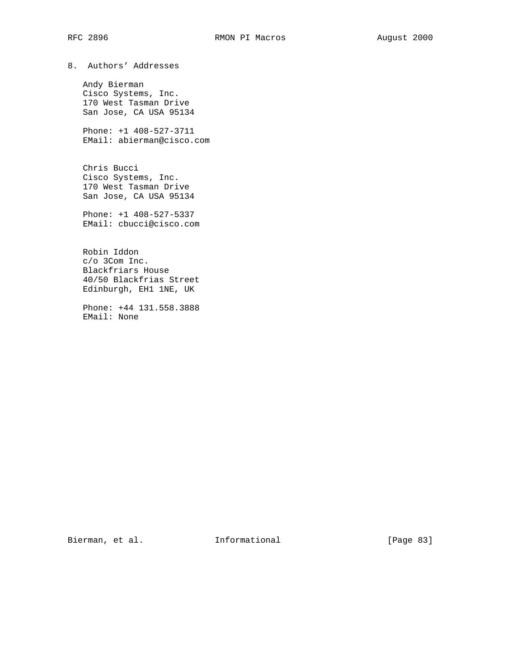8. Authors' Addresses

 Andy Bierman Cisco Systems, Inc. 170 West Tasman Drive San Jose, CA USA 95134

 Phone: +1 408-527-3711 EMail: abierman@cisco.com

 Chris Bucci Cisco Systems, Inc. 170 West Tasman Drive San Jose, CA USA 95134

 Phone: +1 408-527-5337 EMail: cbucci@cisco.com

 Robin Iddon c/o 3Com Inc. Blackfriars House 40/50 Blackfrias Street Edinburgh, EH1 1NE, UK

 Phone: +44 131.558.3888 EMail: None

Bierman, et al. 1nformational [Page 83]